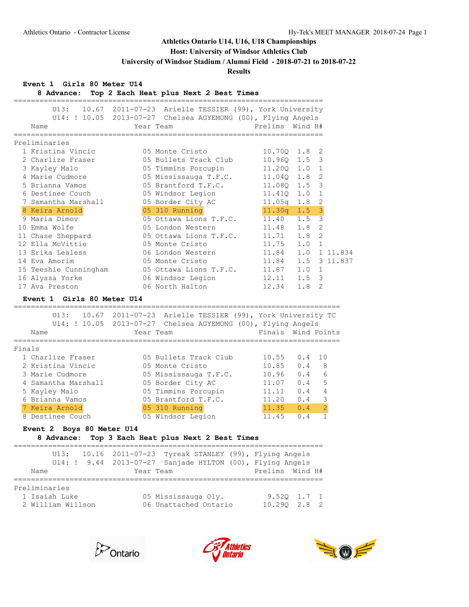## **Host: University of Windsor Athletics Club**

**University of Windsor Stadium / Alumni Field - 2018-07-21 to 2018-07-22**

#### **Results**

**Event 1 Girls 80 Meter U14**

**8 Advance: Top 2 Each Heat plus Next 2 Best Times**

|                       | U13: 10.67 2011-07-23 Arielle TESSIER (99), York University  |                  |                       |
|-----------------------|--------------------------------------------------------------|------------------|-----------------------|
|                       | U14: ! 10.05 2013-07-27 Chelsea AGYEMONG (00), Flying Angels |                  |                       |
| Name                  | Year Team                                                    | Prelims Wind H#  |                       |
|                       |                                                              |                  |                       |
| Preliminaries         |                                                              |                  |                       |
| 1 Kristina Vincic     | 05 Monte Cristo                                              | 10.700 1.8 2     |                       |
| 2 Charlize Fraser     | 05 Bullets Track Club                                        | 10.960 1.5 3     |                       |
| 3 Kayley Malo         | 05 Timmins Porcupin                                          | 11.200 1.0       | $\overline{1}$        |
| 4 Marie Cudmore       | 05 Mississauga T.F.C.                                        | 11.040 1.8 2     |                       |
| 5 Brianna Vamos       | 05 Brantford T.F.C.                                          | 11.080 1.5 3     |                       |
| 6 Destinee Couch      | 05 Windsor Legion                                            | $11.41Q$ $1.0$   | $\overline{1}$        |
| 7 Samantha Marshall   | 05 Border City AC                                            | $11.05q$ 1.8 2   |                       |
| 8 Keira Arnold        | 05 310 Running                                               | $11.30q$ $1.5$ 3 |                       |
| 9 Maria Dimov         | 05 Ottawa Lions T.F.C. 11.40 1.5 3                           |                  |                       |
| 10 Emma Wolfe         | 05 London Western                                            | 11.48            | $1.8-2$               |
| 11 Chase Sheppard     | 05 Ottawa Lions T.F.C.                                       | 11.71            | $1.8-2$               |
| 12 Ella McVittie      | 05 Monte Cristo                                              | 11.75            | $1.0 \quad 1$         |
| 13 Erika Lealess      | 06 London Western                                            | 11.84            | 1.0<br>1 11.834       |
| 14 Eva Amorim         | 05 Monte Cristo                                              | 11.84            | 1.5 3 11.837          |
| 15 Teeshie Cunningham | 05 Ottawa Lions T.F.C. 11.87                                 |                  | 1.0<br>$\overline{1}$ |
| 16 Alyssa Yorke       | 06 Windsor Legion                                            | 12.11            | $1.5 \quad 3$         |
| 17 Ava Preston        | 06 North Halton                                              | 12.34            | 1.8<br>2              |

#### **Event 1 Girls 80 Meter U14**

|        | U13:<br>10.67<br>U14: ! 10.05 2013-07-27<br>Name | Year Team | 2011-07-23 Arielle TESSIER (99), York University TC<br>Chelsea AGYEMONG (00), Flying Angels |       | Finals Wind Points    |  |
|--------|--------------------------------------------------|-----------|---------------------------------------------------------------------------------------------|-------|-----------------------|--|
| Finals |                                                  |           |                                                                                             |       |                       |  |
|        | 1 Charlize Fraser                                |           | 05 Bullets Track Club                                                                       | 10.55 | $0.4 \quad 10$        |  |
|        | 2 Kristina Vincic                                |           | 05 Monte Cristo                                                                             | 10.85 | 0.4<br>8              |  |
|        | 3 Marie Cudmore                                  |           | 05 Mississauga T.F.C.                                                                       | 10.96 | 6<br>0.4              |  |
|        | 4 Samantha Marshall                              |           | 05 Border City AC                                                                           | 11.07 | 5<br>0.4              |  |
|        | 5 Kayley Malo                                    |           | 05 Timmins Porcupin                                                                         | 11.11 | 0.4                   |  |
|        | 6 Brianna Vamos                                  |           | 05 Brantford T.F.C.                                                                         | 11.20 | 3<br>0.4              |  |
|        | 7 Keira Arnold                                   |           | 05 310 Running                                                                              | 11.35 | $\overline{2}$<br>0.4 |  |
|        | 8 Destinee Couch                                 |           | 05 Windsor Legion                                                                           | 11.45 | 0.4                   |  |
|        |                                                  |           |                                                                                             |       |                       |  |

#### **Event 2 Boys 80 Meter U14**

### **8 Advance: Top 3 Each Heat plus Next 2 Best Times**

|               |                   |           | U13: 10.16 2011-07-23 Tyreak STANLEY (99), Flying Angels<br>U14: ! 9.44 2013-07-27 Sanjade HYLTON (00), Flying Angels |                  |                           |  |
|---------------|-------------------|-----------|-----------------------------------------------------------------------------------------------------------------------|------------------|---------------------------|--|
| Name          |                   | Year Team |                                                                                                                       | Prelims Wind H#  |                           |  |
| Preliminaries |                   |           |                                                                                                                       |                  |                           |  |
|               |                   |           |                                                                                                                       |                  |                           |  |
|               | 1 Isaiah Luke     |           | 05 Mississauga Oly.                                                                                                   |                  | $9.520 \quad 1.7 \quad 1$ |  |
|               | 2 William Willson |           | 06 Unattached Ontario                                                                                                 | $10.290$ $2.8$ 2 |                           |  |
|               |                   |           |                                                                                                                       |                  |                           |  |





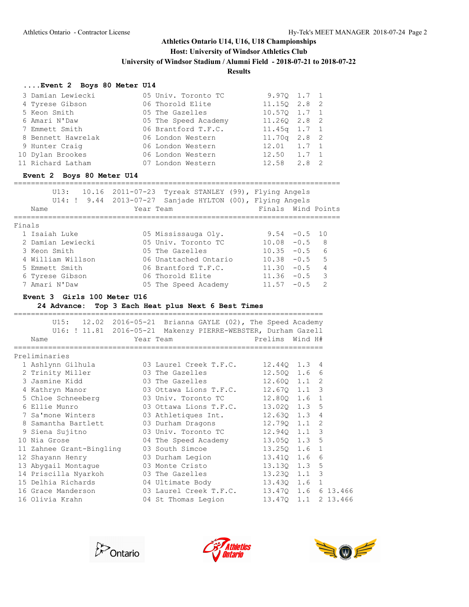# **Host: University of Windsor Athletics Club**

**University of Windsor Stadium / Alumni Field - 2018-07-21 to 2018-07-22**

### **Results**

#### **....Event 2 Boys 80 Meter U14**

| 3 Damian Lewiecki  | 05 Univ. Toronto TC  | $9.970$ 1.7 1     |  |
|--------------------|----------------------|-------------------|--|
| 4 Tyrese Gibson    | 06 Thorold Elite     | 11.150 2.8 2      |  |
| 5 Keon Smith       | 05 The Gazelles      | $10.570$ 1.7 1    |  |
| 6 Amari N'Daw      | 05 The Speed Academy | 11.260 2.8 2      |  |
| 7 Emmett Smith     | 06 Brantford T.F.C.  | $11.45q$ 1.7 1    |  |
| 8 Bennett Hawrelak | 06 London Western    | $11.70q$ $2.8$ 2  |  |
| 9 Hunter Craig     | 06 London Western    | $12.01$ $1.7$ 1   |  |
| 10 Dylan Brookes   | 06 London Western    | $12.50 \t1.7 \t1$ |  |
| 11 Richard Latham  | 07 London Western    | $12.58$ $2.8$ 2   |  |

#### **Event 2 Boys 80 Meter U14**

Finals

============================================================================

| Name |  | Year Team |                                                                       |  | Finals Wind Points |  |
|------|--|-----------|-----------------------------------------------------------------------|--|--------------------|--|
|      |  |           | U14: $\frac{1}{2}$ 9.44 2013-07-27 Sanjade HYLTON (00), Flying Angels |  |                    |  |
|      |  |           | $U13: 10.16 2011-07-23$ Tyreak STANLEY (99), Flying Angels            |  |                    |  |

| 1 Isaiah Luke     | 05 Mississauga Oly.   |                 | $9.54 - 0.5$ 10 |                          |
|-------------------|-----------------------|-----------------|-----------------|--------------------------|
| 2 Damian Lewiecki | 05 Univ. Toronto TC   | $10.08 - 0.5$ 8 |                 |                          |
| 3 Keon Smith      | 05 The Gazelles       | $10.35 - 0.5$ 6 |                 |                          |
| 4 William Willson | 06 Unattached Ontario | $10.38 - 0.5$ 5 |                 |                          |
| 5 Emmett Smith    | 06 Brantford T.F.C.   | $11.30 - 0.5$   |                 | $\overline{4}$           |
| 6 Tyrese Gibson   | 06 Thorold Elite      | $11.36 - 0.5$   |                 | $\overline{\phantom{a}}$ |
| 7 Amari N'Daw     | 05 The Speed Academy  | $11.57 - 0.5$ 2 |                 |                          |

#### **Event 3 Girls 100 Meter U16**

**24 Advance: Top 3 Each Heat plus Next 6 Best Times**

|                          | U15: 12.02 2016-05-21 Brianna GAYLE (02), The Speed Academy   |                            |
|--------------------------|---------------------------------------------------------------|----------------------------|
|                          | U16: ! 11.81 2016-05-21 Makenzy PIERRE-WEBSTER, Durham Gazell |                            |
| Name                     | Year Team                                                     | Prelims<br>Wind H#         |
| Preliminaries            |                                                               |                            |
|                          | 03 Laurel Creek T.F.C.         12.440   1.3                   | 4                          |
| 1 Ashlynn Gilhula        |                                                               |                            |
| 2 Trinity Miller         | 03 The Gazelles                                               | 12.500 1.6<br>6            |
| 3 Jasmine Kidd           | 03 The Gazelles                                               | 2<br>$12.600$ $1.1$        |
| 4 Kathryn Manor          | 03 Ottawa Lions T.F.C.                                        | 3<br>12.670 1.1            |
| 5 Chloe Schneeberg       | 03 Univ. Toronto TC                                           | 12.800 1.6<br>1            |
| 6 Ellie Munro            | 03 Ottawa Lions T.F.C.                                        | 5<br>13.020 1.3            |
| 7 Sa'mone Winters        | 03 Athletiques Int.                                           | 12.630 1.3<br>4            |
| 8 Samantha Bartlett      | 03 Durham Dragons                                             | 12.790 1.1<br>2            |
| 9 Siena Sujitno          | 03 Univ. Toronto TC 12.940 1.1                                | 3                          |
| 10 Nia Grose             | 04 The Speed Academy                                          | 13.050 1.3<br>-5           |
| 11 Zahnee Grant-Bingling | 03 South Simcoe                                               | 13.250 1.6<br>$\mathbf{1}$ |
| 12 Shayann Henry         | 03 Durham Legion                                              | 13.410 1.6<br>6            |
| 13 Abygail Montague      | 03 Monte Cristo                                               | 13.130 1.3<br>5            |
| 14 Priscilla Nyarkoh     | 03 The Gazelles                                               | 3<br>13.230 1.1            |
| 15 Delhia Richards       | 04 Ultimate Body 13.430 1.6                                   | $\mathbf{1}$               |
| 16 Grace Manderson       | 03 Laurel Creek T.F.C.                                        | 13.470 1.6<br>6 13.466     |
| 16 Olivia Krahn          | 04 St Thomas Legion                                           | 13.470 1.1<br>2 13.466     |
|                          |                                                               |                            |





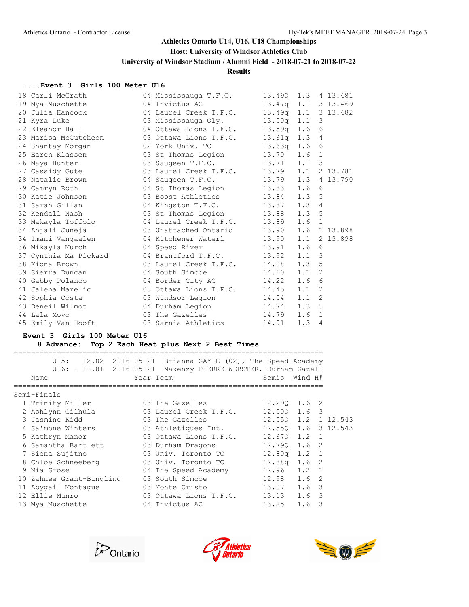#### **Host: University of Windsor Athletics Club**

**University of Windsor Stadium / Alumni Field - 2018-07-21 to 2018-07-22**

**Results**

#### **....Event 3 Girls 100 Meter U16**

| 18 Carli McGrath                                          | 04 Mississauga T.F.C.                                                      | 13.490 1.3 4 13.481 |                  |  |
|-----------------------------------------------------------|----------------------------------------------------------------------------|---------------------|------------------|--|
| 19 Mya Muschette                                          | 04 Invictus AC                                                             | 13.47q 1.1 3 13.469 |                  |  |
| 20 Julia Hancock                                          | 04 Laurel Creek T.F.C. 13.49q 1.1 3 13.482                                 |                     |                  |  |
| 21 Kyra Luke                                              | 03 Mississauga Oly. 13.50q 1.1 3                                           |                     |                  |  |
| 22 Eleanor Hall                                           | 04 Ottawa Lions T.F.C. 13.59q 1.6 6                                        |                     |                  |  |
| 23 Marisa McCutcheon                                      | 03 Ottawa Lions T.F.C.                                                     | 13.61q 1.3 4        |                  |  |
| 24 Shantay Morgan                                         | 02 York Univ. TC                                                           | $13.63q$ $1.6$ 6    |                  |  |
| 25 Earen Klassen                                          | 03 St Thomas Legion 13.70 1.6 1                                            |                     |                  |  |
| 26 Maya Hunter                                            |                                                                            |                     |                  |  |
| 27 Cassidy Gute                                           | 03 Saugeen T.F.C. 13.71 1.1 3<br>03 Laurel Creek T.F.C. 13.79 1.1 2 13.781 |                     |                  |  |
| 28 Natalie Brown                                          | 04 Saugeen T.F.C. 13.79 1.3 4 13.790                                       |                     |                  |  |
|                                                           |                                                                            |                     |                  |  |
|                                                           |                                                                            |                     |                  |  |
| 31 Sarah Gillan                                           | 04 Kingston T.F.C. 13.87 1.3 4                                             |                     |                  |  |
| 32 Kendall Nash                                           | 03 St Thomas Legion 13.88                                                  |                     | 1.3.5            |  |
| 33 Makayla Toffolo                                        | 04 Laurel Creek T.F.C. 13.89 1.6 1                                         |                     |                  |  |
| 34 Anjali Juneja                                          | 03 Unattached Ontario 13.90 1.6 1 13.898                                   |                     |                  |  |
| 34 Imani Vangaalen 64 Kitchener Waterl 13.90 1.1 2 13.898 |                                                                            |                     |                  |  |
| 36 Mikayla Murch 04 Speed River 13.91                     |                                                                            |                     | 1.6 <sub>6</sub> |  |
| 37 Cynthia Ma Pickard                                     | 04 Brantford T.F.C. 13.92                                                  |                     | $1.1 \quad 3$    |  |
| 38 Kiona Brown 03 Laurel Creek T.F.C. 14.08               |                                                                            |                     | 1.3 <sub>5</sub> |  |
| 39 Sierra Duncan                                          | 04 South Simcoe 14.10<br>04 Border City AC 14.22                           |                     | $1.1 \t2$        |  |
| 40 Gabby Polanco                                          |                                                                            |                     | 1.6 <sub>6</sub> |  |
| 41 Jalena Marelic                                         | 03 Ottawa Lions T.F.C. 14.45                                               |                     | $1.1 \t2$        |  |
| 42 Sophia Costa                                           | 03 Windsor Legion                                                          | 14.54               | $1.1 \quad 2$    |  |
| 43 Deneil Wilmot                                          | 04 Durham Legion 14.74                                                     |                     | 1.3 <sub>5</sub> |  |
| 44 Lala Moyo                                              | 03 The Gazelles 14.79                                                      |                     | 1.6 <sub>1</sub> |  |
| 45 Emily Van Hooft                                        | 03 Sarnia Athletics                                                        | 14.91               | 1.34             |  |

#### **Event 3 Girls 100 Meter U16**

#### **8 Advance: Top 2 Each Heat plus Next 2 Best Times**

========================================================================

 U15: 12.02 2016-05-21 Brianna GAYLE (02), The Speed Academy U16: ! 11.81 2016-05-21 Makenzy PIERRE-WEBSTER, Durham Gazell Name Year Team Semis Wind H# ======================================================================== Semi-Finals 1 Trinity Miller 03 The Gazelles 12.29Q 1.6 2 2 Ashlynn Gilhula 03 Laurel Creek T.F.C. 12.50Q 1.6 3 3 Jasmine Kidd 03 The Gazelles 12.55Q 1.2 1 12.543 4 Sa'mone Winters 03 Athletiques Int. 12.55Q 1.6 3 12.543 5 Kathryn Manor 03 Ottawa Lions T.F.C. 12.67Q 1.2 1 6 Samantha Bartlett 03 Durham Dragons 12.79Q 1.6 2 7 Siena Sujitno 03 Univ. Toronto TC 12.80q 1.2 1 8 Chloe Schneeberg 03 Univ. Toronto TC 12.88q 1.6 2 9 Nia Grose 04 The Speed Academy 12.96 1.2 1 10 Zahnee Grant-Bingling 03 South Simcoe 12.98 1.6 2 11 Abygail Montague 03 Monte Cristo 13.07 1.6 3 12 Ellie Munro 03 Ottawa Lions T.F.C. 13.13 1.6 3 13 Mya Muschette 04 Invictus AC 13.25 1.6 3





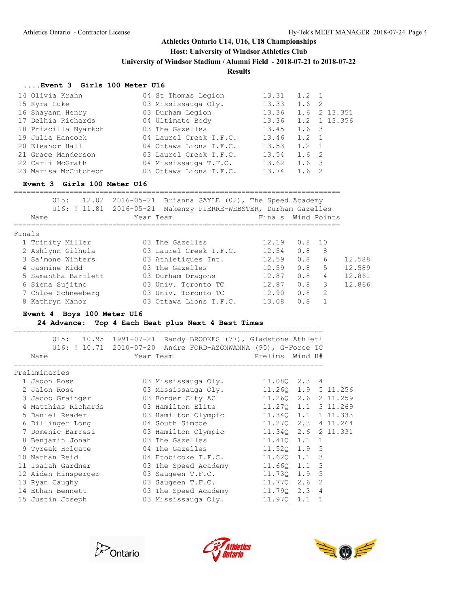#### **Host: University of Windsor Athletics Club**

**University of Windsor Stadium / Alumni Field - 2018-07-21 to 2018-07-22**

#### **Results**

#### **....Event 3 Girls 100 Meter U16**

| 14 Olivia Krahn      | 04 St Thomas Legion    | 13.31 | $1.2 \quad 1$ |              |
|----------------------|------------------------|-------|---------------|--------------|
| 15 Kyra Luke         | 03 Mississauga Oly.    | 13.33 | 1.6 2         |              |
| 16 Shayann Henry     | 03 Durham Legion       | 13.36 |               | 1.6 2 13.351 |
| 17 Delhia Richards   | 04 Ultimate Body       | 13.36 |               | 1.2 1 13.356 |
| 18 Priscilla Nyarkoh | 03 The Gazelles        | 13.45 | 1.6 3         |              |
| 19 Julia Hancock     | 04 Laurel Creek T.F.C. | 13.46 | 1.2 1         |              |
| 20 Eleanor Hall      | 04 Ottawa Lions T.F.C. | 13.53 | $1.2 \quad 1$ |              |
| 21 Grace Manderson   | 03 Laurel Creek T.F.C. | 13.54 | 1.6 2         |              |
| 22 Carli McGrath     | 04 Mississauga T.F.C.  | 13.62 | 1.6 3         |              |
| 23 Marisa McCutcheon | 03 Ottawa Lions T.F.C. | 13.74 | $1.6 \quad 2$ |              |

#### **Event 3 Girls 100 Meter U16**

|        | U15:<br>U16: ! 11.81 2016-05-21<br>Name | 12.02 2016-05-21 Brianna GAYLE (02), The Speed Academy<br>Makenzy PIERRE-WEBSTER, Durham Gazelles<br>Year Team | Finals Wind Points |          |                |        |
|--------|-----------------------------------------|----------------------------------------------------------------------------------------------------------------|--------------------|----------|----------------|--------|
| Finals |                                         |                                                                                                                |                    |          |                |        |
|        | 1 Trinity Miller                        | 03 The Gazelles                                                                                                | 12.19              | $0.8$ 10 |                |        |
|        | 2 Ashlynn Gilhula                       | 03 Laurel Creek T.F.C.                                                                                         | 12.54              | 0.8      | 8              |        |
|        | 3 Sa'mone Winters                       | 03 Athletiques Int.                                                                                            | 12.59              | 0.8      | 6              | 12.588 |
|        | 4 Jasmine Kidd                          | 03 The Gazelles                                                                                                | 12.59              | 0.8      | 5              | 12.589 |
|        | 5 Samantha Bartlett                     | 03 Durham Dragons                                                                                              | 12.87              | 0.8      | $\overline{4}$ | 12.861 |
|        | 6 Siena Sujitno                         | 03 Univ. Toronto TC                                                                                            | 12.87              | 0.8      | $\mathcal{E}$  | 12.866 |
|        | 7 Chloe Schneeberg                      | 03 Univ. Toronto TC                                                                                            | 12.90              | 0.8      | $\overline{2}$ |        |
|        | 8 Kathryn Manor                         | 03 Ottawa Lions T.F.C.                                                                                         | 13.08              | 0.8      |                |        |

#### **Event 4 Boys 100 Meter U16**

#### **24 Advance: Top 4 Each Heat plus Next 4 Best Times**

========================================================================

| U16: ! 10.71<br>Name | U15: 10.95 1991-07-21 Randy BROOKES (77), Gladstone Athleti<br>2010-07-20 Andre FORD-AZONWANNA (95), G-Force TC<br>Year Team | Prelims<br>Wind H#  |                |
|----------------------|------------------------------------------------------------------------------------------------------------------------------|---------------------|----------------|
| Preliminaries        |                                                                                                                              |                     |                |
| 1 Jadon Rose         | 03 Mississauga Oly.                                                                                                          | 11.080 2.3 4        |                |
| 2 Jalon Rose         | 03 Mississauga Oly.                                                                                                          | 11.260 1.9 5 11.256 |                |
| 3 Jacob Grainger     | 03 Border City AC                                                                                                            | 11.260 2.6          | 2 11.259       |
| 4 Matthias Richards  | 03 Hamilton Elite                                                                                                            | 11.270 1.1 3 11.269 |                |
| 5 Daniel Reader      | 03 Hamilton Olympic                                                                                                          | 11.340 1.1 1 11.333 |                |
| 6 Dillinger Long     | 04 South Simcoe                                                                                                              | 11.270 2.3          | 4 11.264       |
|                      | 7 Domenic Barresi 63 Hamilton Olympic 11.340 2.6 2 11.331                                                                    |                     |                |
| 8 Benjamin Jonah     | 03 The Gazelles Contract Control of the Gazelles                                                                             | $11.410$ $1.1$ 1    |                |
| 9 Tyreak Holgate     | 04 The Gazelles                                                                                                              | 11.520 1.9 5        |                |
| 10 Nathan Reid       | 04 Etobicoke T.F.C.                                                                                                          | 11.620 1.1          | 3              |
| 11 Isaiah Gardner    | 03 The Speed Academy                                                                                                         | 3<br>11.660 1.1     |                |
| 12 Aiden Hinsperger  | 03 Saugeen T.F.C.                                                                                                            | 11.730 1.9          | 5              |
| 13 Ryan Caughy       | 03 Saugeen T.F.C.                                                                                                            | 11.770 2.6          | $\overline{2}$ |
| 14 Ethan Bennett     | 03 The Speed Academy                                                                                                         | 11.790 2.3          | $\overline{4}$ |
| 15 Justin Joseph     | 03 Mississauga Oly.                                                                                                          | 11,970<br>1.1       |                |





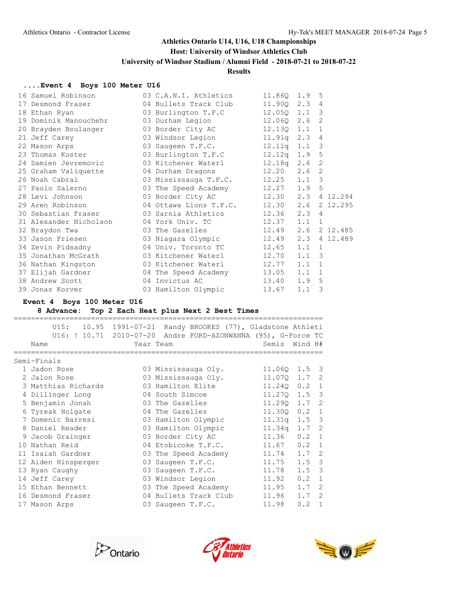# **Host: University of Windsor Athletics Club**

**University of Windsor Stadium / Alumni Field - 2018-07-21 to 2018-07-22**

#### **Results**

### **....Event 4 Boys 100 Meter U16**

| 16 Samuel Robinson               | 03 C.A.N.I. Athletics            | 11.860           | 1.9              | 5              |
|----------------------------------|----------------------------------|------------------|------------------|----------------|
| Desmond Fraser<br>17             | 04 Bullets Track Club            | 11.90Q           | 2.34             |                |
| 18 Ethan Ryan                    | 03 Burlington T.F.C              | 12.050           | $1.1 \quad 3$    |                |
| 19 Dominik Manouchehr            | 03 Durham Legion                 | 12.06Q           | $2.6-2$          |                |
| 20 Brayden Boulanger             | 03 Border City AC                | 12.130 1.1       |                  | $\overline{1}$ |
| 21 Jeff Carey                    | 03 Windsor Legion                | $11.91q$ 2.3 4   |                  |                |
| 22 Mason Arps                    | 03 Saugeen T.F.C.                | $12.11q$ $1.1$ 3 |                  |                |
| 23 Thomas Koster                 | 03 Burlington T.F.C              | $12.12q$ 1.9 5   |                  |                |
| 24 Damien Jevremovic             | 03 Kitchener Waterl              | 12.18q           | 2.6 <sub>2</sub> |                |
| 25 Graham Valiquette             | 04 Durham Dragons                | 12.20            | 2.6 <sub>2</sub> |                |
| 26 Noah Cabral                   | 03 Mississauga T.F.C.            | 12.25            | 1.1              | $\mathbf{3}$   |
| 27 Paolo Salerno                 | 03 The Speed Academy             | 12.27            | 1.9 <sub>5</sub> |                |
| 28 Levi Johnson                  | 03 Border City AC                | 12.30            |                  | 2.3 4 12.294   |
| 29 Aren Robinson and March 1986. | 04 Ottawa Lions T.F.C.           | 12.30            | 2.6              | 2 12.295       |
| 30 Sebastian Fraser              | 03 Sarnia Athletics              | 12.36            | 2.34             |                |
| 31 Alexander Nicholson           | 04 York Univ. TC                 | 12.37            | 1.1              | $\overline{1}$ |
| 32 Braydon Twa                   | 03 The Gazelles Contract Control | 12.49            |                  | 2.6 2 12.485   |
| 33 Jason Friesen                 | 03 Niagara Olympic               | 12.49            |                  | 2.3 4 12.489   |
| 34 Zevin Pidsadny                | 04 Univ. Toronto TC              | 12.65            | $1.1 \quad 1$    |                |
| 35 Jonathan McGrath              | 03 Kitchener Waterl              | 12.70            | $1.1 \quad 3$    |                |
| 36 Nathan Kingston               | 03 Kitchener Waterl              | 12.77            | 1.1              | $\overline{1}$ |
| 37 Elijah Gardner                | 04 The Speed Academy             | 13.05            | 1.1              | $\overline{1}$ |
| 38 Andrew Scott                  | 04 Invictus AC                   | 13.40            | 1.9 <sub>5</sub> |                |
| 39 Jonas Korver                  | 03 Hamilton Olympic              | 13.67            | 1.1              | 3              |

### **Event 4 Boys 100 Meter U16**

#### **8 Advance: Top 2 Each Heat plus Next 2 Best Times**

| 10.95<br>U15:           | 1991-07-21 | Randy BROOKES (77), Gladstone Athleti |        |         |                |
|-------------------------|------------|---------------------------------------|--------|---------|----------------|
| U16: ! 10.71 2010-07-20 |            | Andre FORD-AZONWANNA (95), G-Force TC |        |         |                |
| Name                    |            | Year Team                             | Semis  | Wind H# |                |
| Semi-Finals             |            |                                       |        |         |                |
| 1 Jadon Rose            |            | 03 Mississauga Oly.                   | 11.060 | 1.5     | -3             |
| 2 Jalon Rose            |            | 03 Mississauga Oly.                   | 11.070 | 1.7     | 2              |
| 3 Matthias Richards     |            | 03 Hamilton Elite                     | 11,240 | 0.2     | $\overline{1}$ |
| 4 Dillinger Long        |            | 04 South Simcoe                       | 11,270 | 1.5     | 3              |
| 5 Benjamin Jonah        |            | 03 The Gazelles                       | 11,290 | 1.7     | 2              |
| 6 Tyreak Holgate        |            | 04 The Gazelles                       | 11.30Q | 0.2     | 1              |
| 7 Domenic Barresi       |            | 03 Hamilton Olympic                   | 11.31q | 1.5     | 3              |
| 8 Daniel Reader         |            | 03 Hamilton Olympic                   | 11.34q | 1.7     | 2              |
| 9 Jacob Grainger        |            | 03 Border City AC                     | 11.36  | 0.2     | $\overline{1}$ |
| 10 Nathan Reid          |            | 04 Etobicoke T.F.C.                   | 11.67  | 0.2     | $\mathbf{1}$   |
| 11 Isaiah Gardner       |            | 03 The Speed Academy                  | 11.74  | 1.7     | 2              |
| 12 Aiden Hinsperger     |            | 03 Saugeen T.F.C.                     | 11.75  | 1.5     | 3              |
| 13 Ryan Caughy          | 03         | Saugeen T.F.C.                        | 11.78  | 1.5     | 3              |
| 14 Jeff Carey           |            | 03 Windsor Legion                     | 11.92  | 0.2     | $\mathbf{1}$   |
| 15 Ethan Bennett        |            | 03 The Speed Academy                  | 11.95  | 1.7     | 2              |
| 16 Desmond Fraser       |            | 04 Bullets Track Club                 | 11.96  | 1.7     | $\mathcal{L}$  |
| 17 Mason Arps           |            | 03 Saugeen T.F.C.                     | 11.98  | 0.2     | $\overline{1}$ |





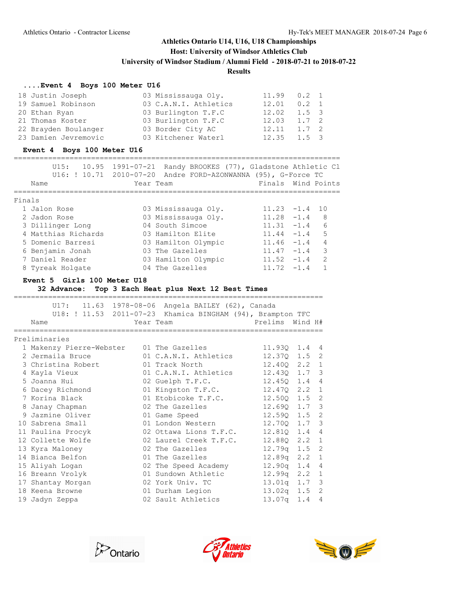# **Host: University of Windsor Athletics Club**

**University of Windsor Stadium / Alumni Field - 2018-07-21 to 2018-07-22**

#### **Results**

#### **....Event 4 Boys 100 Meter U16**

| 18 Justin Joseph     | 03 Mississauga Oly.   | 11.99                     | $0.2 \quad 1$ |  |
|----------------------|-----------------------|---------------------------|---------------|--|
| 19 Samuel Robinson   | 03 C.A.N.I. Athletics | 12.01                     | $0.2 \quad 1$ |  |
| 20 Ethan Ryan        | 03 Burlington T.F.C   | $12.02 \quad 1.5 \quad 3$ |               |  |
| 21 Thomas Koster     | 03 Burlington T.F.C   | 12.03                     | $1.7 \quad 2$ |  |
| 22 Brayden Boulanger | 03 Border City AC     | 12.11                     | $1.7 \quad 2$ |  |
| 23 Damien Jevremovic | 03 Kitchener Waterl   | 12.35                     | $1.5 \quad 3$ |  |

#### **Event 4 Boys 100 Meter U16**

|        | 10.95<br>U15:<br>U16: ! 10.71 2010-07-20<br>Name | 1991-07-21<br>Year Team | Randy BROOKES (77), Gladstone Athletic Cl<br>Andre FORD-AZONWANNA (95), G-Force TC | Finals Wind Points |        |               |
|--------|--------------------------------------------------|-------------------------|------------------------------------------------------------------------------------|--------------------|--------|---------------|
|        |                                                  |                         |                                                                                    |                    |        |               |
| Finals |                                                  |                         |                                                                                    |                    |        |               |
|        | 1 Jalon Rose                                     |                         | 03 Mississauga Oly.                                                                | $11.23 - 1.4$      |        | 1 N           |
|        | 2 Jadon Rose                                     |                         | 03 Mississauga Oly.                                                                | $11.28 - 1.4$      |        | 8             |
|        | 3 Dillinger Long                                 |                         | 04 South Simcoe                                                                    | $11.31 - 1.4$      |        | 6             |
|        | 4 Matthias Richards                              |                         | 03 Hamilton Elite                                                                  | $11.44 - 1.4$      |        | 5             |
|        | 5 Domenic Barresi                                |                         | 03 Hamilton Olympic                                                                | $11.46 - 1.4$      |        | 4             |
|        | 6 Benjamin Jonah                                 |                         | 03 The Gazelles                                                                    | $11.47 - 1.4$      |        | 3             |
|        | 7 Daniel Reader                                  |                         | 03 Hamilton Olympic                                                                | $11.52 - 1.4$      |        | $\mathcal{P}$ |
|        | 8 Tyreak Holgate                                 |                         | 04 The Gazelles                                                                    | 11.72              | $-1.4$ |               |

#### **Event 5 Girls 100 Meter U18**

**32 Advance: Top 3 Each Heat plus Next 12 Best Times**

|   |                                          |  | U17: 11.63 1978-08-06 Angela BAILEY (62), Canada           |                    |      |                |  |  |  |  |  |
|---|------------------------------------------|--|------------------------------------------------------------|--------------------|------|----------------|--|--|--|--|--|
|   |                                          |  | U18: ! 11.53 2011-07-23 Khamica BINGHAM (94), Brampton TFC |                    |      |                |  |  |  |  |  |
|   | Name                                     |  | Year Team                                                  | Prelims Wind H#    |      |                |  |  |  |  |  |
|   |                                          |  |                                                            |                    |      |                |  |  |  |  |  |
|   | Preliminaries                            |  |                                                            |                    |      |                |  |  |  |  |  |
|   | 1 Makenzy Pierre-Webster 01 The Gazelles |  |                                                            | 11.930 1.4         |      | 4              |  |  |  |  |  |
|   | 2 Jermaila Bruce                         |  | 01 C.A.N.I. Athletics                                      | 12.370             | 1.5  | 2              |  |  |  |  |  |
|   | 3 Christina Robert                       |  | 01 Track North                                             | 12.400             | 2.2  | $\mathbf{1}$   |  |  |  |  |  |
|   | 4 Kayla Vieux                            |  | 01 C.A.N.I. Athletics                                      | 12.430             | 1.7  | 3              |  |  |  |  |  |
|   | 5 Joanna Hui                             |  | 02 Guelph T.F.C.                                           | 12.450             | 1.4  | $\overline{4}$ |  |  |  |  |  |
|   | 6 Dacey Richmond                         |  | 01 Kingston T.F.C.                                         | 12.470             | 2.2  | $\mathbf{1}$   |  |  |  |  |  |
|   | 7 Korina Black                           |  | 01 Etobicoke T.F.C.                                        | 12.50Q             | 1.5  | $\overline{2}$ |  |  |  |  |  |
| 8 | Janay Chapman                            |  | 02 The Gazelles                                            | 12.690             | 1.7  | 3              |  |  |  |  |  |
| 9 | Jazmine Oliver                           |  | 01 Game Speed                                              | 12.590             | 1.5  | $\overline{2}$ |  |  |  |  |  |
|   | 10 Sabrena Small                         |  | 01 London Western                                          | 12.70Q             | 1.7  | 3              |  |  |  |  |  |
|   | 11 Paulina Procyk                        |  | 02 Ottawa Lions T.F.C.                                     | 12.810             | 1.4  | $\overline{4}$ |  |  |  |  |  |
|   | 12 Collette Wolfe                        |  | 02 Laurel Creek T.F.C.                                     | 12.880             | 2.2  | $\mathbf{1}$   |  |  |  |  |  |
|   | 13 Kyra Maloney                          |  | 02 The Gazelles                                            | 12.79q             | 1.5  | 2              |  |  |  |  |  |
|   | 14 Bianca Belfon                         |  | 01 The Gazelles                                            | 12.89 <sub>q</sub> | 2, 2 | $\mathbf{1}$   |  |  |  |  |  |
|   | 15 Aliyah Logan                          |  | 02 The Speed Academy                                       | 12.90q             | 1.4  | $\overline{4}$ |  |  |  |  |  |
|   | 16 Breann Vrolyk                         |  | 01 Sundown Athletic                                        | 12.99q             | 2.2  | 1              |  |  |  |  |  |
|   | 17 Shantay Morgan                        |  | 02 York Univ. TC                                           | 13.01q             | 1.7  | 3              |  |  |  |  |  |
|   | 18 Keena Browne                          |  | 01 Durham Legion                                           | 13.02q             | 1.5  | 2              |  |  |  |  |  |
|   | 19 Jadyn Zeppa                           |  | 02 Sault Athletics                                         | 13.07q             | 1.4  | $\overline{4}$ |  |  |  |  |  |
|   |                                          |  |                                                            |                    |      |                |  |  |  |  |  |





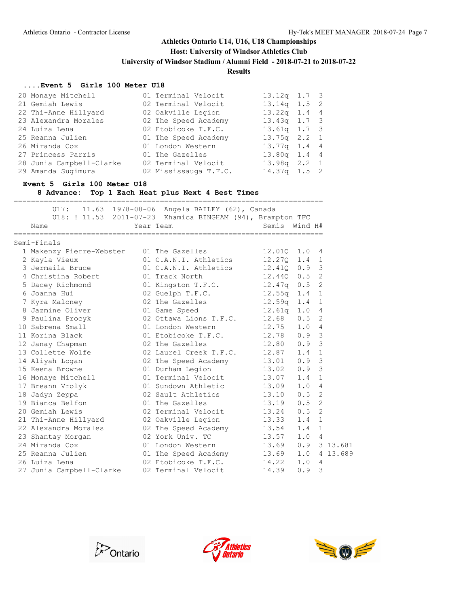**Host: University of Windsor Athletics Club**

**University of Windsor Stadium / Alumni Field - 2018-07-21 to 2018-07-22**

#### **Results**

#### **....Event 5 Girls 100 Meter U18**

| 20 Monaye Mitchell       | 01 Terminal Velocit   | $13.12q$ 1.7 3   |  |
|--------------------------|-----------------------|------------------|--|
| 21 Gemiah Lewis          | 02 Terminal Velocit   | $13.14q$ 1.5 2   |  |
| 22 Thi-Anne Hillyard     | 02 Oakville Legion    | $13.22q$ 1.4 4   |  |
| 23 Alexandra Morales     | 02 The Speed Academy  | $13.43q$ 1.7 3   |  |
| 24 Luiza Lena            | 02 Etobicoke T.F.C.   | $13.61q$ 1.7 3   |  |
| 25 Reanna Julien         | 01 The Speed Academy  | $13.75q$ $2.2$ 1 |  |
| 26 Miranda Cox           | 01 London Western     | $13.77q$ 1.4 4   |  |
| 27 Princess Parris       | 01 The Gazelles       | 13.80q 1.4 4     |  |
| 28 Junia Campbell-Clarke | 02 Terminal Velocit   | $13.98q$ $2.2$ 1 |  |
| 29 Amanda Sugimura       | 02 Mississauga T.F.C. | $14.37q$ 1.5 2   |  |

#### **Event 5 Girls 100 Meter U18**

**8 Advance: Top 1 Each Heat plus Next 4 Best Times**

| ________________________ | -------------------------                                  |                |                |                |          |
|--------------------------|------------------------------------------------------------|----------------|----------------|----------------|----------|
|                          | U17: 11.63 1978-08-06 Angela BAILEY (62), Canada           |                |                |                |          |
|                          | U18: ! 11.53 2011-07-23 Khamica BINGHAM (94), Brampton TFC |                |                |                |          |
| Name                     | Year Team                                                  | Semis Wind H#  |                |                |          |
| Semi-Finals              |                                                            |                |                |                |          |
| 1 Makenzy Pierre-Webster | 01 The Gazelles                                            | 12.010 1.0     |                | 4              |          |
| 2 Kayla Vieux            | 01 C.A.N.I. Athletics                                      | $12,270$ $1.4$ |                | $\mathbf{1}$   |          |
| 3 Jermaila Bruce         | 01 C.A.N.I. Athletics                                      | 12.410 0.9     |                | 3              |          |
| 4 Christina Robert       | 01 Track North                                             | $12.44Q$ $0.5$ |                | 2              |          |
| 5 Dacey Richmond         | 01 Kingston T.F.C.                                         | $12.47q$ 0.5   |                | $\overline{2}$ |          |
| 6 Joanna Hui             | 02 Guelph T.F.C.                                           | $12.55q$ $1.4$ |                | $\mathbf{1}$   |          |
| 7 Kyra Maloney           | 02 The Gazelles                                            | $12.59q$ 1.4   |                | $\mathbf{1}$   |          |
| 8 Jazmine Oliver         | 01 Game Speed                                              | $12.61q$ $1.0$ |                | 4              |          |
| 9 Paulina Procyk         | 02 Ottawa Lions T.F.C.                                     | 12.68          | 0.5            | $\overline{2}$ |          |
| 10 Sabrena Small         | 01 London Western                                          | 12.75          | 1.0            | 4              |          |
| 11 Korina Black          | 01 Etobicoke T.F.C.                                        | $12.78$ 0.9    |                | 3              |          |
| 12 Janay Chapman         | 02 The Gazelles                                            | 12.80 0.9      |                | 3              |          |
| 13 Collette Wolfe        | 02 Laurel Creek T.F.C. 12.87                               |                | 1.4            | $\mathbf{1}$   |          |
| 14 Aliyah Loqan          | 02 The Speed Academy                                       | 13.01          | 0.9            | 3              |          |
| 15 Keena Browne          | 01 Durham Legion                                           | 13.02          | 0.9            | 3              |          |
| 16 Monaye Mitchell       | 01 Terminal Velocit                                        | 13.07          | 1.4            | 1              |          |
| 17 Breann Vrolyk         | 01 Sundown Athletic                                        | 13.09          | 1.0            | 4              |          |
| 18 Jadyn Zeppa           | 02 Sault Athletics                                         | 13.10          | 0.5            | $\overline{2}$ |          |
| 19 Bianca Belfon         | 01 The Gazelles                                            | 13.19          | 0.5            | $\overline{2}$ |          |
| 20 Gemiah Lewis          | 02 Terminal Velocit                                        | 13.24          | 0.5            | $\overline{2}$ |          |
| 21 Thi-Anne Hillyard     | 02 Oakville Legion                                         | 13.33          | 1.4            | $\mathbf{1}$   |          |
| 22 Alexandra Morales     | 02 The Speed Academy                                       | 13.54          | 1.4            | $\mathbf{1}$   |          |
| 23 Shantay Morgan        | 02 York Univ. TC                                           | 13.57          | 1.0            | 4              |          |
| 24 Miranda Cox           | 01 London Western                                          | 13.69          | $0.9$ 3 13.681 |                |          |
| 25 Reanna Julien         | 01 The Speed Academy                                       | 13.69          | 1.0            |                | 4 13.689 |
| 26 Luiza Lena            | 02 Etobicoke T.F.C.                                        | 14.22          | 1.0            | 4              |          |
| 27 Junia Campbell-Clarke | 02 Terminal Velocit                                        | 14.39          | 0.9            | 3              |          |





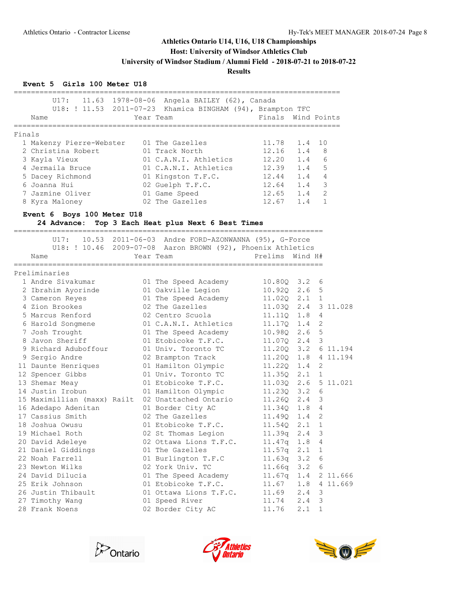**Host: University of Windsor Athletics Club**

**University of Windsor Stadium / Alumni Field - 2018-07-21 to 2018-07-22**

**Results**

### **Event 5 Girls 100 Meter U18**

|        | U17:                        |  | 11.63 1978-08-06 Angela BAILEY (62), Canada                 |                          |               |                |              |
|--------|-----------------------------|--|-------------------------------------------------------------|--------------------------|---------------|----------------|--------------|
|        |                             |  | U18: ! 11.53 2011-07-23 Khamica BINGHAM (94), Brampton TFC  |                          |               |                |              |
|        | Name                        |  | Year Team                                                   | Finals Wind Points       |               |                |              |
|        | ============                |  | :=============                                              | ======================== |               |                |              |
| Finals |                             |  |                                                             |                          |               |                |              |
|        | 1 Makenzy Pierre-Webster    |  | 01 The Gazelles                                             | 11.78                    | 1.4           | 10             |              |
|        | 2 Christina Robert          |  | 01 Track North                                              | 12.16                    | 1.4           | 8              |              |
|        | 3 Kayla Vieux               |  | 01 C.A.N.I. Athletics                                       | 12.20                    | 1.4           | 6              |              |
|        | 4 Jermaila Bruce            |  | 01 C.A.N.I. Athletics                                       | 12.39                    | 1.4           | 5              |              |
|        | 5 Dacey Richmond            |  | 01 Kingston T.F.C.                                          | 12.44                    | 1.4           | 4              |              |
|        | 6 Joanna Hui                |  | 02 Guelph T.F.C.                                            | 12.64                    | 1.4           | $\mathsf 3$    |              |
|        | 7 Jazmine Oliver            |  | 01 Game Speed                                               | 12.65                    | 1.4           | $\overline{2}$ |              |
|        | 8 Kyra Maloney              |  | 02 The Gazelles                                             | 12.67                    | 1.4           | 1              |              |
|        | Event 6 Boys 100 Meter U18  |  |                                                             |                          |               |                |              |
|        | 24 Advance:                 |  | Top 3 Each Heat plus Next 6 Best Times                      |                          |               |                |              |
|        |                             |  |                                                             |                          |               |                |              |
|        | U17:                        |  | $10.53$ 2011-06-03 Andre FORD-AZONWANNA (95), G-Force       |                          |               |                |              |
|        |                             |  | U18: ! 10.46 2009-07-08 Aaron BROWN (92), Phoenix Athletics |                          |               |                |              |
|        | Name                        |  | Year Team                                                   | Prelims                  | Wind H#       |                |              |
|        | . ______________            |  |                                                             |                          |               |                |              |
|        | Preliminaries               |  |                                                             |                          |               |                |              |
|        | 1 Andre Sivakumar           |  | 01 The Speed Academy                                        | 10.800 3.2 6             |               |                |              |
|        | 2 Ibrahim Ayorinde          |  | 01 Oakville Legion                                          | 10.920 2.6 5             |               |                |              |
|        | 3 Cameron Reyes             |  | 01 The Speed Academy                                        | 11.020                   | 2.1           | $\overline{1}$ |              |
|        | 4 Zion Brookes              |  | 02 The Gazelles                                             | 11.03Q                   | 2.4           |                | 3 11.028     |
|        | 5 Marcus Renford            |  | 02 Centro Scuola                                            | 11.110                   | 1.8           | 4              |              |
|        | 6 Harold Songmene           |  | 01 C.A.N.I. Athletics                                       | 11.17Q                   | 1.4           | 2              |              |
|        | 7 Josh Trought              |  | 01 The Speed Academy                                        | 10.98Q                   | 2.6           | 5              |              |
|        | 8 Javon Sheriff             |  | 01 Etobicoke T.F.C.                                         | 11.07Q                   | $2.4 - 3$     |                |              |
|        | 9 Richard Aduboffour        |  | 01 Univ. Toronto TC                                         | 11.200                   | 3.2           |                | 6 11.194     |
|        | 9 Sergio Andre              |  | 02 Brampton Track                                           | 11.20Q                   | 1.8           |                | 4 11.194     |
|        | 11 Daunte Henriques         |  | 01 Hamilton Olympic                                         | 11.220                   | 1.4           | 2              |              |
|        | 12 Spencer Gibbs            |  | 01 Univ. Toronto TC                                         | 11.35Q                   | $2.1 \quad 1$ |                |              |
|        | 13 Shemar Meay              |  | 01 Etobicoke T.F.C.                                         | 11.03Q                   |               |                | 2.6 5 11.021 |
|        | 14 Justin Irobun            |  | 01 Hamilton Olympic                                         | 11.230                   | 3.2           | 6              |              |
|        | 15 Maximillian (maxx) Railt |  | 02 Unattached Ontario                                       | 11,260                   | $2.4 \quad 3$ |                |              |
|        | 16 Adedapo Adenitan         |  | 01 Border City AC                                           | 11.34Q                   | 1.8           | 4              |              |
|        | 17 Cassius Smith            |  | 02 The Gazelles                                             | 11.49Q                   | 1.4           | 2              |              |
|        | 18 Joshua Owusu             |  | 01 Etobicoke T.F.C.                                         | 11.54Q                   | 2.1           | 1              |              |
|        | 19 Michael Roth             |  | 02 St Thomas Legion                                         | 11.39q 2.4               |               | $\mathsf 3$    |              |
|        | 20 David Adeleye            |  | 02 Ottawa Lions T.F.C.                                      | 11.47q                   |               | 4              |              |
|        | 21 Daniel Giddings          |  | 01 The Gazelles                                             | 11.57q                   | 1.8<br>2.1    | 1              |              |
|        | 22 Noah Farrell             |  | 01 Burlington T.F.C                                         | 11.63q                   | 3.2           | 6              |              |
|        | 23 Newton Wilks             |  |                                                             |                          |               |                |              |
|        |                             |  | 02 York Univ. TC                                            | 11.66q                   | 3.2           | 6              |              |
|        | 24 David Dilucia            |  | 01 The Speed Academy                                        | 11.67q                   | 1.4<br>1.8    |                | 2 11.666     |
|        | 25 Erik Johnson             |  | 01 Etobicoke T.F.C.                                         | 11.67                    |               |                | 4 11.669     |
|        | 26 Justin Thibault          |  | 01 Ottawa Lions T.F.C.                                      | 11.69                    | 2.4           | 3              |              |
|        | 27 Timothy Wang             |  | 01 Speed River                                              | 11.74                    | 2.4           | 3              |              |
|        | 28 Frank Noens              |  | 02 Border City AC                                           | 11.76                    | 2.1           | 1              |              |





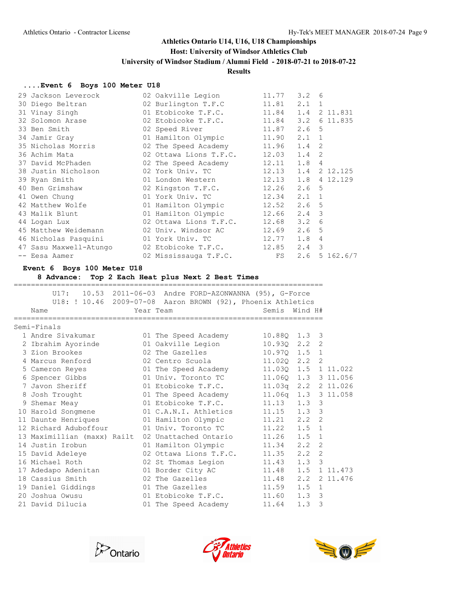## **Host: University of Windsor Athletics Club**

**University of Windsor Stadium / Alumni Field - 2018-07-21 to 2018-07-22**

### **Results**

### **....Event 6 Boys 100 Meter U18**

| 29 Jackson Leverock    | 02 Oakville Legion       | 11.77                 | $3.2 \quad 6$    |                |                 |
|------------------------|--------------------------|-----------------------|------------------|----------------|-----------------|
| 30 Diego Beltran       | 02 Burlington T.F.C      | 11.81                 | $2.1 \quad 1$    |                |                 |
| 31 Vinay Singh         | 01 Etobicoke T.F.C.      | 11.84  1.4  2  11.831 |                  |                |                 |
| 32 Solomon Arase       | 02 Etobicoke T.F.C.      | 11.84                 |                  |                | 3.2 6 11.835    |
| 33 Ben Smith           | 02 Speed River           | 11.87                 | 2.6 <sub>5</sub> |                |                 |
| 34 Jamir Gray          | 01 Hamilton Olympic      | 11.90                 | $2.1 \quad 1$    |                |                 |
| 35 Nicholas Morris     | 02 The Speed Academy     | 11.96                 | $1.4 \quad 2$    |                |                 |
| 36 Achim Mata          | 02 Ottawa Lions T.F.C.   | $12.03$ 1.4           |                  | $\overline{2}$ |                 |
| 37 David McPhaden      | 02 The Speed Academy     | $12.11$ $1.8$ 4       |                  |                |                 |
| 38 Justin Nicholson    | 02 York Univ. TC         | 12.13 1.4 2 12.125    |                  |                |                 |
| 39 Ryan Smith          | 01 London Western        | 12.13 1.8 4 12.129    |                  |                |                 |
| 40 Ben Grimshaw        | 02 Kingston T.F.C.       | 12.26                 | 2.6 <sub>5</sub> |                |                 |
| 41 Owen Chung          | 01 York Univ. TC         | 12.34                 | $2.1 \quad 1$    |                |                 |
| 42 Matthew Wolfe       | 01 Hamilton Olympic      | 12.52                 | 2.6 <sub>5</sub> |                |                 |
| 43 Malik Blunt         | 01 Hamilton Olympic      | 12.66                 | $2.4 \quad 3$    |                |                 |
| 44 Logan Lux           | 02 Ottawa Lions T.F.C.   | 12.68                 | 3.2              | 6              |                 |
| 45 Matthew Weidemann   | 02 Univ. Windsor AC      | 12.69                 | 2.6 <sub>5</sub> |                |                 |
| 46 Nicholas Pasquini   | 01 York Univ. TC         | 12.77                 | 1.8              | $\overline{4}$ |                 |
| 47 Sasu Maxwell-Atungo | 02 Etobicoke T.F.C.      | 12.85                 | $2.4 \quad 3$    |                |                 |
| -- Eesa Aamer          | 02 Mississauga T.F.C. FS |                       |                  |                | $2.6$ 5 162.6/7 |

#### **Event 6 Boys 100 Meter U18**

**8 Advance: Top 2 Each Heat plus Next 2 Best Times**

|                             | U17: 10.53 2011-06-03 Andre FORD-AZONWANNA (95), G-Force                 |                |                     |          |
|-----------------------------|--------------------------------------------------------------------------|----------------|---------------------|----------|
| Name                        | U18: ! 10.46 2009-07-08 Aaron BROWN (92), Phoenix Athletics<br>Year Team | Semis          | Wind H#             |          |
|                             |                                                                          |                |                     |          |
| Semi-Finals                 |                                                                          |                |                     |          |
| 1 Andre Sivakumar           | 01 The Speed Academy                                                     | 10.880 1.3 3   |                     |          |
| 2 Ibrahim Ayorinde          | 01 Oakville Legion                                                       | $10.930$ $2.2$ | 2                   |          |
| 3 Zion Brookes              | 02 The Gazelles 10.970 1.5 1                                             |                |                     |          |
| 4 Marcus Renford            | 02 Centro Scuola 11.020 2.2 2                                            |                |                     |          |
| 5 Cameron Reyes             | 01 The Speed Academy                                                     |                | 11.03Q 1.5 1 11.022 |          |
| 6 Spencer Gibbs             | 01 Univ. Toronto TC                                                      |                | 11.06Q 1.3 3 11.056 |          |
| 7 Javon Sheriff             | 01 Etobicoke T.F.C.                                                      |                | 11.03q 2.2 2 11.026 |          |
| 8 Josh Trought              | 01 The Speed Academy 11.06q 1.3 3 11.058                                 |                |                     |          |
| 9 Shemar Meay               | 01 Etobicoke T.F.C. 11.13 1.3 3                                          |                |                     |          |
| 10 Harold Songmene          | 01 C.A.N.I. Athletics 11.15 1.3                                          |                | 3                   |          |
| 11 Daunte Henriques         | 01 Hamilton Olympic                                                      | 11.21 2.2 2    |                     |          |
| 12 Richard Aduboffour       | 01 Univ. Toronto TC                                                      | 11.22 1.5 1    |                     |          |
| 13 Maximillian (maxx) Railt | 02 Unattached Ontario                                                    | $11.26$ 1.5    | 1                   |          |
| 14 Justin Irobun            | 01 Hamilton Olympic                                                      | 11.34 2.2      | 2                   |          |
| 15 David Adeleye            | 02 Ottawa Lions T.F.C. 11.35 2.2                                         |                | $\overline{2}$      |          |
| 16 Michael Roth             | 02 St Thomas Legion 11.43 1.3 3                                          |                |                     |          |
| 17 Adedapo Adenitan         | 01 Border City AC    11.48    1.5    1    11.473                         |                |                     |          |
| 18 Cassius Smith            | 02 The Gazelles 11.48 2.2                                                |                |                     | 2 11.476 |
| 19 Daniel Giddings          | 01 The Gazelles 11.59 1.5 1                                              |                |                     |          |
| 20 Joshua Owusu             | 01 Etobicoke T.F.C. 11.60 1.3 3                                          |                |                     |          |
| 21 David Dilucia            | 01 The Speed Academy 11.64 1.3                                           |                | 3                   |          |
|                             |                                                                          |                |                     |          |





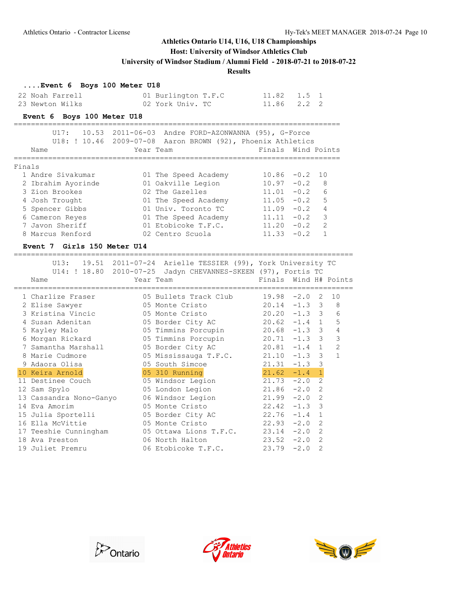### **Host: University of Windsor Athletics Club**

**University of Windsor Stadium / Alumni Field - 2018-07-21 to 2018-07-22**

**Results**

### **....Event 6 Boys 100 Meter U18**

| 22 Noah Farrell | 01 Burlington T.F.C | $11.82$ $1.5$ 1 |
|-----------------|---------------------|-----------------|
| 23 Newton Wilks | 02 York Univ. TC    | 11.86 2.2 2     |

### **Event 6 Boys 100 Meter U18**

|        | III7:<br>10.53     | 2011-06-03 Andre FORD-AZONWANNA (95), G-Force<br>U18: ! 10.46 2009-07-08 Aaron BROWN (92), Phoenix Athletics |               |                           |
|--------|--------------------|--------------------------------------------------------------------------------------------------------------|---------------|---------------------------|
|        | Name               | Year Team                                                                                                    |               | Finals Wind Points        |
| Finals |                    |                                                                                                              |               |                           |
|        | 1 Andre Sivakumar  | 01 The Speed Academy                                                                                         | $10.86 - 0.2$ | 10                        |
|        | 2 Ibrahim Ayorinde | 01 Oakville Legion                                                                                           | 10.97         | - 8<br>$-0.2$             |
|        | 3 Zion Brookes     | 02 The Gazelles                                                                                              | 11.01         | $6\overline{6}$<br>$-0.2$ |
|        | 4 Josh Trought     | 01 The Speed Academy                                                                                         | 11.05         | 5<br>$-0.2$               |
|        | 5 Spencer Gibbs    | 01 Univ. Toronto TC                                                                                          | 11.09         | $-0.2$<br>4               |
|        | 6 Cameron Reyes    | 01 The Speed Academy                                                                                         | 11.11         | 3<br>$-0.2$               |
|        | 7 Javon Sheriff    | 01 Etobicoke T.F.C.                                                                                          | 11.20         | $\mathcal{L}$<br>$-0.2$   |
|        | 8 Marcus Renford   | 02 Centro Scuola                                                                                             | 11.33         | $-0.2$                    |

#### **Event 7 Girls 150 Meter U14**

===============================================================================

|  | U13:                                                                            | 19.51 2011-07-24 Arielle TESSIER (99), York University TC<br>U14: ! 18.80 2010-07-25 Jadyn CHEVANNES-SKEEN (97), Fortis TC                                                                                                    |                       |          |                |                |
|--|---------------------------------------------------------------------------------|-------------------------------------------------------------------------------------------------------------------------------------------------------------------------------------------------------------------------------|-----------------------|----------|----------------|----------------|
|  | Name                                                                            | Year Team and the state of the state of the state of the state of the state of the state of the state of the state of the state of the state of the state of the state of the state of the state of the state of the state of | Finals Wind H# Points |          |                |                |
|  | 1 Charlize Fraser                                                               |                                                                                                                                                                                                                               |                       |          |                | 10             |
|  | 2 Elise Sawyer                                                                  |                                                                                                                                                                                                                               |                       |          |                |                |
|  | 3 Kristina Vincic                                                               | 05 Monte Cristo 20.20 -1.3 3                                                                                                                                                                                                  |                       |          |                | 6              |
|  | 4 Susan Adenitan                                                                | 05 Border City AC    20.62 -1.4 1                                                                                                                                                                                             |                       |          |                | 5              |
|  | 5 Kayley Malo                                                                   | 05 Timmins Porcupin 20.68 -1.3 3                                                                                                                                                                                              |                       |          |                | $\overline{4}$ |
|  | 6 Morgan Rickard                 05 Timmins Porcupin             20.71 -1.3   3 |                                                                                                                                                                                                                               |                       |          |                | $\mathcal{E}$  |
|  | 7 Samantha Marshall                                                             | 05 Border City AC 20.81 -1.4 1                                                                                                                                                                                                |                       |          |                | 2              |
|  | 8 Marie Cudmore 05 Mississauga T.F.C. 21.10 -1.3 3                              |                                                                                                                                                                                                                               |                       |          |                | $\mathbf{1}$   |
|  |                                                                                 | 05 South Simcoe 21.31 -1.3 3                                                                                                                                                                                                  |                       |          |                |                |
|  | 10 Keira Arnold                                                                 | 05 310 Running                                                                                                                                                                                                                | $21.62 -1.4 1$        |          |                |                |
|  | 11 Destinee Couch                                                               | 05 Windsor Legion                                                                                                                                                                                                             | 21.73                 | $-2.0$   | 2              |                |
|  | 12 Sam Spylo                                                                    | 05 London Legion 21.86 -2.0                                                                                                                                                                                                   |                       |          | 2              |                |
|  | 13 Cassandra Nono-Ganyo                                                         | 06 Windsor Legion 21.99                                                                                                                                                                                                       |                       | $-2.0$ 2 |                |                |
|  | 14 Eva Amorim                                                                   | 05 Monte Cristo 22.42                                                                                                                                                                                                         |                       | $-1.3$ 3 |                |                |
|  | 15 Julia Sportelli                                                              | 05 Border City AC 22.76                                                                                                                                                                                                       |                       | $-1.4$   | $\mathbf{1}$   |                |
|  | 16 Ella McVittie                                                                | 05 Monte Cristo 22.93 -2.0                                                                                                                                                                                                    |                       |          | 2              |                |
|  | 17 Teeshie Cunningham                                                           | 05 Ottawa Lions T.F.C. 23.14                                                                                                                                                                                                  |                       | $-2.0$ 2 |                |                |
|  | 18 Ava Preston and the Ava                                                      | 06 North Halton 23.52 -2.0                                                                                                                                                                                                    |                       |          | 2              |                |
|  | 19 Juliet Premru                                                                | 06 Etobicoke T.F.C. 23.79                                                                                                                                                                                                     |                       | $-2.0$   | $\overline{2}$ |                |





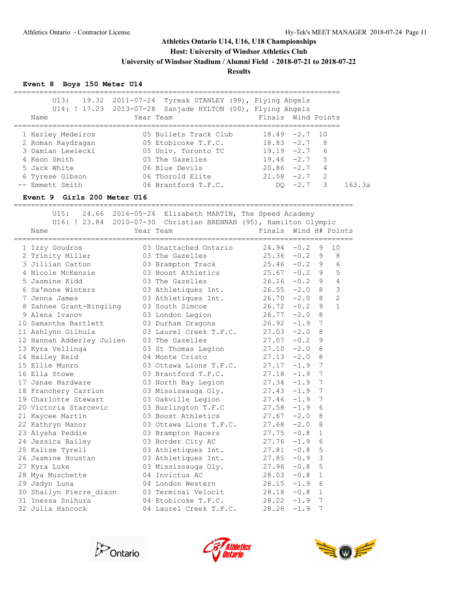**Host: University of Windsor Athletics Club**

**University of Windsor Stadium / Alumni Field - 2018-07-21 to 2018-07-22**

**Results**

### **Event 8 Boys 150 Meter U14**

| Name              | $U13:$ 19.32 2011-07-24 Tyreak STANLEY (99), Flying Angels<br>U14: ! 17.23 2013-07-28 Sanjade HYLTON (00), Flying Angels<br>Year Team | Finals Wind Points              |
|-------------------|---------------------------------------------------------------------------------------------------------------------------------------|---------------------------------|
|                   |                                                                                                                                       |                                 |
| 1 Harley Medeiros | 05 Bullets Track Club                                                                                                                 | $18.49 - 2.7$ 10                |
| 2 Roman Raydragan | 05 Etobicoke T.F.C.                                                                                                                   | $18.83 - 2.7$<br>- 8            |
| 3 Damian Lewiecki | 05 Univ. Toronto TC                                                                                                                   | 6<br>$19.19 - 2.7$              |
| 4 Keon Smith      | 05 The Gazelles                                                                                                                       | 5<br>$19.46 -2.7$               |
| 5 Jack White      | 06 Blue Devils                                                                                                                        | $\overline{4}$<br>$20.86 - 2.7$ |
| 6 Tyrese Gibson   | 06 Thorold Elite                                                                                                                      | 2<br>$21.58 - 2.7$              |
| -- Emmett Smith   | 06 Brantford T.F.C.                                                                                                                   | 3<br>$-2.7$<br>DO.              |
|                   |                                                                                                                                       |                                 |

## **Event 9 Girls 200 Meter U16**

|                           | U15: 24.66 2016-05-24 Elizabeth MARTIN, The Speed Academy                                                                                                                                                   |                         |
|---------------------------|-------------------------------------------------------------------------------------------------------------------------------------------------------------------------------------------------------------|-------------------------|
| Name                      | U16: ! 23.84 2010-07-30 Christian BRENNAN (95), Hamilton Olympic<br>Year Team                                                                                                                               | Finals Wind H# Points   |
|                           |                                                                                                                                                                                                             |                         |
| 1 Izzy Goudros            | 03 Unattached Ontario 24.94 -0.2 9<br>03 The Gazelles 25.36 -0.2 9<br>03 Brampton Track 25.46 -0.2 9<br>03 Boost Athletics 25.67 -0.2 9<br>03 The Gazelles 26.16 -0.2 9<br>03 Athletiques Int. 26.55 -2.0 8 | 10                      |
| 2 Trinity Miller          |                                                                                                                                                                                                             | 8                       |
| 3 Jillian Catton          | $25.46 -0.2$ 9                                                                                                                                                                                              | 6                       |
| 4 Nicole McKenzie         |                                                                                                                                                                                                             | 5                       |
| 5 Jasmine Kidd            |                                                                                                                                                                                                             | $\overline{4}$          |
| 6 Sa'mone Winters         |                                                                                                                                                                                                             | $\mathfrak{Z}$          |
| 7 Jenna James             | 03 Athletiques Int. $26.70 -2.0$ 8                                                                                                                                                                          | $\overline{c}$          |
| 8 Zahnee Grant-Bingling   | 03 South Simcoe<br>$26.72 -0.2$ 9                                                                                                                                                                           | $\mathbf{1}$            |
| 9 Alena Ivanov            | $26.77 - 2.0$ 8<br>03 London Legion                                                                                                                                                                         |                         |
| 10 Samantha Bartlett      | 03 Durham Dragons 26.92 -1.9 7                                                                                                                                                                              |                         |
| 11 Ashlynn Gilhula        | 03 Laurel Creek T.F.C. 27.03 -2.0                                                                                                                                                                           | 8                       |
| 12 Hannah Adderley Julien | 03 The Gazelles<br>$27.07 - 0.2$ 9                                                                                                                                                                          |                         |
| 13 Kyra Vellinga          | 03 St Thomas Legion 27.10 -2.0                                                                                                                                                                              | 8                       |
| 14 Hailey Reid            | 04 Monte Cristo<br>$27.13 - 2.0$ 8                                                                                                                                                                          |                         |
| 15 Ellie Munro            | 03 Ottawa Lions T.F.C. 27.17 -1.9 7                                                                                                                                                                         |                         |
| 16 Ella Stowe             | 03 Brantford T.F.C.<br>$27.18 - 1.9$                                                                                                                                                                        | 7                       |
| 17 Janae Hardware         | $27.34 -1.9$<br>03 North Bay Legion                                                                                                                                                                         | $\overline{7}$          |
| 18 Franchery Carrion      | $27.43 - 1.9$ 7<br>03 Mississauga Oly.                                                                                                                                                                      |                         |
|                           | 19 Charlotte Stewart 03 Oakville Legion 27.46 -1.9                                                                                                                                                          | 7                       |
|                           | 20 Victoria Starcevic <b>3</b> Burlington T.F.C 27.58 -1.9                                                                                                                                                  | 6                       |
| 21 Kaycee Martin          | 03 Boost Athletics<br>$27.67 - 2.0$ 8                                                                                                                                                                       |                         |
| 22 Kathryn Manor          | 03 Ottawa Lions T.F.C. 27.68 -2.0 8                                                                                                                                                                         |                         |
| 23 Alysha Peddie          | 03 Brampton Racers<br>$27.75 - 0.8$                                                                                                                                                                         | $\mathbf{1}$            |
| 24 Jessica Bailey         | 03 Border City AC<br>$27.76 - 1.9$ 6                                                                                                                                                                        |                         |
| 25 Kalise Tyrell          | 03 Athletiques Int.<br>$27.81 - 0.8$                                                                                                                                                                        | 5                       |
| 26 Jasmine Houstan        | 03 Athletiques Int.<br>$27.85 - 0.9$                                                                                                                                                                        | $\overline{\mathbf{3}}$ |
| 27 Kyra Luke              | 03 Mississauga Oly.<br>$27.96 - 0.8$                                                                                                                                                                        | 5                       |
| 28 Mya Muschette          | 04 Invictus AC<br>$28.03 - 0.8$                                                                                                                                                                             | 1                       |
| 29 Jadyn Luna             | 04 London Western 28.15 -1.9                                                                                                                                                                                | - 6                     |
|                           | 30 Shailyn Pierre dixon 03 Terminal Velocit 28.18 -0.8                                                                                                                                                      | 1                       |
| 31 Inessa Snihura         | 04 Etobicoke T.F.C. 28.22 -1.9 7                                                                                                                                                                            |                         |
| 32 Julia Hancock          | 04 Laurel Creek T.F.C.<br>28.26                                                                                                                                                                             | $-1.9$<br>7             |





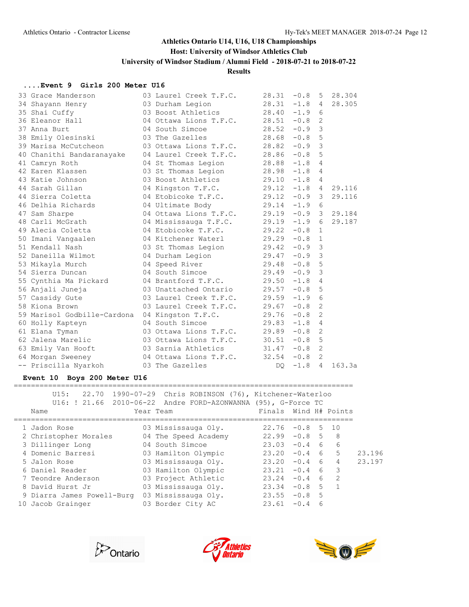### **Host: University of Windsor Athletics Club**

**University of Windsor Stadium / Alumni Field - 2018-07-21 to 2018-07-22**

**Results**

#### **....Event 9 Girls 200 Meter U16**

| 33 Grace Manderson          | 03 Laurel Creek T.F.C.           | 28.31           | $-0.8$   | 5              | 28.304          |
|-----------------------------|----------------------------------|-----------------|----------|----------------|-----------------|
| 34 Shayann Henry            | 03 Durham Legion                 | 28.31           | $-1.8$   | 4              | 28.305          |
| 35 Shai Cuffy               | 03 Boost Athletics               | $28.40 -1.9$    |          | 6              |                 |
| 36 Eleanor Hall             | 04 Ottawa Lions T.F.C. 28.51     |                 | $-0.8$   | 2              |                 |
| 37 Anna Burt                | 04 South Simcoe                  | 28.52           | $-0.9$ 3 |                |                 |
| 38 Emily Olesinski          | 03 The Gazelles and the San      | 28.68           | $-0.8$ 5 |                |                 |
| 39 Marisa McCutcheon        | 03 Ottawa Lions T.F.C.           | 28.82           | $-0.9$   | 3              |                 |
| 40 Chanithi Bandaranayake   | 04 Laurel Creek T.F.C.           | 28.86           | $-0.8$   | 5              |                 |
| 41 Camryn Roth              | 04 St Thomas Legion              | 28.88           | $-1.8$ 4 |                |                 |
| 42 Earen Klassen            | 03 St Thomas Legion              | $28.98 - 1.8$   |          | 4              |                 |
| 43 Katie Johnson            | 03 Boost Athletics               | $29.10 -1.8 4$  |          |                |                 |
| 44 Sarah Gillan             | 04 Kingston T.F.C. 29.12 -1.8 4  |                 |          |                | 29.116          |
| 44 Sierra Coletta           | 04 Etobicoke T.F.C.              | $29.12 -0.9$ 3  |          |                | 29.116          |
| 46 Delhia Richards          | 04 Ultimate Body                 | 29.14           | $-1.9$   | 6              |                 |
| 47 Sam Sharpe               | 04 Ottawa Lions T.F.C.           | 29.19           |          |                | $-0.9$ 3 29.184 |
| 48 Carli McGrath            | 04 Mississauga T.F.C.            | $29.19 - 1.9$ 6 |          |                | 29.187          |
| 49 Alecia Coletta           | 04 Etobicoke T.F.C.              | $29.22 -0.8$ 1  |          |                |                 |
| 50 Imani Vangaalen          | 04 Kitchener Waterl 29.29        |                 | $-0.8$   | $\mathbf{1}$   |                 |
| 51 Kendall Nash             | 03 St Thomas Legion 29.42 -0.9 3 |                 |          |                |                 |
| 52 Daneilla Wilmot          | 04 Durham Legion                 | $29.47 -0.9$ 3  |          |                |                 |
| 53 Mikayla Murch            | 04 Speed River 29.48             |                 | $-0.8$ 5 |                |                 |
| 54 Sierra Duncan            | 04 South Simcoe 29.49            |                 | $-0.9$   | 3              |                 |
| 55 Cynthia Ma Pickard       | 04 Brantford T.F.C.              | 29.50           | $-1.8$   | $\overline{4}$ |                 |
| 56 Anjali Juneja            | 03 Unattached Ontario            | 29.57           | $-0.8$ 5 |                |                 |
| 57 Cassidy Gute             | 03 Laurel Creek T.F.C.           | $29.59 - 1.9$ 6 |          |                |                 |
| 58 Kiona Brown              | 03 Laurel Creek T.F.C.           | 29.67           | $-0.8$   | 2              |                 |
| 59 Marisol Godbille-Cardona | 04 Kingston T.F.C.               | 29.76           | $-0.8$   | 2              |                 |
| 60 Holly Kapteyn            | 04 South Simcoe                  | 29.83           | $-1.8$   | $\overline{4}$ |                 |
| 61 Elana Tyman              | 03 Ottawa Lions T.F.C.           | 29.89           | $-0.8$   | $\mathbf{2}$   |                 |
| 62 Jalena Marelic           | 03 Ottawa Lions T.F.C. 30.51     |                 | $-0.8$   | 5              |                 |
| 63 Emily Van Hooft          | 03 Sarnia Athletics              | 31.47           | $-0.8$   | 2              |                 |
| 64 Morgan Sweeney           | 04 Ottawa Lions T.F.C. 32.54     |                 | $-0.8$ 2 |                |                 |
| -- Priscilla Nyarkoh        | 03 The Gazelles                  | DO              | $-1.8$   | $\overline{4}$ | 163.3a          |
|                             |                                  |                 |          |                |                 |

### **Event 10 Boys 200 Meter U16**

| U15:<br>Name               | 22.70 1990-07-29 Chris ROBINSON (76), Kitchener-Waterloo<br>Year Team | Finals Wind H# Points |                                     |        |
|----------------------------|-----------------------------------------------------------------------|-----------------------|-------------------------------------|--------|
| 1 Jadon Rose               | 03 Mississauga Oly.                                                   | 22.76<br>$-0.8$       | 10<br>.5.                           |        |
| 2 Christopher Morales      | 04 The Speed Academy                                                  | $22.99 - 0.8$ 5       | - 8                                 |        |
| 3 Dillinger Long           | 04 South Simcoe                                                       | 23.03<br>$-0.4$       | $6\overline{6}$<br>$6 \overline{6}$ |        |
| 4 Domenic Barresi          | 03 Hamilton Olympic                                                   | 23.20<br>$-0.4$       | 5<br>6                              | 23.196 |
| 5 Jalon Rose               | 03 Mississauga Oly.                                                   | $23.20 - 0.4$         | 6<br>4                              | 23.197 |
| 6 Daniel Reader            | 03 Hamilton Olympic                                                   | 23.21<br>$-0.4$       | 3<br>6                              |        |
| 7 Teondre Anderson         | 03 Project Athletic                                                   | $23.24 -0.4$          | $\mathcal{L}$<br>6                  |        |
| 8 David Hurst Jr           | 03 Mississauga Oly.                                                   | 23.34<br>$-0.8$       | 5<br>$\overline{1}$                 |        |
| 9 Diarra James Powell-Burg | 03 Mississauga Oly.                                                   | 23.55<br>$-0.8$       | 5                                   |        |
| 10 Jacob Grainger          | 03 Border City AC                                                     | 23.61<br>$-0.4$       | 6                                   |        |





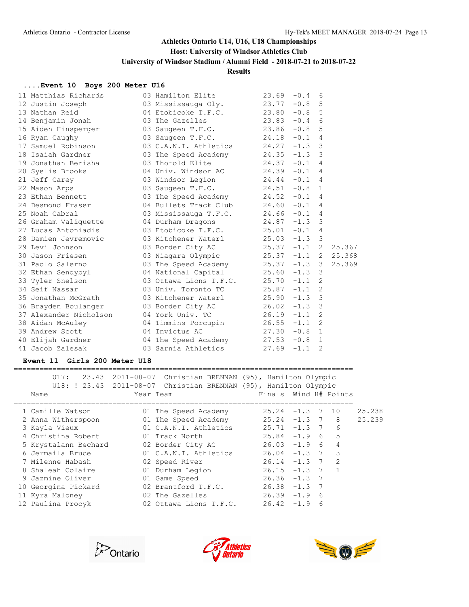#### **Host: University of Windsor Athletics Club**

**University of Windsor Stadium / Alumni Field - 2018-07-21 to 2018-07-22**

#### **Results**

#### **....Event 10 Boys 200 Meter U16**

| 11 Matthias Richards                                                                                           | 03 Hamilton Elite                                                       | 23.69 | $-0.4$ | 6 |  |
|----------------------------------------------------------------------------------------------------------------|-------------------------------------------------------------------------|-------|--------|---|--|
| 12 Justin Joseph                                                                                               | 03 Mississauga Oly. 23.77 -0.8 5                                        |       |        |   |  |
| 13 Nathan Reid                                                                                                 | 04 Etobicoke T.F.C. 23.80 -0.8 5                                        |       |        |   |  |
| 14 Benjamin Jonah                                                                                              | 03 The Gazelles 23.83 -0.4 6                                            |       |        |   |  |
| 15 Aiden Hinsperger                                                                                            | 03 Saugeen T.F.C. 23.86 -0.8                                            |       |        | 5 |  |
| 16 Ryan Caughy                                                                                                 | 03 Saugeen T.F.C. 24.18 -0.1 4                                          |       |        |   |  |
| 17 Samuel Robinson 03 C.A.N.I. Athletics 24.27 -1.3 3                                                          |                                                                         |       |        |   |  |
| 18 Isaiah Gardner                                                                                              | 03 The Speed Academy 24.35 -1.3 3                                       |       |        |   |  |
| 19 Jonathan Berisha                                                                                            | 03 Thorold Elite<br>$24.37 - 0.1$ 4                                     |       |        |   |  |
| 20 Syelis Brooks                                                                                               | 04 Univ. Windsor AC 24.39 -0.1 4                                        |       |        |   |  |
| 21 Jeff Carey                                                                                                  | 03 Windsor Legion 24.44 -0.1 4                                          |       |        |   |  |
| 22 Mason Arps                                                                                                  | 03 Saugeen T.F.C. 24.51 -0.8 1                                          |       |        |   |  |
| 23 Ethan Bennett                                                                                               | 03 The Speed Academy 24.52 -0.1 4                                       |       |        |   |  |
| 24 Desmond Fraser and Desmond Traser                                                                           | 04 Bullets Track Club 24.60 -0.1 4                                      |       |        |   |  |
| 25 Noah Cabral                                                                                                 | 03 Mississauga T.F.C. 24.66 -0.1 4                                      |       |        |   |  |
| 26 Graham Valiquette                                                                                           | 04 Durham Dragons 24.87 -1.3 3                                          |       |        |   |  |
| 27 Lucas Antoniadis                                                                                            | 03 Etobicoke T.F.C. 25.01 -0.1 4                                        |       |        |   |  |
| 28 Damien Jevremovic (03 Kitchener Waterl (25.03 -1.3 3)                                                       |                                                                         |       |        |   |  |
| 29 Levi Johnson – Johnson († 1930)                                                                             | 03 Border City AC 25.37 -1.1 2 25.367                                   |       |        |   |  |
| 30 Jason Friesen (3 Niagara Olympic 25.37 -1.1 2 25.368                                                        |                                                                         |       |        |   |  |
| 31 Paolo Salerno and a control of the Sales of the Sales of the Sales of the Sales of the Sales of the Sales o | 03 The Speed Academy 25.37 -1.3 3 25.369                                |       |        |   |  |
| 32 Ethan Sendybyl                                                                                              | 04 National Capital 25.60 -1.3 3<br>03 Ottawa Lions T.F.C. 25.70 -1.1 2 |       |        |   |  |
| 33 Tyler Snelson                                                                                               |                                                                         |       |        |   |  |
| 34 Seif Nassar                                                                                                 | 03 Univ. Toronto TC 25.87 -1.1 2                                        |       |        |   |  |
| 35 Jonathan McGrath (3) Mitchener Waterl (25.90 -1.3 3)                                                        |                                                                         |       |        |   |  |
| 36 Brayden Boulanger (3 Border City AC (26.02 -1.3 3)                                                          |                                                                         |       |        |   |  |
| 37 Alexander Nicholson 04 York Univ. TC 26.19 -1.1 2                                                           |                                                                         |       |        |   |  |
| 38 Aidan McAuley 64 Timmins Porcupin 26.55 -1.1                                                                |                                                                         |       |        | 2 |  |
| 04 Invictus AC<br>39 Andrew Scott                                                                              | 27.30                                                                   |       | $-0.8$ | 1 |  |
| 40 Elijah Gardner (1944) 04 The Speed Academy (27.53 -0.8 1                                                    |                                                                         |       |        |   |  |
| 41 Jacob Zalesak                                                                                               | 03 Sarnia Athletics 27.69                                               |       | $-1.1$ | 2 |  |
|                                                                                                                |                                                                         |       |        |   |  |

#### **Event 11 Girls 200 Meter U18**

=============================================================================== U17: 23.43 2011-08-07 Christian BRENNAN (95), Hamilton Olympic U18: ! 23.43 2011-08-07 Christian BRENNAN (95), Hamilton Olympic Name Tear Team Team Finals Wind H# Points =============================================================================== 1 Camille Watson 01 The Speed Academy 25.24 -1.3 7 10 25.238 2 Anna Witherspoon 01 The Speed Academy 25.24 -1.3 7 8 25.239 3 Kayla Vieux 01 C.A.N.I. Athletics 25.71 -1.3 7 6 4 Christina Robert 01 Track North 25.84 -1.9 6 5 5 Krystalann Bechard 02 Border City AC 26.03 -1.9 6 4 6 Jermaila Bruce 01 C.A.N.I. Athletics 26.04 -1.3 7 3 7 Milenne Habash 02 Speed River 26.14 -1.3 7 2 8 Shaleah Colaire 01 Durham Legion 26.15 -1.3 7 1 9 Jazmine Oliver 01 Game Speed 26.36 -1.3 7 10 Georgina Pickard 02 Brantford T.F.C. 26.38 -1.3 7 11 Kyra Maloney 02 The Gazelles 26.39 -1.9 6 12 Paulina Procyk 02 Ottawa Lions T.F.C. 26.42 -1.9 6





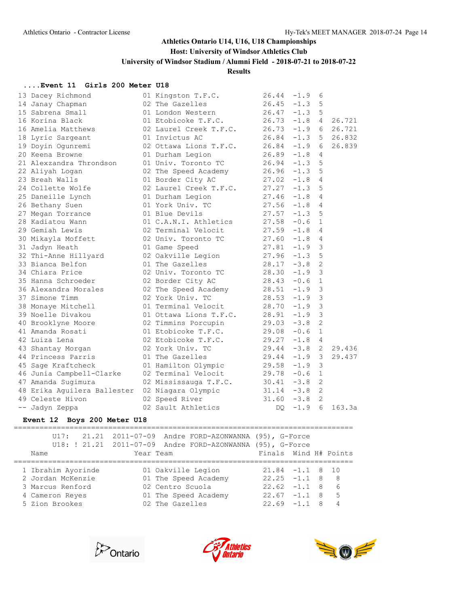#### **Host: University of Windsor Athletics Club**

**University of Windsor Stadium / Alumni Field - 2018-07-21 to 2018-07-22**

#### **Results**

#### **....Event 11 Girls 200 Meter U18**

| 13 Dacey Richmond           | 01 Kingston T.F.C.     | 26.44 | $-1.9$   | 6              |                 |
|-----------------------------|------------------------|-------|----------|----------------|-----------------|
| 14 Janay Chapman            | 02 The Gazelles        | 26.45 | $-1.3$   | 5              |                 |
| 15 Sabrena Small            | 01 London Western      | 26.47 | $-1.3$   | 5              |                 |
| 16 Korina Black             | 01 Etobicoke T.F.C.    | 26.73 | $-1.8$   | $4 \quad$      | 26.721          |
| 16 Amelia Matthews          | 02 Laurel Creek T.F.C. | 26.73 | $-1.9$   |                | 6 26.721        |
| 18 Lyric Sargeant           | 01 Invictus AC         | 26.84 |          |                | $-1.3$ 5 26.832 |
| 19 Doyin Ogunremi           | 02 Ottawa Lions T.F.C. | 26.84 | $-1.9$   | 6              | 26.839          |
| 20 Keena Browne             | 01 Durham Legion       | 26.89 | $-1.8$   | 4              |                 |
| 21 Alexzandra Throndson     | 01 Univ. Toronto TC    | 26.94 | $-1.3$   | 5              |                 |
| 22 Aliyah Logan             | 02 The Speed Academy   | 26.96 | $-1.3$   | 5              |                 |
| 23 Breah Walls              | 01 Border City AC      | 27.02 | $-1.8$   | 4              |                 |
| 24 Collette Wolfe           | 02 Laurel Creek T.F.C. | 27.27 | $-1.3$   | 5              |                 |
| 25 Daneille Lynch           | 01 Durham Legion       | 27.46 | $-1.8$   | 4              |                 |
| 26 Bethany Suen             | 01 York Univ. TC       | 27.56 | $-1.8$   | $\overline{4}$ |                 |
| 27 Megan Torrance           | 01 Blue Devils         | 27.57 | $-1.3$   | 5              |                 |
| 28 Kadiatou Wann            | 01 C.A.N.I. Athletics  | 27.58 | $-0.6$   | $\mathbf 1$    |                 |
| 29 Gemiah Lewis             | 02 Terminal Velocit    | 27.59 | $-1.8$   | 4              |                 |
| 30 Mikayla Moffett          | 02 Univ. Toronto TC    | 27.60 | $-1.8$   | $\overline{4}$ |                 |
| 31 Jadyn Heath              | 01 Game Speed          | 27.81 | $-1.9$   | 3              |                 |
| 32 Thi-Anne Hillyard        | 02 Oakville Legion     | 27.96 | $-1.3$   | 5              |                 |
| 33 Bianca Belfon            | 01 The Gazelles        | 28.17 | $-3.8$   | 2              |                 |
| 34 Chiara Price             | 02 Univ. Toronto TC    | 28.30 | $-1.9$   | $\mathsf 3$    |                 |
| 35 Hanna Schroeder          | 02 Border City AC      | 28.43 | $-0.6$   | $\mathbf{1}$   |                 |
| 36 Alexandra Morales        | 02 The Speed Academy   | 28.51 | $-1.9$   | $\mathsf 3$    |                 |
| 37 Simone Timm              | 02 York Univ. TC       | 28.53 | $-1.9$   | $\mathfrak{Z}$ |                 |
| 38 Monaye Mitchell          | 01 Terminal Velocit    | 28.70 | $-1.9$   | $\mathfrak{Z}$ |                 |
| 39 Noelle Divakou           | 01 Ottawa Lions T.F.C. | 28.91 | $-1.9$ 3 |                |                 |
| 40 Brooklyne Moore          | 02 Timmins Porcupin    | 29.03 | $-3.8$   | 2              |                 |
| 41 Amanda Rosati            | 01 Etobicoke T.F.C.    | 29.08 | $-0.6$   | $\mathbf{1}$   |                 |
| 42 Luiza Lena               | 02 Etobicoke T.F.C.    | 29.27 | $-1.8$   | 4              |                 |
| 43 Shantay Morgan           | 02 York Univ. TC       | 29.44 | $-3.8$   | 2              | 29.436          |
| 44 Princess Parris          | 01 The Gazelles        | 29.44 | $-1.9$ 3 |                | 29.437          |
| 45 Sage Kraftcheck          | 01 Hamilton Olympic    | 29.58 | $-1.9$   | 3              |                 |
| 46 Junia Campbell-Clarke    | 02 Terminal Velocit    | 29.78 | $-0.6$   | $\mathbf{1}$   |                 |
| 47 Amanda Sugimura          | 02 Mississauga T.F.C.  | 30.41 | $-3.8$   | 2              |                 |
| 48 Erika Aguilera Ballester | 02 Niagara Olympic     | 31.14 | $-3.8$   | 2              |                 |
| 49 Celeste Hivon            | 02 Speed River         | 31.60 | $-3.8$   | 2              |                 |
| -- Jadyn Zeppa              | 02 Sault Athletics     | DQ.   | $-1.9$   | 6              | 163.3a          |
|                             |                        |       |          |                |                 |

#### **Event 12 Boys 200 Meter U18**

=============================================================================== U17: 21.21 2011-07-09 Andre FORD-AZONWANNA (95), G-Force U18: ! 21.21 2011-07-09 Andre FORD-AZONWANNA (95), G-Force Name Tear Team Finals Wind H# Points =============================================================================== 1 Ibrahim Ayorinde 01 Oakville Legion 21.84 -1.1 8 10 2 Jordan McKenzie 01 The Speed Academy 22.25 -1.1 8 8 3 Marcus Renford 02 Centro Scuola 22.62 -1.1 8 6 4 Cameron Reyes 01 The Speed Academy 22.67 -1.1 8 5 5 Zion Brookes 02 The Gazelles 22.69 -1.1 8 4





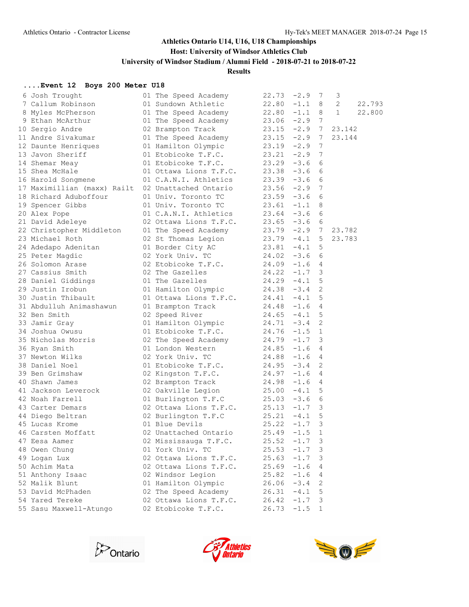### **Host: University of Windsor Athletics Club**

**University of Windsor Stadium / Alumni Field - 2018-07-21 to 2018-07-22**

### **Results**

### **....Event 12 Boys 200 Meter U18**

| 6 Josh Trought                                                 | 01 The Speed Academy                                                         | $22.73 - 2.9$ 7 |        |                 | $\mathcal{S}$ |        |
|----------------------------------------------------------------|------------------------------------------------------------------------------|-----------------|--------|-----------------|---------------|--------|
| 7 Callum Robinson                                              | 01 Sundown Athletic                                                          | $22.80 -1.1 8$  |        |                 | 2             | 22.793 |
| 8 Myles McPherson                                              | 01 The Speed Academy                                                         | $22.80 -1.1 8$  |        |                 | $\mathbf{1}$  | 22.800 |
| 9 Ethan McArthur                                               | 01 The Speed Academy 23.06 -2.9                                              |                 |        | $7\phantom{.0}$ |               |        |
| 10 Sergio Andre                                                | 02 Brampton Track                                                            | $23.15 -2.9$ 7  |        |                 | 23.142        |        |
| 11 Andre Sivakumar                                             | 01 The Speed Academy $23.15 -2.9$ 7                                          |                 |        |                 | 23.144        |        |
| 12 Daunte Henriques                                            |                                                                              |                 |        | $\overline{7}$  |               |        |
| 13 Javon Sheriff                                               | 01 Hamilton Olympic 23.19 -2.9<br>01 Etobicoke T.F.C. 23.21 -2.9             |                 |        | $\overline{7}$  |               |        |
| 14 Shemar Meay                                                 | 01 Etobicoke T.F.C. 23.29 $-3.6$                                             |                 |        | 6               |               |        |
| 15 Shea McHale                                                 | 01 Ottawa Lions T.F.C. 23.38 -3.6                                            |                 |        | 6               |               |        |
| 16 Harold Songmene                                             | 01 C.A.N.I. Athletics                                                        | $23.39 - 3.6$   |        | 6               |               |        |
| 17 Maximillian (maxx) Railt 02 Unattached Ontario 23.56 -2.9 7 |                                                                              |                 |        |                 |               |        |
| 18 Richard Aduboffour                                          |                                                                              |                 |        |                 |               |        |
| 19 Spencer Gibbs                                               | 01 Univ. Toronto TC<br>01 Univ. Toronto TC<br>23.61 -1.1 8                   |                 |        |                 |               |        |
| 20 Alex Pope                                                   | 01 C.A.N.I. Athletics 23.64 -3.6                                             |                 |        | 6               |               |        |
| 21 David Adeleye                                               | 02 Ottawa Lions T.F.C.                                                       | $23.65 - 3.6$   |        | 6               |               |        |
| 22 Christopher Middleton                                       | 01 The Speed Academy 23.79 -2.9 7                                            |                 |        |                 | 23.782        |        |
| 23 Michael Roth                                                | 02 St Thomas Legion<br>01 Border City AC<br>02 York Univ. TC<br>24.02 -3.6 6 |                 |        |                 | 23.783        |        |
| 24 Adedapo Adenitan                                            |                                                                              |                 |        |                 |               |        |
| 25 Peter Magdic                                                |                                                                              |                 |        |                 |               |        |
| 26 Solomon Arase                                               | 02 Etobicoke T.F.C. 24.09 -1.6 4                                             |                 |        |                 |               |        |
| 27 Cassius Smith                                               | 02 The Gazelles $24.22 -1.7$                                                 |                 |        | 3               |               |        |
| 28 Daniel Giddings                                             | $24.29 - 4.1$<br>01 The Gazelles                                             |                 |        | 5               |               |        |
| 29 Justin Irobun                                               | 01 Hamilton Olympic 24.38 -3.4                                               |                 |        | 2               |               |        |
| 30 Justin Thibault                                             |                                                                              |                 |        |                 |               |        |
| 31 Abdulluh Animashawun                                        | 01 Ottawa Lions T.F.C. 24.41 -4.1 5<br>01 Brampton Track 24.48 -1.6 4        |                 |        |                 |               |        |
| 32 Ben Smith                                                   | $24.65 - 4.1 5$<br>02 Speed River                                            |                 |        |                 |               |        |
| 33 Jamir Gray                                                  | 01 Hamilton Olympic 24.71 -3.4                                               |                 |        | 2               |               |        |
| 34 Joshua Owusu                                                | 01 Etobicoke T.F.C. $24.76 -1.5$                                             |                 |        | 1               |               |        |
| 35 Nicholas Morris                                             | 02 The Speed Academy $24.79 -1.7$ 3                                          |                 |        |                 |               |        |
| 36 Ryan Smith                                                  |                                                                              |                 |        |                 |               |        |
| 37 Newton Wilks                                                | 01 London Western 24.85 -1.6 4<br>02 York Univ. TC 24.88 -1.6 4              |                 |        |                 |               |        |
| 38 Daniel Noel                                                 | 01 Etobicoke T.F.C. 24.95 -3.4                                               |                 |        | 2               |               |        |
| 39 Ben Grimshaw                                                | 02 Kingston T.F.C. 24.97 -1.6 4                                              |                 |        |                 |               |        |
| 40 Shawn James                                                 | 02 Brampton Track 24.98 -1.6 4                                               |                 |        |                 |               |        |
| 41 Jackson Leverock                                            | 02 Oakville Legion $25.00 -4.1$ 5                                            |                 |        |                 |               |        |
| 42 Noah Farrell                                                | 01 Burlington T.F.C                                                          | $25.03 -3.6$ 6  |        |                 |               |        |
| 43 Carter Demars                                               | 02 Ottawa Lions T.F.C. 25.13 -1.7 3<br>02 Burlington T.F.C 25.21 -4.1 5      |                 |        |                 |               |        |
| 44 Diego Beltran                                               |                                                                              |                 |        |                 |               |        |
| 45 Lucas Krome                                                 | $25.22 -1.7$<br>01 Blue Devils                                               |                 |        | 3               |               |        |
| 46 Carsten Moffatt                                             | 02 Unattached Ontario                                                        | 25.49           | $-1.5$ | $\mathbf{1}$    |               |        |
| 47 Eesa Aamer                                                  | 02 Mississauga T.F.C.                                                        | 25.52           | $-1.7$ | 3               |               |        |
| 48 Owen Chung                                                  | 01 York Univ. TC                                                             | 25.53           | $-1.7$ | 3               |               |        |
| 49 Logan Lux                                                   | 02 Ottawa Lions T.F.C.                                                       | 25.63           | $-1.7$ | 3               |               |        |
| 50 Achim Mata                                                  | 02 Ottawa Lions T.F.C.                                                       | 25.69           | $-1.6$ | 4               |               |        |
| 51 Anthony Isaac                                               | 02 Windsor Legion                                                            | 25.82           | $-1.6$ | 4               |               |        |
| 52 Malik Blunt                                                 | 01 Hamilton Olympic                                                          | 26.06           | $-3.4$ | 2               |               |        |
| 53 David McPhaden                                              | 02 The Speed Academy                                                         | 26.31           | $-4.1$ | 5               |               |        |
| 54 Yared Tereke                                                | 02 Ottawa Lions T.F.C.                                                       | 26.42           | $-1.7$ | 3               |               |        |
| 55 Sasu Maxwell-Atungo                                         | 02 Etobicoke T.F.C.                                                          | 26.73           | $-1.5$ | $\mathbf 1$     |               |        |
|                                                                |                                                                              |                 |        |                 |               |        |





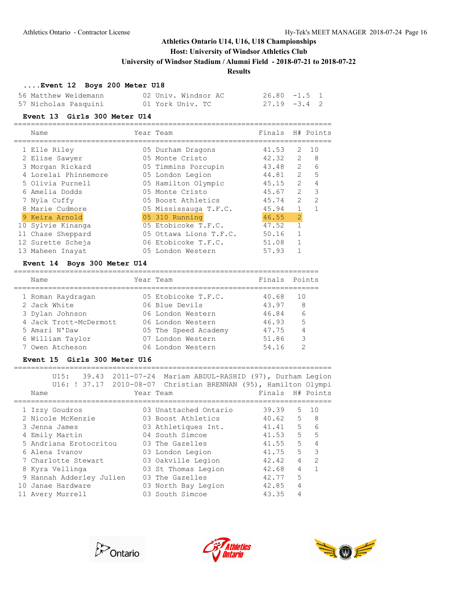### **Host: University of Windsor Athletics Club**

**University of Windsor Stadium / Alumni Field - 2018-07-21 to 2018-07-22**

#### **Results**

### **....Event 12 Boys 200 Meter U18**

| 56 Matthew Weidemann | 02 Univ. Windsor AC | $26.80 -1.5$ 1  |  |
|----------------------|---------------------|-----------------|--|
| 57 Nicholas Pasquini | 01 York Univ. TC    | $27.19 - 3.4$ 2 |  |

#### **Event 13 Girls 300 Meter U14**

| Name                 | Year Team              | Finals H# Points |                |                |
|----------------------|------------------------|------------------|----------------|----------------|
| 1 Elle Rilev         | 05 Durham Dragons      | 41.53            | $\mathcal{L}$  | 10             |
| 2 Elise Sawyer       | 05 Monte Cristo        | 42.32            | $\mathcal{L}$  | - 8            |
| 3 Morgan Rickard     | 05 Timmins Porcupin    | 43.48            | $\mathcal{L}$  | 6              |
| 4 Lorelai Phinnemore | 05 London Legion       | 44.81            | $\mathcal{L}$  | 5              |
| 5 Olivia Purnell     | 05 Hamilton Olympic    | 45.15            | $\mathcal{P}$  | 4              |
| 6 Amelia Dodds       | 05 Monte Cristo        | 45.67            | $\mathcal{L}$  | 3              |
| 7 Nyla Cuffy         | 05 Boost Athletics     | 45.74            | $\mathcal{L}$  | $\mathfrak{D}$ |
| 8 Marie Cudmore      | 05 Mississauga T.F.C.  | 45.94            |                |                |
| 9 Keira Arnold       | 05 310 Running         | 46.55            | $\overline{2}$ |                |
| 10 Sylvie Kinanga    | 05 Etobicoke T.F.C.    | 47.52            |                |                |
| 11 Chase Sheppard    | 05 Ottawa Lions T.F.C. | 50.16            |                |                |
| 12 Surette Scheja    | 06 Etobicoke T.F.C.    | 51.08            |                |                |
| 13 Maheen Inavat     | 05 London Western      | 57.93            |                |                |
|                      |                        |                  |                |                |

### **Event 14 Boys 300 Meter U14**

| Name                   | Year Team            | Finals Points |     |
|------------------------|----------------------|---------------|-----|
| 1 Roman Raydragan      | 05 Etobicoke T.F.C.  | 40.68         | 1 O |
| 2 Jack White           | 06 Blue Devils       | 43.97         | 8   |
| 3 Dylan Johnson        | 06 London Western    | 46.84         | 6   |
| 4 Jack Trott-McDermott | 06 London Western    | 46.93         | 5   |
| 5 Amari N'Daw          | 05 The Speed Academy | 47.75         | 4   |
| 6 William Taylor       | 07 London Western    | 51.86         | 3   |
| 7 Owen Atcheson        | 06 London Western    | 54.16         | ⌒   |

#### **Event 15 Girls 300 Meter U16**

| U15:<br>U16: ! 37.17 2010-08-07 Christian BRENNAN (95), Hamilton Olympi<br>Name | 39.43 2011-07-24 Mariam ABDUL-RASHID (97), Durham Legion<br>Year Team | Finals H# Points        |                         |
|---------------------------------------------------------------------------------|-----------------------------------------------------------------------|-------------------------|-------------------------|
| 1 Izzy Goudros                                                                  | 03 Unattached Ontario                                                 | 39.39                   | 10<br>5                 |
| 2 Nicole McKenzie                                                               | 03 Boost Athletics                                                    | 40.62                   | 5<br>-8                 |
| 3 Jenna James                                                                   | 03 Athletiques Int.                                                   | 5<br>41.41              | 6                       |
| 4 Emily Martin                                                                  | 04 South Simcoe                                                       | 41.53                   | 5<br>5                  |
| 5 Andriana Erotocritou                                                          | 03 The Gazelles                                                       | 5<br>41.55              | 4                       |
| 6 Alena Ivanov                                                                  | 03 London Legion                                                      | 5<br>41.75              | $\overline{\mathbf{3}}$ |
| 7 Charlotte Stewart                                                             | 03 Oakville Legion                                                    | $\overline{4}$<br>42.42 | $\mathfrak{D}$          |
| 8 Kyra Vellinga                                                                 | 03 St Thomas Legion                                                   | 4<br>42.68              |                         |
| 9 Hannah Adderley Julien                                                        | 03 The Gazelles                                                       | 5<br>42.77              |                         |
| 10 Janae Hardware                                                               | 03 North Bay Legion                                                   | 4<br>42.85              |                         |
| 11 Avery Murrell                                                                | 03 South Simcoe                                                       | 43.35<br>4              |                         |





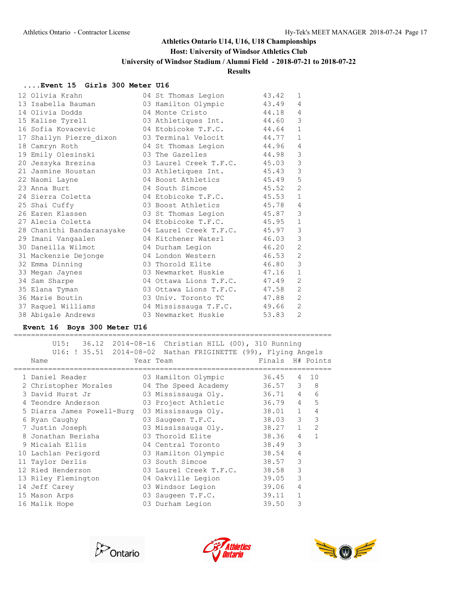# **Host: University of Windsor Athletics Club**

**University of Windsor Stadium / Alumni Field - 2018-07-21 to 2018-07-22**

# **Results**

#### **....Event 15 Girls 300 Meter U16**

| 12 Olivia Krahn           | 04 St Thomas Legion          | 43.42 | $\mathbf{1}$   |
|---------------------------|------------------------------|-------|----------------|
| 13 Isabella Bauman        | 03 Hamilton Olympic          | 43.49 | 4              |
| 14 Olivia Dodds           | 04 Monte Cristo              | 44.18 | 4              |
| 15 Kalise Tyrell          | 03 Athletiques Int.          | 44.60 | 3              |
| 16 Sofia Kovacevic        | 04 Etobicoke T.F.C.          | 44.64 | $\mathbf{1}$   |
| 17 Shailyn Pierre dixon   | 03 Terminal Velocit 44.77    |       | $\mathbf{1}$   |
| 18 Camryn Roth            | 04 St Thomas Legion          | 44.96 | 4              |
| 19 Emily Olesinski        | 03 The Gazelles              | 44.98 | 3              |
| 20 Jessyka Brezina        | 03 Laurel Creek T.F.C. 45.03 |       | 3              |
| 21 Jasmine Houstan        | 03 Athletiques Int.          | 45.43 | 3              |
| 22 Naomi Layne            | 04 Boost Athletics 45.49     |       | 5              |
| 23 Anna Burt              | 04 South Simcoe              | 45.52 | $\overline{2}$ |
| 24 Sierra Coletta         | 04 Etobicoke T.F.C. 45.53    |       | $\mathbf{1}$   |
| 25 Shai Cuffy             | 03 Boost Athletics 45.78     |       | 4              |
| 26 Earen Klassen          | 03 St Thomas Legion 45.87    |       | 3              |
| 27 Alecia Coletta         | 04 Etobicoke T.F.C. 45.95    |       | $\mathbf 1$    |
| 28 Chanithi Bandaranayake | 04 Laurel Creek T.F.C. 45.97 |       | 3              |
| 29 Imani Vangaalen        | 04 Kitchener Waterl          | 46.03 | 3              |
| 30 Daneilla Wilmot        | 04 Durham Legion             | 46.20 | $\overline{2}$ |
| 31 Mackenzie Dejonge      | 04 London Western            | 46.53 | $\mathbf{2}$   |
| 32 Emma Dinning           | 03 Thorold Elite             | 46.80 | $\mathcal{E}$  |
| 33 Megan Jaynes           | 03 Newmarket Huskie 47.16    |       | $\mathbf{1}$   |
| 34 Sam Sharpe             | 04 Ottawa Lions T.F.C.       | 47.49 | $\overline{2}$ |
| 35 Elana Tyman            | 03 Ottawa Lions T.F.C. 47.58 |       | $\overline{2}$ |
| 36 Marie Boutin           | 03 Univ. Toronto TC          | 47.88 | $\mathbf{2}$   |
| 37 Raquel Williams        | 04 Mississauga T.F.C. 49.66  |       | 2              |
| 38 Abigale Andrews        | 03 Newmarket Huskie          | 53.83 | $\overline{2}$ |

### **Event 16 Boys 300 Meter U16**

| U15:                       | 36.12 2014-08-16 Christian HILL (00), 310 Running             |                  |                |               |
|----------------------------|---------------------------------------------------------------|------------------|----------------|---------------|
|                            | U16: ! 35.51 2014-08-02 Nathan FRIGINETTE (99), Flying Angels |                  |                |               |
| Name                       | Year Team                                                     | Finals H# Points |                |               |
| 1 Daniel Reader            | 03 Hamilton Olympic                                           | 36.45            | 4              | 10            |
| 2 Christopher Morales      | 04 The Speed Academy                                          | 36.57            |                | $3 \quad 8$   |
| 3 David Hurst Jr           | 03 Mississauga Oly.                                           | 36.71            | $\overline{4}$ | 6             |
| 4 Teondre Anderson         | 03 Project Athletic                                           | 36.79            | $\overline{4}$ | 5             |
| 5 Diarra James Powell-Burg | 03 Mississauga Oly.                                           | 38.01            | $\mathbf{1}$   | 4             |
| 6 Ryan Caughy              | 03 Saugeen T.F.C.                                             | 38.03            | 3              | 3             |
| 7 Justin Joseph            | 03 Mississauga Oly.                                           | 38.27            | $\mathbf{1}$   | $\mathcal{P}$ |
| 8 Jonathan Berisha         | 03 Thorold Elite                                              | 38.36            | $\overline{4}$ | 1             |
| 9 Micaiah Ellis            | 04 Central Toronto                                            | 38.49            | 3              |               |
| 10 Lachlan Perigord        | 03 Hamilton Olympic                                           | 38.54            | 4              |               |
| 11 Taylor Derlis           | 03 South Simcoe                                               | 38.57            | 3              |               |
| 12 Ried Henderson          | 03 Laurel Creek T.F.C.                                        | 38.58            | 3              |               |
| 13 Riley Flemington        | 04 Oakville Legion                                            | 39.05            | 3              |               |
| 14 Jeff Carey              | 03 Windsor Legion                                             | 39.06            | 4              |               |
| 15 Mason Arps              | 03 Saugeen T.F.C.                                             | 39.11            | $\mathbf{1}$   |               |
| 16 Malik Hope              | 03 Durham Legion                                              | 39.50            | 3              |               |





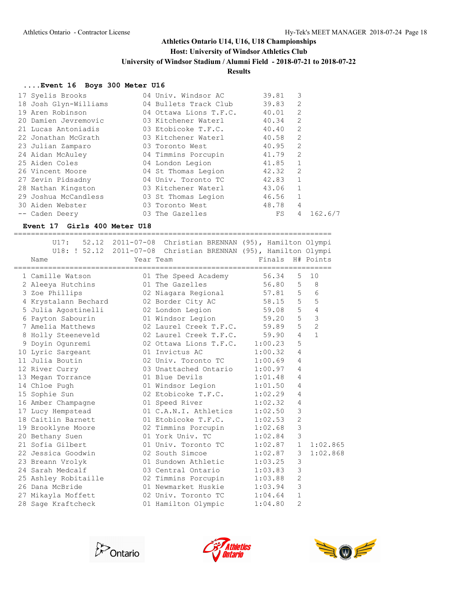#### **Host: University of Windsor Athletics Club**

**University of Windsor Stadium / Alumni Field - 2018-07-21 to 2018-07-22**

#### **Results**

#### **....Event 16 Boys 300 Meter U16**

| 17 Syelis Brooks      | 04 Univ. Windsor AC    | 39.81   | 3            |
|-----------------------|------------------------|---------|--------------|
| 18 Josh Glyn-Williams | 04 Bullets Track Club  | 39.83   | 2            |
| 19 Aren Robinson      | 04 Ottawa Lions T.F.C. | 40.01   | 2            |
| 20 Damien Jevremovic  | 03 Kitchener Waterl    | 40.34   | 2            |
| 21 Lucas Antoniadis   | 03 Etobicoke T.F.C.    | 40.40   | 2            |
| 22 Jonathan McGrath   | 03 Kitchener Waterl    | 40.58   | 2            |
| 23 Julian Zamparo     | 03 Toronto West        | 40.95   | 2            |
| 24 Aidan McAuley      | 04 Timmins Porcupin    | 41.79   | 2            |
| 25 Aiden Coles        | 04 London Legion       | 41.85   | $\mathbf{1}$ |
| 26 Vincent Moore      | 04 St Thomas Legion    | 42.32   | 2            |
| 27 Zevin Pidsadny     | 04 Univ. Toronto TC    | 42.83   | 1            |
| 28 Nathan Kingston    | 03 Kitchener Waterl    | 43.06 1 |              |
| 29 Joshua McCandless  | 03 St Thomas Legion    | 46.56   | $\mathbf{1}$ |
| 30 Aiden Webster      | 03 Toronto West        | 48.78   | 4            |
| -- Caden Deery        | 03 The Gazelles        | FS      | 4<br>162.6/7 |

#### **Event 17 Girls 400 Meter U18**

========================================================================== U17: 52.12 2011-07-08 Christian BRENNAN (95), Hamilton Olympi U18: ! 52.12 2011-07-08 Christian BRENNAN (95), Hamilton Olympi Name **Name** Year Team **Finals H# Points** ========================================================================== 1 Camille Watson 01 The Speed Academy 56.34 5 10 2 Aleeya Hutchins 01 The Gazelles 56.80 5 8 3 Zoe Phillips 02 Niagara Regional 57.81 5 6 4 Krystalann Bechard 02 Border City AC 58.15 5 5 5 Julia Agostinelli 02 London Legion 59.08 5 4 6 Payton Sabourin 01 Windsor Legion 59.20 5 3 7 Amelia Matthews 02 Laurel Creek T.F.C. 59.89 5 2 8 Holly Steeneveld 02 Laurel Creek T.F.C. 59.90 4 1 9 Doyin Ogunremi 02 Ottawa Lions T.F.C. 1:00.23 5 10 Lyric Sargeant 10 1 Invictus AC 1:00.32 4 11 Julia Boutin 02 Univ. Toronto TC 1:00.69 4 12 River Curry 03 Unattached Ontario 1:00.97 4 13 Megan Torrance **11 Devils** 1:01.48 4 14 Chloe Pugh 01 Windsor Legion 1:01.50 4 15 Sophie Sun 02 Etobicoke T.F.C. 1:02.29 4 16 Amber Champagne 01 Speed River 1:02.32 4 17 Lucy Hempstead 01 C.A.N.I. Athletics 1:02.50 3 18 Caitlin Barnett 01 Etobicoke T.F.C. 1:02.53 2 19 Brooklyne Moore 02 Timmins Porcupin 1:02.68 3 20 Bethany Suen 01 York Univ. TC 1:02.84 3 21 Sofia Gilbert 01 Univ. Toronto TC 1:02.87 1 1:02.865 22 Jessica Goodwin 02 South Simcoe 1:02.87 3 1:02.868 23 Breann Vrolyk 01 Sundown Athletic 1:03.25 3 24 Sarah Medcalf 03 Central Ontario 1:03.83 3 25 Ashley Robitaille 02 Timmins Porcupin 1:03.88 2 26 Dana McBride 01 Newmarket Huskie 1:03.94 3 27 Mikayla Moffett 02 Univ. Toronto TC 1:04.64 1 28 Sage Kraftcheck 01 Hamilton Olympic 1:04.80 2





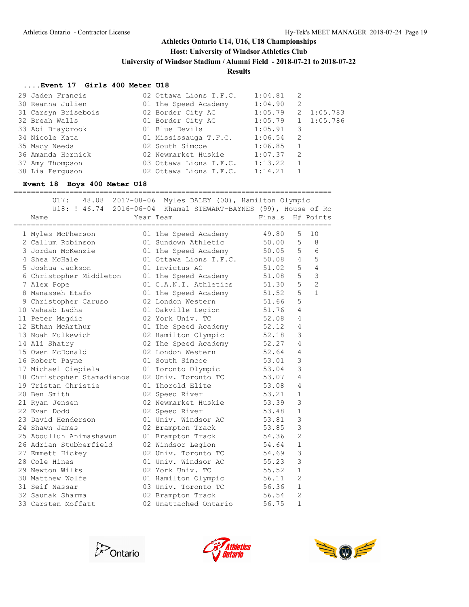### **Host: University of Windsor Athletics Club**

**University of Windsor Stadium / Alumni Field - 2018-07-21 to 2018-07-22**

#### **Results**

#### **....Event 17 Girls 400 Meter U18**

| 29 Jaden Francis    | 02 Ottawa Lions T.F.C. | 1:04.81 | 2  |            |
|---------------------|------------------------|---------|----|------------|
| 30 Reanna Julien    | 01 The Speed Academy   | 1:04.90 | -2 |            |
| 31 Carsyn Brisebois | 02 Border City AC      | 1:05.79 |    | 2 1:05.783 |
| 32 Breah Walls      | 01 Border City AC      | 1:05.79 |    | 1 1:05.786 |
| 33 Abi Braybrook    | 01 Blue Devils         | 1:05.91 | 3  |            |
| 34 Nicole Kata      | 01 Mississauga T.F.C.  | 1:06.54 | -2 |            |
| 35 Macy Needs       | 02 South Simcoe        | 1:06.85 | 1  |            |
| 36 Amanda Hornick   | 02 Newmarket Huskie    | 1:07.37 | -2 |            |
| 37 Amy Thompson     | 03 Ottawa Lions T.F.C. | 1:13.22 |    |            |
| 38 Lia Ferguson     | 02 Ottawa Lions T.F.C. | 1:14.21 |    |            |
|                     |                        |         |    |            |

#### **Event 18 Boys 400 Meter U18**

==========================================================================

| U17:                       | 48.08 2017-08-06 Myles DALEY (00), Hamilton Olympic<br>U18: ! 46.74 2016-06-04 Khamal STEWART-BAYNES (99), House of Ro |                  |                |                |
|----------------------------|------------------------------------------------------------------------------------------------------------------------|------------------|----------------|----------------|
| Name                       | Year Team                                                                                                              | Finals H# Points |                |                |
| 1 Myles McPherson          | 01 The Speed Academy 49.80                                                                                             |                  | 5              | 10             |
| 2 Callum Robinson          | 01 Sundown Athletic 50.00                                                                                              |                  | 5              | 8              |
| 3 Jordan McKenzie          | 01 The Speed Academy 50.05                                                                                             |                  | 5              | 6              |
| 4 Shea McHale              | 01 Ottawa Lions T.F.C. 50.08 4                                                                                         |                  |                | 5              |
| 5 Joshua Jackson           | 01 Invictus AC                                                                                                         | 51.02            |                | 5 <sub>4</sub> |
| 6 Christopher Middleton    | 01 The Speed Academy 51.08                                                                                             |                  | $5 -$          | 3              |
| 7 Alex Pope                | 01 C.A.N.I. Athletics 51.30                                                                                            |                  | $5 -$          | 2              |
| 8 Manasseh Etafo           | 01 The Speed Academy 51.52                                                                                             |                  | 5              | $\mathbf{1}$   |
| 9 Christopher Caruso       | 51.66<br>02 London Western                                                                                             |                  | 5              |                |
| 10 Vahaab Ladha            | 01 Oakville Legion 51.76                                                                                               |                  | 4              |                |
| 11 Peter Magdic            | 02 York Univ. TC<br>52.08                                                                                              |                  | 4              |                |
| 12 Ethan McArthur          | 01 The Speed Academy 52.12                                                                                             |                  | 4              |                |
| 13 Noah Mulkewich          | 02 Hamilton Olympic 52.18                                                                                              |                  | 3              |                |
| 14 Ali Shatry              | 02 The Speed Academy 52.27                                                                                             |                  | 4              |                |
| 15 Owen McDonald           | 52.64<br>02 London Western                                                                                             |                  | 4              |                |
| 16 Robert Payne            | 01 South Simcoe<br>53.01                                                                                               |                  | 3              |                |
| 17 Michael Ciepiela        | 01 Toronto Olympic 53.04                                                                                               |                  | 3              |                |
| 18 Christopher Stamadianos | 02 Univ. Toronto TC 53.07                                                                                              |                  | 4              |                |
| 19 Tristan Christie        | 01 Thorold Elite                                                                                                       | 53.08            | 4              |                |
| 20 Ben Smith               | 02 Speed River                                                                                                         | 53.21            | 1              |                |
| 21 Ryan Jensen             | 02 Newmarket Huskie 53.39                                                                                              |                  | 3              |                |
| 22 Evan Dodd               | 02 Speed River                                                                                                         | 53.48            | 1              |                |
| 23 David Henderson         | 01 Univ. Windsor AC 53.81                                                                                              |                  | 3              |                |
| 24 Shawn James             | 02 Brampton Track                                                                                                      | 53.85            | 3              |                |
| 25 Abdulluh Animashawun    | 01 Brampton Track                                                                                                      | 54.36            | $\overline{2}$ |                |
| 26 Adrian Stubberfield     | 02 Windsor Legion                                                                                                      | 54.64            | $\mathbf{1}$   |                |
| 27 Emmett Hickey           | 02 Univ. Toronto TC                                                                                                    | 54.69            | 3              |                |
| 28 Cole Hines              | 01 Univ. Windsor AC                                                                                                    | 55.23            | 3              |                |
| 29 Newton Wilks            | 02 York Univ. TC                                                                                                       | 55.52            | $\mathbf{1}$   |                |
| 30 Matthew Wolfe           | 01 Hamilton Olympic 56.11                                                                                              |                  | $\overline{2}$ |                |
| 31 Seif Nassar             | 03 Univ. Toronto TC 56.36                                                                                              |                  | $\mathbf{1}$   |                |
| 32 Saunak Sharma           | 02 Brampton Track                                                                                                      | 56.54            | $\overline{2}$ |                |
| 33 Carsten Moffatt         | 02 Unattached Ontario                                                                                                  | 56.75            | $\mathbf{1}$   |                |





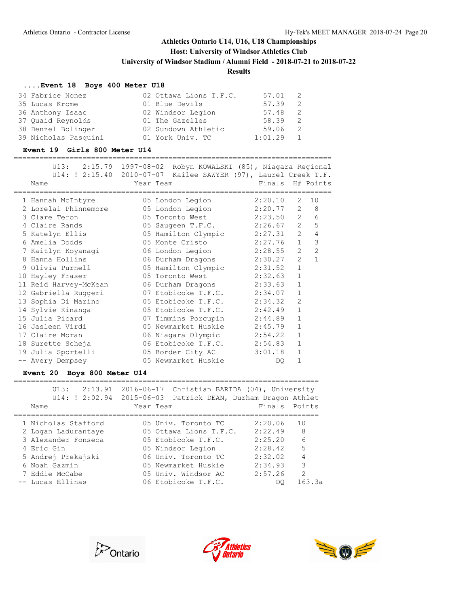# **Host: University of Windsor Athletics Club**

**University of Windsor Stadium / Alumni Field - 2018-07-21 to 2018-07-22**

### **Results**

### **....Event 18 Boys 400 Meter U18**

| 34 Fabrice Nonez     | 02 Ottawa Lions T.F.C. | 57.01   | - 2 |
|----------------------|------------------------|---------|-----|
| 35 Lucas Krome       | 01 Blue Devils         | 57.39   | 2   |
| 36 Anthony Isaac     | 02 Windsor Legion      | 57.48   | -2. |
| 37 Quaid Reynolds    | 01 The Gazelles        | 58.39   | -2  |
| 38 Denzel Bolinger   | 02 Sundown Athletic    | 59.06   | - 2 |
| 39 Nicholas Pasquini | 01 York Univ. TC       | 1:01.29 |     |

#### **Event 19 Girls 800 Meter U14**

| Name                  | U13: 2:15.79 1997-08-02 Robyn KOWALSKI (85), Niagara Regional<br>U14: ! 2:15.40 2010-07-07 Kailee SAWYER (97), Laurel Creek T.F.<br>Year Team |         | Finals H# Points                 |
|-----------------------|-----------------------------------------------------------------------------------------------------------------------------------------------|---------|----------------------------------|
| 1 Hannah McIntyre     | 05 London Legion                                                                                                                              | 2:20.10 | 2<br>10                          |
| 2 Lorelai Phinnemore  | 05 London Legion                                                                                                                              | 2:20.77 | 8<br>2                           |
| 3 Clare Teron         | 05 Toronto West                                                                                                                               | 2:23.50 | 2<br>6                           |
| 4 Claire Rands        | 05 Saugeen T.F.C. 2:26.67                                                                                                                     |         | $\overline{2}$<br>5              |
| 5 Katelyn Ellis       | 05 Hamilton Olympic 2:27.31                                                                                                                   |         | $\overline{2}$<br>$\overline{4}$ |
| 6 Amelia Dodds        | 05 Monte Cristo 2:27.76                                                                                                                       |         | 3<br>$\mathbf{1}$                |
| 7 Kaitlyn Koyanaqi    | 06 London Legion 2:28.55                                                                                                                      |         | $\overline{2}$<br>$\overline{2}$ |
| 8 Hanna Hollins       | 06 Durham Dragons 2:30.27                                                                                                                     |         | $\overline{2}$<br>$\mathbf{1}$   |
| 9 Olivia Purnell      | 05 Hamilton Olympic 2:31.52                                                                                                                   |         | $\mathbf{1}$                     |
| 10 Hayley Fraser      | 05 Toronto West 2:32.63                                                                                                                       |         | $\mathbf{1}$                     |
| 11 Reid Harvey-McKean | 06 Durham Dragons 2:33.63                                                                                                                     |         | $\mathbf{1}$                     |
| 12 Gabriella Ruggeri  | 07 Etobicoke T.F.C. 2:34.07                                                                                                                   |         | $\mathbf{1}$                     |
| 13 Sophia Di Marino   | 05 Etobicoke T.F.C. $2:34.32$                                                                                                                 |         | $\overline{2}$                   |
| 14 Sylvie Kinanga     | 05 Etobicoke T.F.C. $2:42.49$                                                                                                                 |         | 1                                |
| 15 Julia Picard       | 07 Timmins Porcupin 2:44.89                                                                                                                   |         | 1                                |
| 16 Jasleen Virdi      | 05 Newmarket Huskie                                                                                                                           | 2:45.79 | $\mathbf{1}$                     |
| 17 Claire Moran       | 06 Niagara Olympic 2:54.22                                                                                                                    |         | 1                                |
| 18 Surette Scheja     | 06 Etobicoke T.F.C. 2:54.83                                                                                                                   |         | 1                                |
| 19 Julia Sportelli    | 05 Border City AC 3:01.18                                                                                                                     |         | 1                                |
| -- Avery Dempsey      | 05 Newmarket Huskie                                                                                                                           | DO.     | $\mathbf{1}$                     |

### **Event 20 Boys 800 Meter U14**

| 2:13.91<br>III3:<br>U14: ! 2:02.94 | 2016-06-17 Christian BARIDA (04), University<br>2015-06-03<br>Patrick DEAN, Durham Dragon Athlet |               |                |
|------------------------------------|--------------------------------------------------------------------------------------------------|---------------|----------------|
| Name                               | Year Team                                                                                        | Finals Points |                |
|                                    |                                                                                                  |               |                |
| 1 Nicholas Stafford                | 05 Univ. Toronto TC                                                                              | 2:20.06       | 10             |
| 2 Logan Ladurantaye                | 05 Ottawa Lions T.F.C.                                                                           | 2:22.49       | 8              |
| 3 Alexander Fonseca                | 05 Etobicoke T.F.C.                                                                              | 2:25.20       | 6              |
| 4 Eric Gin                         | 05 Windsor Legion                                                                                | 2:28.42       | 5              |
| 5 Andrej Prekajski                 | 06 Univ. Toronto TC                                                                              | 2:32.02       | $\overline{4}$ |
| 6 Noah Gazmin                      | 05 Newmarket Huskie                                                                              | 2:34.93       | 3              |
| 7 Eddie McCabe                     | 05 Univ. Windsor AC                                                                              | 2:57.26       | $\mathcal{L}$  |
| -- Lucas Ellinas                   | 06 Etobicoke T.F.C.                                                                              | DO.           | 163.3a         |





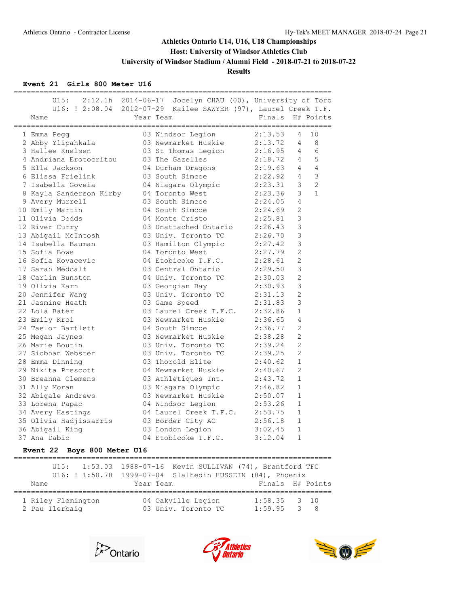**Host: University of Windsor Athletics Club**

**University of Windsor Stadium / Alumni Field - 2018-07-21 to 2018-07-22**

**Results**

### **Event 21 Girls 800 Meter U16**

|  | U15:                    | 2:12.1h 2014-06-17 Jocelyn CHAU (00), University of Toro        |         |                                  |
|--|-------------------------|-----------------------------------------------------------------|---------|----------------------------------|
|  |                         | U16: ! 2:08.04 2012-07-29 Kailee SAWYER (97), Laurel Creek T.F. |         |                                  |
|  | Name                    | Year Team                                                       | Finals  | H# Points                        |
|  |                         |                                                                 |         |                                  |
|  | 1 Emma Pegg             | 03 Windsor Legion                                               | 2:13.53 | 10<br>4                          |
|  | 2 Abby Ylipahkala       | 03 Newmarket Huskie                                             | 2:13.72 | 8<br>4                           |
|  | 3 Hallee Knelsen        | 03 St Thomas Legion                                             | 2:16.95 | 6<br>$\overline{4}$              |
|  | 4 Andriana Erotocritou  | 03 The Gazelles                                                 | 2:18.72 | 5<br>$\overline{4}$              |
|  | 5 Ella Jackson          | 04 Durham Dragons                                               | 2:19.63 | $\overline{4}$<br>$\overline{4}$ |
|  | 6 Elissa Frielink       | 03 South Simcoe                                                 | 2:22.92 | 3<br>$\overline{4}$              |
|  | 7 Isabella Goveia       | 04 Niagara Olympic 2:23.31                                      |         | $\overline{2}$<br>3              |
|  | 8 Kayla Sanderson Kirby | 04 Toronto West                                                 | 2:23.36 | $\mathbf{1}$<br>3                |
|  | 9 Avery Murrell         | 03 South Simcoe                                                 | 2:24.05 | $\overline{4}$                   |
|  | 10 Emily Martin         | 04 South Simcoe                                                 | 2:24.69 | $\overline{2}$                   |
|  | 11 Olivia Dodds         | 04 Monte Cristo                                                 | 2:25.81 | 3                                |
|  | 12 River Curry          | 03 Unattached Ontario                                           | 2:26.43 | 3                                |
|  | 13 Abigail McIntosh     | 03 Univ. Toronto TC                                             | 2:26.70 | 3                                |
|  | 14 Isabella Bauman      | 03 Hamilton Olympic                                             | 2:27.42 | 3                                |
|  | 15 Sofia Bowe           | 04 Toronto West                                                 | 2:27.79 | $\overline{2}$                   |
|  | 16 Sofia Kovacevic      | 04 Etobicoke T.F.C.                                             | 2:28.61 | $\overline{c}$                   |
|  | 17 Sarah Medcalf        | 03 Central Ontario                                              | 2:29.50 | 3                                |
|  | 18 Carlin Bunston       | 04 Univ. Toronto TC                                             | 2:30.03 | $\overline{c}$                   |
|  | 19 Olivia Karn          | 03 Georgian Bay                                                 | 2:30.93 | 3                                |
|  | 20 Jennifer Wang        | 03 Univ. Toronto TC                                             | 2:31.13 | $\overline{2}$                   |
|  | 21 Jasmine Heath        | 03 Game Speed                                                   | 2:31.83 | 3                                |
|  | 22 Lola Bater           | 03 Laurel Creek T.F.C. 2:32.86                                  |         | $\mathbf{1}$                     |
|  | 23 Emily Kroi           | 03 Newmarket Huskie                                             | 2:36.65 | $\overline{4}$                   |
|  | 24 Taelor Bartlett      | 04 South Simcoe                                                 | 2:36.77 | 2                                |
|  | 25 Megan Jaynes         | 03 Newmarket Huskie                                             | 2:38.28 | $\overline{2}$                   |
|  | 26 Marie Boutin         | 03 Univ. Toronto TC                                             | 2:39.24 | $\overline{2}$                   |
|  | 27 Siobhan Webster      | 03 Univ. Toronto TC                                             | 2:39.25 | $\overline{2}$                   |
|  | 28 Emma Dinning         | 03 Thorold Elite                                                | 2:40.62 | $\mathbf{1}$                     |
|  | 29 Nikita Prescott      | 04 Newmarket Huskie                                             | 2:40.67 | 2                                |
|  | 30 Breanna Clemens      | 03 Athletiques Int. 2:43.72                                     |         | $\mathbf{1}$                     |
|  | 31 Ally Moran           | 03 Niagara Olympic 2:46.82                                      |         | $\mathbf{1}$                     |
|  | 32 Abigale Andrews      | 03 Newmarket Huskie                                             | 2:50.07 | $\mathbf{1}$                     |
|  | 33 Lorena Papac         | 04 Windsor Legion                                               | 2:53.26 | $\mathbf{1}$                     |
|  | 34 Avery Hastings       | 04 Laurel Creek T.F.C. 2:53.75                                  |         | $\mathbf{1}$                     |
|  | 35 Olivia Hadjissarris  | 03 Border City AC                                               | 2:56.18 | $\mathbf 1$                      |
|  | 36 Abigail King         | 03 London Legion 3:02.45                                        |         | $\mathbf{1}$                     |
|  | 37 Ana Dabic            | 04 Etobicoke T.F.C.                                             | 3:12.04 | $\mathbf{1}$                     |
|  |                         |                                                                 |         |                                  |

## **Event 22 Boys 800 Meter U16**

|                                      |           | U15: 1:53.03 1988-07-16 Kevin SULLIVAN (74), Brantford TFC  |                                 |  |
|--------------------------------------|-----------|-------------------------------------------------------------|---------------------------------|--|
|                                      |           | U16: ! 1:50.78  1999-07-04  Slalhedin HUSSEIN (84), Phoenix |                                 |  |
| Name                                 | Year Team |                                                             | Finals H# Points                |  |
| 1 Riley Flemington<br>2 Pau Ilerbaig |           | 04 Oakville Legion<br>03 Univ. Toronto TC                   | $1:58.35$ 3 10<br>$1:59.95$ 3 8 |  |





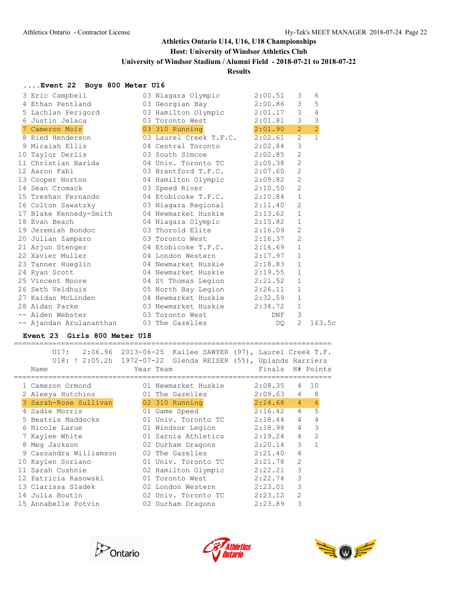# **Athletics Ontario U14, U16, U18 Championships Host: University of Windsor Athletics Club University of Windsor Stadium / Alumni Field - 2018-07-21 to 2018-07-22**

# **Results**

### **....Event 22 Boys 800 Meter U16**

| 3 Eric Campbell                                 | 03 Niagara Olympic          | 2:00.51 | 3              | 6              |
|-------------------------------------------------|-----------------------------|---------|----------------|----------------|
| 4 Ethan Pentland                                | 03 Georgian Bay 2:00.86     |         | 3 <sup>7</sup> | 5              |
|                                                 |                             |         | $\mathcal{E}$  | $\overline{4}$ |
|                                                 |                             |         | 3 <sup>7</sup> | $\mathfrak{Z}$ |
| 7 Cameron Moir                                  | 03 310 Running 2:01.90      |         | 2              | $\overline{2}$ |
| 8 Ried Henderson 03 Laurel Creek T.F.C. 2:02.61 |                             |         | $\overline{2}$ | $\overline{1}$ |
| 9 Micaiah Ellis (04 Central Toronto 2:02.84     |                             |         | 3              |                |
| 10 Taylor Derlis 63 South Simcoe 2:02.85        |                             |         | 2              |                |
| 11 Christian Barida                             | 04 Univ. Toronto TC 2:05.38 |         | 2              |                |
| 12 Aaron Fabi                                   | 03 Brantford T.F.C. 2:07.60 |         | 2              |                |
| 13 Cooper Norton 04 Hamilton Olympic 2:09.82    |                             |         | 2              |                |
| 14 Sean Cromack                                 | 03 Speed River 2:10.50      |         | 2              |                |
| 15 Treshan Fernando                             | 04 Etobicoke T.F.C. 2:10.84 |         | $\mathbf{1}$   |                |
| 16 Colton Sawatzky                              | 03 Niagara Regional 2:11.40 |         | 2              |                |
| 17 Blake Kennedy-Smith<br>18 Evan Beach         | 04 Newmarket Huskie 2:13.62 |         | $\mathbf{1}$   |                |
|                                                 | 04 Niagara Olympic 2:15.82  |         | $\mathbf{1}$   |                |
| 19 Jeremiah Bondoc                              | 03 Thorold Elite 2:16.09    |         | $\mathbf{2}$   |                |
| 20 Julian Zamparo                               | 03 Toronto West 2:16.37     |         | 2              |                |
| 21 Arjun Stenger                                | 04 Etobicoke T.F.C. 2:16.69 |         | $\mathbf{1}$   |                |
| 22 Xavier Muller 64 London Western 2:17.97      |                             |         | $\mathbf{1}$   |                |
| 23 Tanner Hueglin                               | 04 Newmarket Huskie 2:18.83 |         | $\mathbf{1}$   |                |
| 24 Ryan Scott                                   | 04 Newmarket Huskie         | 2:19.55 | $\mathbf{1}$   |                |
| 25 Vincent Moore 64 St Thomas Legion 2:21.52    |                             |         | $\mathbf{1}$   |                |
| 26 Seth Veldhuis 65 North Bay Legion 2:26.11    |                             |         | $\mathbf{1}$   |                |
| 27 Kaidan McLinden                              | 04 Newmarket Huskie 2:32.59 |         | $\mathbf{1}$   |                |
| 28 Aidan Parke                                  | 03 Newmarket Huskie 2:34.72 |         | $\mathbf{1}$   |                |
| -- Aiden Webster 03 Toronto West                |                             | DNF     | 3              |                |
| -- Ajandan Arulananthan                         | 03 The Gazelles             | DO.     | $\overline{2}$ | 163.5c         |

#### **Event 23 Girls 800 Meter U18**

========================================================================== U17: 2:06.96 2013-06-25 Kailee SAWYER (97), Laurel Creek T.F.

|  | $U\perp$ / :           |                                                                  |                                             |
|--|------------------------|------------------------------------------------------------------|---------------------------------------------|
|  |                        | U18: ! 2:05.2h  1972-07-22  Glenda REISER (55), Uplands Harriers |                                             |
|  | Name                   | Year Team                                                        | Finals H# Points                            |
|  | 1 Cameron Ormond       | =================<br>01 Newmarket Huskie                         | 2:08.35<br>10<br>4                          |
|  | 2 Aleeya Hutchins      | 01 The Gazelles                                                  | $\overline{4}$<br>8<br>2:09.63              |
|  | 3 Sarah-Rose Sullivan  | 02 310 Running                                                   | $\overline{6}$<br>$2:14.68$ 4               |
|  | 4 Sadie Morris         | 01 Game Speed                                                    | 5<br>$2:16.42$ 4                            |
|  | 5 Beatrix Maddocks     | 01 Univ. Toronto TC                                              | $\overline{4}$<br>$\overline{4}$<br>2:18.44 |
|  | 6 Nicole Larue         | 01 Windsor Legion                                                | 3<br>4<br>2:18.98                           |
|  | 7 Kaylee White         | 01 Sarnia Athletics 2:19.24                                      | 4<br>$\overline{2}$                         |
|  | 8 Meg Jackson          | 02 Durham Dragons 2:20.14                                        | 3<br>$\mathbf{1}$                           |
|  | 9 Cassandra Williamson | 02 The Gazelles                                                  | 4<br>2:21.40                                |
|  | 10 Kaylen Soriano      | 01 Univ. Toronto TC                                              | $\overline{2}$<br>2:21.78                   |
|  | 11 Sarah Cushnie       | 02 Hamilton Olympic                                              | 3<br>2:22.21                                |
|  | 12 Patricia Rasowski   | 01 Toronto West                                                  | 3<br>2:22.74                                |
|  | 13 Clarissa Sladek     | 02 London Western                                                | 3<br>2:23.01                                |
|  | 14 Julia Boutin        | 02 Univ. Toronto TC                                              | $\overline{2}$<br>2:23.12                   |
|  | 15 Annabelle Potvin    | 02 Durham Dragons                                                | 3<br>2:23.89                                |
|  |                        |                                                                  |                                             |





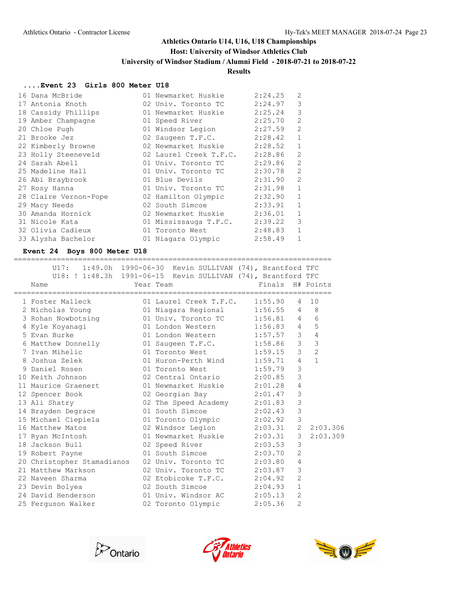## **Host: University of Windsor Athletics Club**

**University of Windsor Stadium / Alumni Field - 2018-07-21 to 2018-07-22**

# **Results**

#### **....Event 23 Girls 800 Meter U18**

| 16 Dana McBride       | 01 Newmarket Huskie    | 2:24.25 | $\overline{2}$ |
|-----------------------|------------------------|---------|----------------|
| 17 Antonia Knoth      | 02 Univ. Toronto TC    | 2:24.97 | 3              |
| 18 Cassidy Phillips   | 01 Newmarket Huskie    | 2:25.24 | 3              |
| 19 Amber Champagne    | 01 Speed River         | 2:25.70 | $\overline{2}$ |
| 20 Chloe Pugh         | 01 Windsor Legion      | 2:27.59 | $\mathfrak{D}$ |
| 21 Brooke Jez         | 02 Saugeen T.F.C.      | 2:28.42 | $\mathbf{1}$   |
| 22 Kimberly Browne    | 02 Newmarket Huskie    | 2:28.52 | $\mathbf{1}$   |
| 23 Holly Steeneveld   | 02 Laurel Creek T.F.C. | 2:28.86 | $\overline{2}$ |
| 24 Sarah Abell        | 01 Univ. Toronto TC    | 2:29.86 | 2              |
| 25 Madeline Hall      | 01 Univ. Toronto TC    | 2:30.78 | $\overline{2}$ |
| 26 Abi Braybrook      | 01 Blue Devils         | 2:31.90 | $\mathfrak{D}$ |
| 27 Rosy Hanna         | 01 Univ. Toronto TC    | 2:31.98 | $\mathbf{1}$   |
| 28 Claire Vernon-Pope | 02 Hamilton Olympic    | 2:32.90 | $\mathbf{1}$   |
| 29 Macy Needs         | 02 South Simcoe        | 2:33.91 | $\mathbf{1}$   |
| 30 Amanda Hornick     | 02 Newmarket Huskie    | 2:36.01 | $\mathbf{1}$   |
| 31 Nicole Kata        | 01 Mississauga T.F.C.  | 2:39.22 | 3              |
| 32 Olivia Cadieux     | 01 Toronto West        | 2:48.83 | $\mathbf{1}$   |
| 33 Alysha Bachelor    | 01 Niagara Olympic     | 2:58.49 | $\mathbf{1}$   |

### **Event 24 Boys 800 Meter U18**

| U17: 1:49.0h 1990-06-30 Kevin SULLIVAN (74), Brantford TFC<br>U18: ! 1:48.3h  1991-06-15  Kevin SULLIVAN (74), Brantford TFC<br>Name | Year Team                   | Finals H# Points |                                  |
|--------------------------------------------------------------------------------------------------------------------------------------|-----------------------------|------------------|----------------------------------|
| 1 Foster Malleck 01 Laurel Creek T.F.C. 1:55.90                                                                                      |                             |                  | 4 10                             |
| 2 Nicholas Young 01 Niagara Regional 1:56.55 4 8                                                                                     |                             |                  |                                  |
| 3 Rohan Nowbotsing 01 Univ. Toronto TC 1:56.81 4                                                                                     |                             |                  | 6                                |
| 4 Kyle Koyanagi (a. 2012) Undon Western (a. 2013) 4                                                                                  |                             |                  | 5                                |
| 5 Evan Burke                                                                                                                         | 01 London Western 1:57.57 3 |                  | $\overline{4}$                   |
| 6 Matthew Donnelly 01 Saugeen T.F.C. 1:58.86 3                                                                                       |                             |                  | $\mathcal{S}$                    |
| 7 Ivan Mihelic                                                                                                                       | 01 Toronto West 1:59.15     |                  | $\overline{c}$<br>3 <sup>7</sup> |
| 8 Joshua Zelek 61 Huron-Perth Wind 1:59.71                                                                                           |                             | $\overline{4}$   | $\mathbf{1}$                     |
| 9 Daniel Rosen                       01 Toronto West               1:59.79                                                           |                             | 3                |                                  |
| 10 Keith Johnson<br>02 Central Ontario<br>2:00.85                                                                                    |                             | 3                |                                  |
| 11 Maurice Graenert 01 Newmarket Huskie 2:01.28                                                                                      |                             | $\overline{4}$   |                                  |
| 12 Spencer Book 62 Georgian Bay 2:01.47                                                                                              |                             | $\mathcal{S}$    |                                  |
|                                                                                                                                      |                             | $\mathfrak{Z}$   |                                  |
| 13 Ali Shatry 02 The Speed Academy 2:01.83<br>14 Brayden Degrace 01 South Simcoe 2:02.43                                             |                             | $\mathfrak{Z}$   |                                  |
|                                                                                                                                      |                             | 3                |                                  |
| 15 Michael Ciepiela (01 Toronto Olympic 2:02.92<br>16 Matthew Matos (02 Windsor Legion 2:03.31                                       |                             |                  | 2, 2:03.306                      |
| 17 Ryan McIntosh 61 Newmarket Huskie 2:03.31                                                                                         |                             | $\mathcal{S}$    | 2:03.309                         |
| 18 Jackson Bull <b>62</b> 02 Speed River 2:03.53                                                                                     |                             | 3                |                                  |
| 19 Robert Payne                                                                                                                      | 01 South Simcoe 2:03.70     | $\overline{2}$   |                                  |
| 20 Christopher Stamadianos 02 Univ. Toronto TC 2:03.80                                                                               |                             | $\overline{4}$   |                                  |
| 21 Matthew Markson                                                                                                                   | 02 Univ. Toronto TC 2:03.87 | 3                |                                  |
| 22 Naveen Sharma                                                                                                                     | 02 Etobicoke T.F.C. 2:04.92 | 2                |                                  |
|                                                                                                                                      |                             | $\mathbf{1}$     |                                  |
|                                                                                                                                      |                             | 2                |                                  |
| 25 Ferquson Walker                                                                                                                   | 02 Toronto Olympic          | 2<br>2:05.36     |                                  |





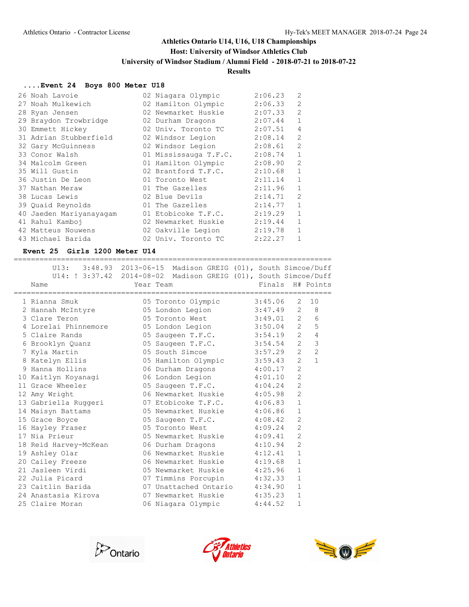### **Host: University of Windsor Athletics Club**

**University of Windsor Stadium / Alumni Field - 2018-07-21 to 2018-07-22**

# **Results**

### **....Event 24 Boys 800 Meter U18**

| 26 Noah Lavoie          | 02 Niagara Olympic    | 2:06.23 | $\overline{2}$ |
|-------------------------|-----------------------|---------|----------------|
| 27 Noah Mulkewich       | 02 Hamilton Olympic   | 2:06.33 | 2              |
| 28 Ryan Jensen          | 02 Newmarket Huskie   | 2:07.33 | $\overline{2}$ |
| 29 Braydon Trowbridge   | 02 Durham Dragons     | 2:07.44 | $\mathbf{1}$   |
| 30 Emmett Hickey        | 02 Univ. Toronto TC   | 2:07.51 | 4              |
| 31 Adrian Stubberfield  | 02 Windsor Legion     | 2:08.14 | $\overline{2}$ |
| 32 Gary McGuinness      | 02 Windsor Legion     | 2:08.61 | $\overline{2}$ |
| 33 Conor Walsh          | 01 Mississauga T.F.C. | 2:08.74 | $\mathbf{1}$   |
| 34 Malcolm Green        | 01 Hamilton Olympic   | 2:08.90 | $\overline{2}$ |
| 35 Will Gustin          | 02 Brantford T.F.C.   | 2:10.68 | $\mathbf{1}$   |
| 36 Justin De Leon       | 01 Toronto West       | 2:11.14 | $\mathbf{1}$   |
| 37 Nathan Meraw         | 01 The Gazelles       | 2:11.96 | $\mathbf{1}$   |
| 38 Lucas Lewis          | 02 Blue Devils        | 2:14.71 | $\overline{2}$ |
| 39 Quaid Reynolds       | 01 The Gazelles       | 2:14.77 | $\mathbf{1}$   |
| 40 Jaeden Mariyanayagam | 01 Etobicoke T.F.C.   | 2:19.29 | $\mathbf{1}$   |
| 41 Rahul Kamboj         | 02 Newmarket Huskie   | 2:19.44 | $\mathbf{1}$   |
| 42 Matteus Nouwens      | 02 Oakville Legion    | 2:19.78 | $\mathbf{1}$   |
| 43 Michael Barida       | 02 Univ. Toronto TC   | 2:22.27 |                |

#### **Event 25 Girls 1200 Meter U14**

| Name                  | U13: 3:48.93 2013-06-15 Madison GREIG (01), South Simcoe/Duff<br>U14: ! 3:37.42 2014-08-02 Madison GREIG (01), South Simcoe/Duff<br>Year Team | Finals                  | H# Points      |
|-----------------------|-----------------------------------------------------------------------------------------------------------------------------------------------|-------------------------|----------------|
| 1 Rianna Smuk         | 05 Toronto Olympic 3:45.06                                                                                                                    | 2                       | 10             |
| 2 Hannah McIntyre     | 05 London Legion                                                                                                                              | $3:47.49$ 2 8           |                |
| 3 Clare Teron         | 05 Toronto West 3:49.01 2                                                                                                                     |                         | 6              |
| 4 Lorelai Phinnemore  | 05 London Legion 3:50.04 2                                                                                                                    |                         | 5              |
| 5 Claire Rands        | 05 Saugeen T.F.C. 3:54.19 2                                                                                                                   |                         | $\overline{4}$ |
| 6 Brooklyn Quanz      | 05 Saugeen T.F.C. 3:54.54 2                                                                                                                   |                         | $\mathbf{3}$   |
| 7 Kyla Martin         | 05 South Simcoe 3:57.29                                                                                                                       | $\overline{2}$          | $\overline{c}$ |
| 8 Katelyn Ellis       | 05 Hamilton Olympic 3:59.43                                                                                                                   | $\overline{2}$          | $\mathbf{1}$   |
| 9 Hanna Hollins       | 06 Durham Dragons 4:00.17                                                                                                                     | $\overline{2}$          |                |
| 10 Kaitlyn Koyanagi   | 06 London Legion 4:01.10                                                                                                                      | $\overline{2}$          |                |
| 11 Grace Wheeler      | 05 Saugeen T.F.C. 4:04.24                                                                                                                     | $\overline{2}$          |                |
| 12 Amy Wright         | 06 Newmarket Huskie 4:05.98                                                                                                                   | $\overline{2}$          |                |
|                       | 13 Gabriella Ruggeri 07 Etobicoke T.F.C. 4:06.83                                                                                              | $\mathbf{1}$            |                |
| 14 Maisyn Battams     | 05 Newmarket Huskie 4:06.86                                                                                                                   | $\mathbf{1}$            |                |
| 15 Grace Boyce        | 05 Saugeen T.F.C. 4:08.42                                                                                                                     | $\overline{2}$          |                |
| 16 Hayley Fraser      | 05 Toronto West 4:09.24                                                                                                                       | $\overline{2}$          |                |
| 17 Nia Prieur         | 05 Newmarket Huskie 4:09.41                                                                                                                   | $\overline{2}$          |                |
| 18 Reid Harvey-McKean | 06 Durham Dragons 4:10.94                                                                                                                     | $\overline{2}$          |                |
| 19 Ashley Olar        | 06 Newmarket Huskie 4:12.41                                                                                                                   | $\mathbf{1}$            |                |
| 20 Cailey Freeze      | 06 Newmarket Huskie 4:19.68                                                                                                                   | $\mathbf{1}$            |                |
| 21 Jasleen Virdi      | 05 Newmarket Huskie 4:25.96                                                                                                                   | $\mathbf{1}$            |                |
| 22 Julia Picard       | 07 Timmins Porcupin 4:32.33                                                                                                                   | $\mathbf{1}$            |                |
| 23 Caitlin Barida     | 07 Unattached Ontario 4:34.90                                                                                                                 | $\mathbf{1}$            |                |
| 24 Anastasia Kirova   | 07 Newmarket Huskie 4:35.23                                                                                                                   | $\mathbf{1}$            |                |
| 25 Claire Moran       | 06 Niagara Olympic                                                                                                                            | $\mathbf{1}$<br>4:44.52 |                |





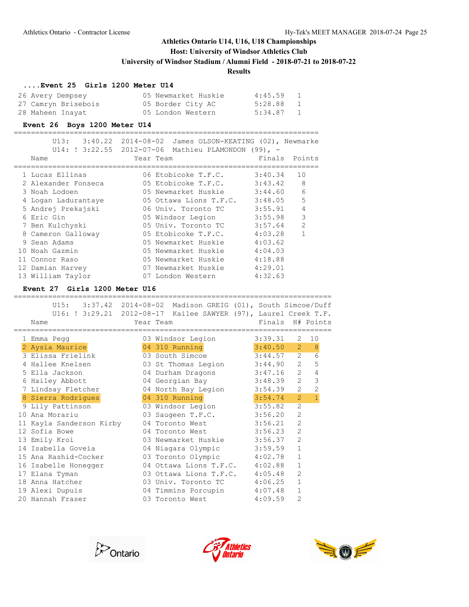**Host: University of Windsor Athletics Club**

**University of Windsor Stadium / Alumni Field - 2018-07-21 to 2018-07-22**

### **Results**

#### **....Event 25 Girls 1200 Meter U14**

| 26 Avery Dempsey    | 05 Newmarket Huskie | 4:45.59   |  |
|---------------------|---------------------|-----------|--|
| 27 Camryn Brisebois | 05 Border City AC   | 5:28.88 1 |  |
| 28 Maheen Inayat    | 05 London Western   | 5:34.87   |  |

### **Event 26 Boys 1200 Meter U14**

| U13: 3:40.22        | 2014-08-02 James OLSON-KEATING (02), Newmarke<br>U14: ! 3:22.55 2012-07-06 Mathieu PLAMONDON (99), - |         |                |
|---------------------|------------------------------------------------------------------------------------------------------|---------|----------------|
| Name                | Year Team                                                                                            | Finals  | Points         |
| 1 Lucas Ellinas     | 06 Etobicoke T.F.C.                                                                                  | 3:40.34 | 10             |
| 2 Alexander Fonseca | 05 Etobicoke T.F.C.                                                                                  | 3:43.42 | 8              |
| 3 Noah Lodoen       | 05 Newmarket Huskie                                                                                  | 3:44.60 | 6              |
| 4 Logan Ladurantaye | 05 Ottawa Lions T.F.C. $3:48.05$                                                                     |         | 5              |
| 5 Andrej Prekajski  | 06 Univ. Toronto TC                                                                                  | 3:55.91 | 4              |
| 6 Eric Gin          | 05 Windsor Legion                                                                                    | 3:55.98 | 3              |
| 7 Ben Kulchyski     | 05 Univ. Toronto TC                                                                                  | 3:57.64 | $\overline{2}$ |
| 8 Cameron Galloway  | 05 Etobicoke T.F.C.                                                                                  | 4:03.28 | 1              |
| 9 Sean Adams        | 05 Newmarket Huskie                                                                                  | 4:03.62 |                |
| 10 Noah Gazmin      | 05 Newmarket Huskie                                                                                  | 4:04.03 |                |
| 11 Connor Raso      | 05 Newmarket Huskie                                                                                  | 4:18.88 |                |
| 12 Damian Harvey    | 07 Newmarket Huskie                                                                                  | 4:29.01 |                |
| 13 William Taylor   | 07 London Western                                                                                    | 4:32.63 |                |

#### **Event 27 Girls 1200 Meter U16**

|     | U15: 3:37.42 2014-08-02 Madison GREIG (01), South Simcoe/Duff   |                                |         |                |                  |
|-----|-----------------------------------------------------------------|--------------------------------|---------|----------------|------------------|
|     | U16: ! 3:29.21 2012-08-17 Kailee SAWYER (97), Laurel Creek T.F. |                                |         |                |                  |
|     | Name                                                            | Year Team                      |         |                | Finals H# Points |
|     |                                                                 |                                |         |                |                  |
|     | 1 Emma Pegg                                                     | 03 Windsor Legion              | 3:39.31 | $\overline{2}$ | 10               |
|     | 2 Aysia Maurice                                                 | 04 310 Running 3:40.50         |         | $\overline{2}$ | 8 <sup>8</sup>   |
|     | 3 Elissa Frielink                                               | 03 South Simcoe                | 3:44.57 | $\overline{2}$ | 6                |
|     | 4 Hallee Knelsen                                                | 03 St Thomas Legion 3:44.90 2  |         |                | 5                |
|     | 5 Ella Jackson                                                  | 04 Durham Dragons 3:47.16      |         | $\overline{2}$ | $\overline{4}$   |
|     | 6 Hailey Abbott                                                 | 04 Georgian Bay 3:48.39        |         | $\overline{2}$ | 3                |
|     | 7 Lindsay Fletcher                                              | 04 North Bay Legion 3:54.39    |         | 2              | $\overline{c}$   |
|     | 8 Sierra Rodrigues                                              | 04 310 Running 3:54.74         |         | $\overline{2}$ | $\blacksquare$   |
|     | 9 Lily Pattinson                                                | 03 Windsor Legion              | 3:55.82 | $\overline{2}$ |                  |
| 1 O | Ana Morariu                                                     | 03 Saugeen T.F.C. 3:56.20      |         | $\overline{2}$ |                  |
|     | 11 Kayla Sanderson Kirby                                        | 04 Toronto West 3:56.21        |         | $\overline{2}$ |                  |
|     | 12 Sofia Bowe                                                   | 04 Toronto West 3:56.23        |         | $\overline{2}$ |                  |
|     | 13 Emily Kroi                                                   | 03 Newmarket Huskie 3:56.37    |         | $\overline{2}$ |                  |
|     | 14 Isabella Goveia                                              | 04 Niagara Olympic 3:59.59     |         | $\mathbf{1}$   |                  |
|     | 15 Ana Rashid-Cocker                                            | 03 Toronto Olympic 4:02.78     |         | 1              |                  |
|     | 16 Isabelle Honegger                                            | 04 Ottawa Lions T.F.C. 4:02.88 |         | $\mathbf{1}$   |                  |
|     | 17 Elana Tyman                                                  | 03 Ottawa Lions T.F.C. 4:05.48 |         | $\overline{2}$ |                  |
|     | 18 Anna Hatcher                                                 | 03 Univ. Toronto TC 4:06.25    |         | $\mathbf{1}$   |                  |
|     | 19 Alexi Dupuis                                                 | 04 Timmins Porcupin 4:07.48    |         | $\mathbf{1}$   |                  |
|     | 20 Hannah Fraser                                                | 03 Toronto West 4:09.59        |         | $\overline{2}$ |                  |
|     |                                                                 |                                |         |                |                  |





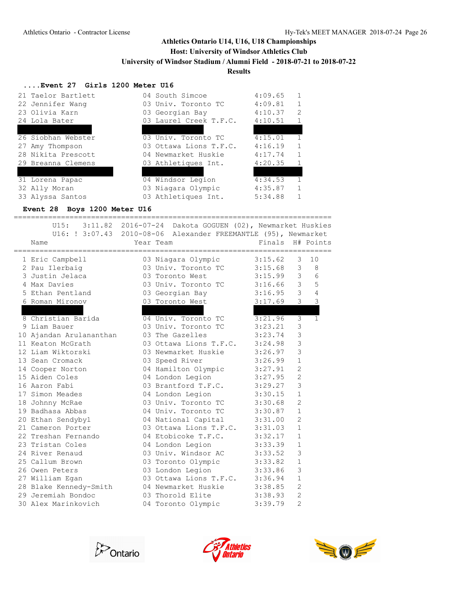## **Host: University of Windsor Athletics Club**

**University of Windsor Stadium / Alumni Field - 2018-07-21 to 2018-07-22**

# **Results**

#### **....Event 27 Girls 1200 Meter U16**

| 21 Taelor Bartlett     | 04 South Simcoe        | 4:09.65 |               |
|------------------------|------------------------|---------|---------------|
| 22 Jennifer Wang       | 03 Univ. Toronto TC    | 4:09.81 |               |
| 23 Olivia Karn         | 03 Georgian Bay        | 4:10.37 | $\mathcal{L}$ |
| 24 Lola Bater          | 03 Laurel Creek T.F.C. | 4:10.51 |               |
| 25 Tara Johannink      | 03 310 Running         | 4:11.21 |               |
| 26 Siobhan Webster     | 03 Univ. Toronto TC    | 4:15.01 | $\mathbf{1}$  |
| 27 Amy Thompson        | 03 Ottawa Lions T.F.C. | 4:16.19 |               |
| 28 Nikita Prescott     | 04 Newmarket Huskie    | 4:17.74 | $\mathbf{1}$  |
| 29 Breanna Clemens     | 03 Athletiques Int.    | 4:20.35 | $\mathbf{1}$  |
| 30 Sabrina Della Penna | 04 310 Running         | 4:23.27 | $\mathbf{1}$  |
| 31 Lorena Papac        | 04 Windsor Legion      | 4:34.53 |               |
| 32 Ally Moran          | 03 Niagara Olympic     | 4:35.87 | $\mathbf{1}$  |
| 33 Alyssa Santos       | 03 Athletiques Int.    | 5:34.88 |               |

# **Event 28 Boys 1200 Meter U16**

==========================================================================

|                                                                                | U15: 3:11.82 2016-07-24 Dakota GOGUEN (02), Newmarket Huskies                          |                  |                |                |
|--------------------------------------------------------------------------------|----------------------------------------------------------------------------------------|------------------|----------------|----------------|
|                                                                                | U16: ! 3:07.43 2010-08-06 Alexander FREEMANTLE (95), Newmarket                         |                  |                |                |
| Name                                                                           | Year Team                                                                              | Finals H# Points |                |                |
| 1 Eric Campbell                                                                | 03 Niagara Olympic 3:15.62 3                                                           |                  |                | 10             |
|                                                                                | 03 Univ. Toronto TC 3:15.68 3 8                                                        |                  |                |                |
| 2 Pau Ilerbaig<br>3 Justin Jelaca                                              | 03 Toronto West 3:15.99 3 6                                                            |                  |                |                |
| 4 Max Davies                                                                   | 03 Univ. Toronto TC 3:16.66 3 5                                                        |                  |                |                |
| 5 Ethan Pentland 63 Georgian Bay 3:16.95 3 4                                   |                                                                                        |                  |                |                |
| 6 Roman Mironov                                                                | 03 Toronto West 3:17.69 3 3                                                            |                  |                |                |
| 7 Cameron Moir<br>8 Christian Barida (1994) 04 Univ. Toronto TC (2012) 3:21.96 |                                                                                        |                  |                | 3 <sub>2</sub> |
|                                                                                |                                                                                        |                  | 3              | $\overline{1}$ |
| 9 Liam Bauer                                                                   | 03 Univ. Toronto TC 3:23.21                                                            |                  | 3              |                |
| 10 Ajandan Arulananthan                                                        | 03 The Gazelles 3:23.74                                                                |                  | 3              |                |
| 11 Keaton McGrath                                                              | 03 Ottawa Lions T.F.C. 3:24.98                                                         |                  | $\overline{3}$ |                |
| 12 Liam Wiktorski                                                              | 03 Newmarket Huskie 3:26.97                                                            |                  | $\overline{3}$ |                |
| 13 Sean Cromack                                                                | 03 Speed River 3:26.99<br>04 Hamilton Olympic 3:27.91                                  |                  | $\mathbf{1}$   |                |
| 14 Cooper Norton                                                               |                                                                                        |                  | $\overline{2}$ |                |
| 15 Aiden Coles                                                                 | 04 London Legion 3:27.95                                                               |                  | $\overline{2}$ |                |
| 16 Aaron Fabi                                                                  |                                                                                        |                  | 3              |                |
| 17 Simon Meades<br>18 Johnny McRae                                             | 03 Brantford T.F.C. 3:29.27<br>04 London Legion 3:30.15<br>03 Univ. Toronto TC 3:30.68 |                  | $\mathbf{1}$   |                |
|                                                                                |                                                                                        |                  | $\overline{2}$ |                |
| 19 Badhasa Abbas                                                               | 04 Univ. Toronto TC 3:30.87                                                            |                  | $\mathbf{1}$   |                |
| 20 Ethan Sendybyl                                                              | 04 National Capital 3:31.00                                                            |                  | $\overline{2}$ |                |
| 21 Cameron Porter                                                              | 03 Ottawa Lions T.F.C. 3:31.03                                                         |                  | $\mathbf{1}$   |                |
| 22 Treshan Fernando                                                            | 04 Etobicoke T.F.C. 3:32.17                                                            |                  | $\mathbf{1}$   |                |
| 23 Tristan Coles                                                               | 04 London Legion                                                                       | 3:33.39          | $\mathbf{1}$   |                |
| 24 River Renaud                                                                | 03 Univ. Windsor AC 3:33.52                                                            |                  | 3              |                |
| 25 Callum Brown                                                                | 03 Toronto Olympic 3:33.82                                                             |                  | $\mathbf{1}$   |                |
| 26 Owen Peters                                                                 | 03 London Legion 3:33.86                                                               |                  | 3              |                |
| 27 William Egan                                                                | 03 Ottawa Lions T.F.C. 3:36.94                                                         |                  | $\mathbf{1}$   |                |
| 27 Milliam Egan<br>28 Blake Kennedy-Smith                                      | 04 Newmarket Huskie 3:38.85                                                            |                  | $\overline{2}$ |                |
| 29 Jeremiah Bondoc                                                             | 03 Thorold Elite 3:38.93                                                               |                  | $\overline{c}$ |                |
| 30 Alex Marinkovich                                                            | 04 Toronto Olympic 3:39.79                                                             |                  | $\overline{2}$ |                |





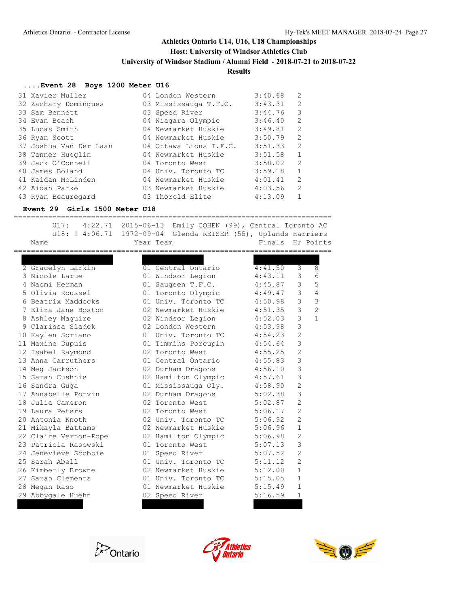#### **Host: University of Windsor Athletics Club**

**University of Windsor Stadium / Alumni Field - 2018-07-21 to 2018-07-22**

#### **Results**

#### **....Event 28 Boys 1200 Meter U16**

| 31 Xavier Muller       | 04 London Western      | 3:40.68 | $\mathcal{L}$ |
|------------------------|------------------------|---------|---------------|
| 32 Zachary Dominques   | 03 Mississauga T.F.C.  | 3:43.31 | 2             |
| 33 Sam Bennett         | 03 Speed River         | 3:44.76 | 3             |
| 34 Evan Beach          | 04 Niagara Olympic     | 3:46.40 | $\mathcal{L}$ |
| 35 Lucas Smith         | 04 Newmarket Huskie    | 3:49.81 | 2             |
| 36 Ryan Scott          | 04 Newmarket Huskie    | 3:50.79 | $\mathcal{L}$ |
| 37 Joshua Van Der Laan | 04 Ottawa Lions T.F.C. | 3:51.33 | $\mathcal{L}$ |
| 38 Tanner Hueglin      | 04 Newmarket Huskie    | 3:51.58 | $\mathbf{1}$  |
| 39 Jack O'Connell      | 04 Toronto West        | 3:58.02 | $\mathcal{L}$ |
| 40 James Boland        | 04 Univ. Toronto TC    | 3:59.18 | 1             |
| 41 Kaidan McLinden     | 04 Newmarket Huskie    | 4:01.41 | $\mathcal{L}$ |
| 42 Aidan Parke         | 03 Newmarket Huskie    | 4:03.56 | $\mathcal{L}$ |
| 43 Ryan Beauregard     | 03 Thorold Elite       | 4:13.09 |               |

#### **Event 29 Girls 1500 Meter U18**

========================================================================== U17: 4:22.71 2015-06-13 Emily COHEN (99), Central Toronto AC U18: ! 4:06.71 1972-09-04 Glenda REISER (55), Uplands Harriers Name **Name** Year Team **Finals H# Points** ========================================================================== 1 Sarah-Rose Sullivan 02 310 Running 4:40.81 3 10 2 Gracelyn Larkin 01 Central Ontario 4:41.50 3 8 3 Nicole Larue 01 Windsor Legion 4:43.11 3 6 4 Naomi Herman 01 Saugeen T.F.C. 4:45.87 3 5 5 Olivia Roussel 01 Toronto Olympic 4:49.47 3 4 6 Beatrix Maddocks 01 Univ. Toronto TC 4:50.98 3 3 7 Eliza Jane Boston 02 Newmarket Huskie 4:51.35 3 2 8 Ashley Maguire 02 Windsor Legion 4:52.03 3 1 9 Clarissa Sladek 02 London Western 4:53.98 3 10 Kaylen Soriano 01 Univ. Toronto TC 4:54.23 2 11 Maxine Dupuis 01 Timmins Porcupin 4:54.64 3 12 Isabel Raymond 02 Toronto West 4:55.25 2 13 Anna Carruthers 01 Central Ontario 4:55.83 3 14 Meg Jackson 02 Durham Dragons 4:56.10 3 15 Sarah Cushnie 02 Hamilton Olympic 4:57.61 3 16 Sandra Guga 01 Mississauga Oly. 4:58.90 2 17 Annabelle Potvin 02 Durham Dragons 5:02.38 3 18 Julia Cameron 02 Toronto West 5:02.87 2 19 Laura Peters **02 Toronto West** 5:06.17 2 20 Antonia Knoth 02 Univ. Toronto TC 5:06.92 2 21 Mikayla Battams 02 Newmarket Huskie 5:06.96 1 22 Claire Vernon-Pope 02 Hamilton Olympic 5:06.98 2 23 Patricia Rasowski 01 Toronto West 5:07.13 3 24 Jenevieve Scobbie 101 Speed River 19:07.52 2 25 Sarah Abell **01 Univ.** Toronto TC 5:11.12 2 26 Kimberly Browne 02 Newmarket Huskie 5:12.00 1 27 Sarah Clements **01 Univ.** Toronto TC 5:15.05 1 28 Megan Raso 01 Newmarket Huskie 5:15.49 1 29 Abbygale Huehn 02 Speed River 5:16.59 1 30 Emma Everett 02 310 Running 5:21.61 3





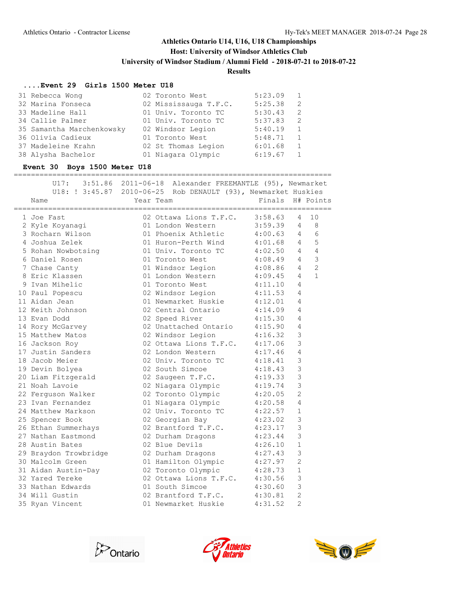### **Host: University of Windsor Athletics Club**

**University of Windsor Stadium / Alumni Field - 2018-07-21 to 2018-07-22**

# **Results**

#### **....Event 29 Girls 1500 Meter U18**

| 31 Rebecca Wong           | 02 Toronto West       | 5:23.09 | -1             |
|---------------------------|-----------------------|---------|----------------|
| 32 Marina Fonseca         | 02 Mississauga T.F.C. | 5:25.38 | 2              |
| 33 Madeline Hall          | 01 Univ. Toronto TC   | 5:30.43 | -2             |
| 34 Callie Palmer          | 01 Univ. Toronto TC   | 5:37.83 | $\overline{2}$ |
| 35 Samantha Marchenkowsky | 02 Windsor Legion     | 5:40.19 | 1              |
| 36 Olivia Cadieux         | 01 Toronto West       | 5:48.71 | 1              |
| 37 Madeleine Krahn        | 02 St Thomas Legion   | 6:01.68 | <sup>1</sup>   |
| 38 Alysha Bachelor        | 01 Niagara Olympic    | 6:19.67 | $\overline{1}$ |

#### **Event 30 Boys 1500 Meter U18**

==========================================================================

| U17:                  | 3:51.86 2011-06-18 Alexander FREEMANTLE (95), Newmarket               |                        |                |                |
|-----------------------|-----------------------------------------------------------------------|------------------------|----------------|----------------|
|                       | U18: ! 3:45.87 2010-06-25 Rob DENAULT (93), Newmarket Huskies         |                        |                |                |
| Name                  | Year Team                                                             | Finals H# Points       |                |                |
| 1 Joe Fast            | 02 Ottawa Lions T.F.C. $3:58.63$                                      |                        | $\overline{4}$ | 10             |
| 2 Kyle Koyanagi       | 01 London Western 3:59.39 4 8                                         |                        |                |                |
| 3 Rocharn Wilson      | 01 Phoenix Athletic 4:00.63 4 6                                       |                        |                |                |
| 4 Joshua Zelek        | 01 Huron-Perth Wind 4:01.68 4                                         |                        |                | 5              |
| 5 Rohan Nowbotsing    | 01 Univ. Toronto TC 4:02.50                                           |                        | $\overline{4}$ | $\overline{4}$ |
| 6 Daniel Rosen        | 01 Toronto West 4:08.49                                               |                        | $4\degree$     | 3              |
| 7 Chase Canty         | 01 Windsor Legion                                                     | 4:08.86                | $\overline{4}$ | $\overline{2}$ |
| 8 Eric Klassen        | 01 London Western 4:09.45                                             |                        | 4              | $\mathbf{1}$   |
| 9 Ivan Mihelic        | 01 Toronto West                                                       |                        | 4              |                |
| 10 Paul Popescu       | 02 Windsor Legion                                                     | $4:11.10$<br>$4:11.53$ | 4              |                |
| 11 Aidan Jean         | 01 Newmarket Huskie                                                   | 4:12.01                | 4              |                |
| 12 Keith Johnson      | 02 Central Ontario                                                    | 4:14.09                | 4              |                |
| 13 Evan Dodd          | 02 Speed River                                                        | 4:15.30                | 4              |                |
| 14 Rory McGarvey      | 02 Unattached Ontario 4:15.90                                         |                        | 4              |                |
| 15 Matthew Matos      | 02 Windsor Legion                                                     | 4:16.32                | 3              |                |
| 16 Jackson Roy        | 02 Ottawa Lions T.F.C. 4:17.06                                        |                        | 3              |                |
| 17 Justin Sanders     | 02 London Western                                                     | 4:17.46                | 4              |                |
| 18 Jacob Meier        | 02 Univ. Toronto TC 4:18.41                                           |                        | 3              |                |
| 19 Devin Bolyea       | 02 South Simcoe                                                       | 4:18.43                | 3              |                |
| 20 Liam Fitzgerald    | 02 Saugeen T.F.C.                                                     | 4:19.33                | 3              |                |
| 21 Noah Lavoie        |                                                                       | 4:19.74                | 3              |                |
| 22 Ferquson Walker    | 02 Niagara Olympic<br>02 Toronto Olympic<br>01 Niagara Olympic        | $4:20.05$<br>$4:20.58$ | $\overline{c}$ |                |
| 23 Ivan Fernandez     |                                                                       |                        | 4              |                |
| 24 Matthew Markson    | 02 Univ. Toronto TC                                                   | 4:22.57                | $\mathbf{1}$   |                |
| 25 Spencer Book       | 02 Georgian Bay                                                       | 4:23.02                | 3              |                |
| 26 Ethan Summerhays   | 02 Brantford T.F.C. 4:23.17                                           |                        | 3              |                |
| 27 Nathan Eastmond    | 02 Durham Dragons 4:23.44                                             |                        | 3              |                |
| 28 Austin Bates       | 02 Blue Devils                                                        | 4:26.10                | $\mathbf{1}$   |                |
| 29 Braydon Trowbridge | 02 Durham Dragons 4:27.43                                             |                        | 3              |                |
| 30 Malcolm Green      | 01 Hamilton Olympic 4:27.97                                           |                        | $\overline{2}$ |                |
| 31 Aidan Austin-Day   | 02 Toronto Olympic 4:28.73                                            |                        | $\mathbf{1}$   |                |
| 32 Yared Tereke       | 02 Ottawa Lions T.F.C. 4:30.56                                        |                        | $\mathcal{S}$  |                |
| 33 Nathan Edwards     |                                                                       |                        | $\mathfrak{Z}$ |                |
| 34 Will Gustin        | 1:30.60<br>02 Brantford T.F.C. 4:30.81<br>01 Newmarket Huskie 4:31.52 |                        | $\overline{2}$ |                |
| 35 Ryan Vincent       |                                                                       |                        | $\overline{2}$ |                |





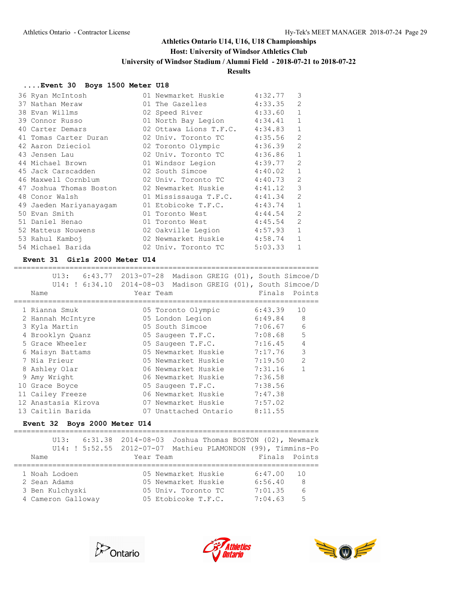### **Host: University of Windsor Athletics Club**

**University of Windsor Stadium / Alumni Field - 2018-07-21 to 2018-07-22**

### **Results**

#### **....Event 30 Boys 1500 Meter U18**

| 36 Ryan McIntosh        | 01 Newmarket Huskie    | 3<br>4:32.77              |
|-------------------------|------------------------|---------------------------|
| 37 Nathan Meraw         | 01 The Gazelles        | $\overline{2}$<br>4:33.35 |
| 38 Evan Willms          | 02 Speed River         | 4:33.60                   |
| 39 Connor Russo         | 01 North Bay Legion    | 4:34.41<br>1              |
| 40 Carter Demars        | 02 Ottawa Lions T.F.C. | 4:34.83<br>1              |
| 41 Tomas Carter Duran   | 02 Univ. Toronto TC    | 4:35.56<br>$\mathfrak{D}$ |
| 42 Aaron Dzieciol       | 02 Toronto Olympic     | $\mathfrak{D}$<br>4:36.39 |
| 43 Jensen Lau           | 02 Univ. Toronto TC    | $\mathbf{1}$<br>4:36.86   |
| 44 Michael Brown        | 01 Windsor Legion      | 4:39.77<br>$\overline{2}$ |
| 45 Jack Carscadden      | 02 South Simcoe        | 1<br>4:40.02              |
| 46 Maxwell Cornblum     | 02 Univ. Toronto TC    | $\overline{2}$<br>4:40.73 |
| 47 Joshua Thomas Boston | 02 Newmarket Huskie    | 3<br>4:41.12              |
| 48 Conor Walsh          | 01 Mississauga T.F.C.  | $\mathfrak{D}$<br>4:41.34 |
| 49 Jaeden Mariyanayagam | 01 Etobicoke T.F.C.    | $\mathbf{1}$<br>4:43.74   |
| 50 Evan Smith           | 01 Toronto West        | $\mathfrak{D}$<br>4:44.54 |
| 51 Daniel Henao         | 01 Toronto West        | $\overline{2}$<br>4:45.54 |
| 52 Matteus Nouwens      | 02 Oakville Legion     | 4:57.93                   |
| 53 Rahul Kamboj         | 02 Newmarket Huskie    | 4:58.74                   |
| 54 Michael Barida       | 02 Univ. Toronto TC    | 5:03.33                   |

#### **Event 31 Girls 2000 Meter U14**

======================================================================= U13: 6:43.77 2013-07-28 Madison GREIG (01), South Simcoe/D

| UI3:                      | 6:43.77 2013-07-28          | Madison GREIG (01), South Simcoe/D |
|---------------------------|-----------------------------|------------------------------------|
| U14: ! 6:34.10 2014-08-03 |                             | Madison GREIG (01), South Simcoe/D |
| Name                      | Year Team                   | Finals Points                      |
|                           |                             |                                    |
| 1 Rianna Smuk             | 05 Toronto Olympic          | 6:43.39<br>10                      |
| 2 Hannah McIntyre         | 05 London Legion            | 8<br>6:49.84                       |
| 3 Kyla Martin             | 05 South Simcoe             | $\epsilon$<br>7:06.67              |
| 4 Brooklyn Quanz          | 05 Saugeen T.F.C.           | 5<br>7:08.68                       |
| 5 Grace Wheeler           | 05 Saugeen T.F.C.           | $\overline{4}$<br>7:16.45          |
| 6 Maisyn Battams          | 05 Newmarket Huskie         | $\mathbf{3}$<br>7:17.76            |
| 7 Nia Prieur              | 05 Newmarket Huskie         | 2<br>7:19.50                       |
| 8 Ashley Olar             | 06 Newmarket Huskie         | $\mathbf{1}$<br>7:31.16            |
| 9 Amy Wright              | 06 Newmarket Huskie 7:36.58 |                                    |
| 10 Grace Boyce            | 05 Saugeen T.F.C.           | 7:38.56                            |
| 11 Cailey Freeze          | 06 Newmarket Huskie         | 7:47.38                            |
| 12 Anastasia Kirova       | 07 Newmarket Huskie         | 7:57.02                            |
| 13 Caitlin Barida         | 07 Unattached Ontario       | 8:11.55                            |
|                           |                             |                                    |

# **Event 32 Boys 2000 Meter U14**

|      |                    | $U13: 6:31.38 2014-08-03$                                    |  |           |                     |                     |         | Joshua Thomas BOSTON (02), Newmark |
|------|--------------------|--------------------------------------------------------------|--|-----------|---------------------|---------------------|---------|------------------------------------|
|      |                    | U14: ! 5:52.55 2012-07-07 Mathieu PLAMONDON (99), Timmins-Po |  |           |                     |                     |         |                                    |
| Name |                    |                                                              |  | Year Team |                     |                     |         | Finals Points                      |
|      |                    |                                                              |  |           |                     |                     |         |                                    |
|      | 1 Noah Lodoen      |                                                              |  |           |                     | 05 Newmarket Huskie | 6:47.00 | $\overline{10}$                    |
|      | 2 Sean Adams       |                                                              |  |           |                     | 05 Newmarket Huskie | 6:56.40 | - 8                                |
|      | 3 Ben Kulchyski    |                                                              |  |           |                     | 05 Univ. Toronto TC | 7:01.35 | 6                                  |
|      | 4 Cameron Galloway |                                                              |  |           | 05 Etobicoke T.F.C. |                     | 7:04.63 | 5                                  |
|      |                    |                                                              |  |           |                     |                     |         |                                    |





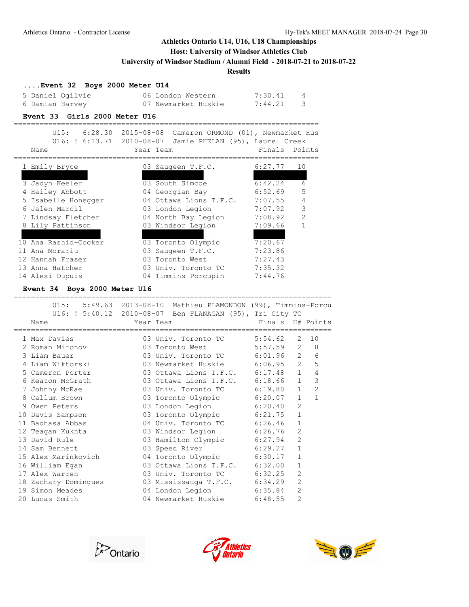### **Host: University of Windsor Athletics Club**

**University of Windsor Stadium / Alumni Field - 2018-07-21 to 2018-07-22**

=======================================================================

**Results**

### **....Event 32 Boys 2000 Meter U14**

| 5 Daniel Ogilvie | 06 London Western   | 7:30.41 |                |
|------------------|---------------------|---------|----------------|
| 6 Damian Harvey  | 07 Newmarket Huskie | 7:44.21 | $\overline{3}$ |

#### **Event 33 Girls 2000 Meter U16**

|     |                     | U15: 6:28.30 2015-08-08 Cameron ORMOND (01), Newmarket Hus |                |
|-----|---------------------|------------------------------------------------------------|----------------|
|     |                     | U16: ! 6:13.71 2010-08-07 Jamie PHELAN (95), Laurel Creek  |                |
|     | Name                | Finals<br>Year Team                                        | Points         |
|     | 1 Emily Bryce       | 6:27.77<br>03 Saugeen T.F.C.                               | 10             |
|     | 2 Aysia Maurice     | 04 310 Running<br>6:29.98                                  | 8              |
|     | 3 Jadyn Keeler      | 03 South Simcoe<br>6:42.24                                 | 6              |
| 4   | Hailey Abbott       | 6:52.69<br>04 Georgian Bay                                 | 5              |
|     | 5 Isabelle Honegger | 7:07.55<br>04 Ottawa Lions T.F.C.                          | $\overline{4}$ |
|     | 6 Jalen Marcil      | 7:07.92<br>03 London Legion                                | 3              |
|     | 7 Lindsay Fletcher  | 7:08.92<br>04 North Bay Legion                             | $\mathcal{L}$  |
|     | 8 Lily Pattinson    | 7:09.66<br>03 Windsor Legion                               | $\mathbf{1}$   |
|     | 9 Sierra Rodriques  | 7:15.07<br>04 310 Running                                  |                |
| 1 O | Ana Rashid-Cocker   | 03 Toronto Olympic<br>7:20.67                              |                |
|     | 11 Ana Morariu      | 7:23.86<br>03 Saugeen T.F.C.                               |                |
|     | 12 Hannah Fraser    | 7:27.43<br>03 Toronto West                                 |                |
|     | 13 Anna Hatcher     | 7:35.32<br>03 Univ. Toronto TC                             |                |
|     | 14 Alexi Dupuis     | 7:44.76<br>04 Timmins Porcupin                             |                |

#### **Event 34 Boys 2000 Meter U16**

|                      | U15: 5:49.63 2013-08-10 Mathieu PLAMONDON (99), Timmins-Porcu<br>U16: ! 5:40.12 2010-08-07 Ben FLANAGAN (95), Tri City TC |                  |                |                |
|----------------------|---------------------------------------------------------------------------------------------------------------------------|------------------|----------------|----------------|
| Name                 | Year Team                                                                                                                 | Finals H# Points |                |                |
| 1 Max Davies         | 03 Univ. Toronto TC 5:54.62                                                                                               |                  | 2              | 10             |
| 2 Roman Mironov      | 03 Toronto West 5:57.59 2 8                                                                                               |                  |                |                |
| 3 Liam Bauer         | 03 Univ. Toronto TC 6:01.96 2                                                                                             |                  |                | 6              |
| 4 Liam Wiktorski     | 03 Newmarket Huskie 6:06.95 2                                                                                             |                  |                | 5              |
| 5 Cameron Porter     | 03 Ottawa Lions T.F.C. 6:17.48 1                                                                                          |                  |                | $\overline{4}$ |
| 6 Keaton McGrath     | 03 Ottawa Lions T.F.C. 6:18.66                                                                                            |                  | $\mathbf{1}$   | 3              |
| 7 Johnny McRae       | 03 Univ. Toronto TC 6:19.80                                                                                               |                  | $\mathbf{1}$   | $\overline{2}$ |
| 8 Callum Brown       | 03 Toronto Olympic 6:20.07                                                                                                |                  | $\mathbf{1}$   | $\mathbf{1}$   |
| 9 Owen Peters        | 03 London Legion 6:20.40                                                                                                  |                  | $\overline{2}$ |                |
| 10 Davis Sampson     | 03 Toronto Olympic 6:21.75                                                                                                |                  | $\mathbf{1}$   |                |
| 11 Badhasa Abbas     | 04 Univ. Toronto TC 6:26.46                                                                                               |                  | $\mathbf{1}$   |                |
| 12 Teagan Kukhta     | 03 Windsor Legion 6:26.76                                                                                                 |                  | $\overline{2}$ |                |
| 13 David Rule        | 03 Hamilton Olympic 6:27.94<br>03 Speed River 6:29.27                                                                     |                  | $\overline{2}$ |                |
| 14 Sam Bennett       |                                                                                                                           |                  | $\mathbf{1}$   |                |
| 15 Alex Marinkovich  | 04 Toronto Olympic 6:30.17                                                                                                |                  | $\mathbf{1}$   |                |
| 16 William Egan      | 03 Ottawa Lions T.F.C. 6:32.00                                                                                            |                  | $\mathbf{1}$   |                |
| 17 Alex Warren       | 03 Univ. Toronto TC 6:32.25                                                                                               |                  | $\overline{2}$ |                |
| 18 Zachary Domingues | 03 Mississauga T.F.C. 6:34.29                                                                                             |                  | $\overline{2}$ |                |
| 19 Simon Meades      | 04 London Legion 6:35.84                                                                                                  |                  | $\overline{2}$ |                |
| 20 Lucas Smith       | 04 Newmarket Huskie 6:48.55                                                                                               |                  | 2              |                |





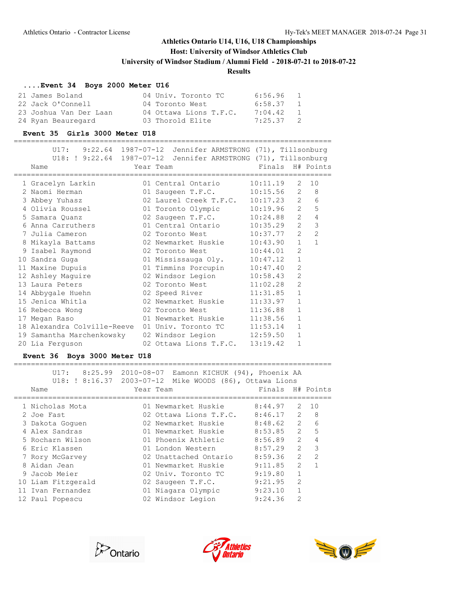### **Host: University of Windsor Athletics Club**

**University of Windsor Stadium / Alumni Field - 2018-07-21 to 2018-07-22**

#### **Results**

### **....Event 34 Boys 2000 Meter U16**

| 21 James Boland        | 04 Univ. Toronto TC    | 6:56.96 | $\sim$ 1       |
|------------------------|------------------------|---------|----------------|
| 22 Jack O'Connell      | 04 Toronto West        | 6:58.37 | $\overline{1}$ |
| 23 Joshua Van Der Laan | 04 Ottawa Lions T.F.C. | 7:04.42 | $\overline{1}$ |
| 24 Ryan Beauregard     | 03 Thorold Elite       | 7:25.37 | $\sim$ 2       |

#### **Event 35 Girls 3000 Meter U18**

==========================================================================

| U17:                                                           | $9:22.64$ 1987-07-12 Jennifer ARMSTRONG (71), Tillsonburg |                        |                |                |                  |
|----------------------------------------------------------------|-----------------------------------------------------------|------------------------|----------------|----------------|------------------|
| U18: ! 9:22.64 1987-07-12 Jennifer ARMSTRONG (71), Tillsonburg |                                                           |                        |                |                |                  |
| Name                                                           | Year Team                                                 |                        |                |                | Finals H# Points |
| 1 Gracelyn Larkin                                              | 01 Central Ontario                                        | ====================== | 10:11.19       |                | $2 \t10$         |
| 2 Naomi Herman                                                 | 01 Saugeen T.F.C.                                         |                        | $10:15.56$ 2 8 |                |                  |
| 3 Abbey Yuhasz                                                 | 02 Laurel Creek T.F.C. 10:17.23 2                         |                        |                |                | 6                |
| 4 Olivia Roussel                                               | 01 Toronto Olympic 10:19.96                               |                        |                | $\overline{2}$ | 5                |
| 5 Samara Quanz                                                 | 02 Saugeen T.F.C.                                         |                        | 10:24.88       | 2              | $\overline{4}$   |
| 6 Anna Carruthers                                              | 01 Central Ontario                                        |                        | 10:35.29       | $\overline{2}$ | 3                |
| 7 Julia Cameron                                                | 02 Toronto West                                           |                        | 10:37.77       | 2              | $\overline{2}$   |
| 8 Mikayla Battams                                              | 02 Newmarket Huskie                                       |                        | 10:43.90       | $\mathbf{1}$   | $\mathbf{1}$     |
| 9 Isabel Raymond                                               | 02 Toronto West 10:44.01                                  |                        |                | $\overline{2}$ |                  |
| 10 Sandra Guga                                                 | 01 Mississauga Oly.                                       |                        | 10:47.12       | $\mathbf{1}$   |                  |
| 11 Maxine Dupuis                                               | 01 Timmins Porcupin                                       |                        | 10:47.40       | $\overline{2}$ |                  |
| 12 Ashley Maquire                                              | 02 Windsor Legion                                         |                        | 10:58.43       | $\overline{2}$ |                  |
| 13 Laura Peters                                                | 02 Toronto West                                           |                        | 11:02.28       | $\overline{2}$ |                  |
| 14 Abbygale Huehn                                              | 02 Speed River                                            |                        | 11:31.85       | $\mathbf{1}$   |                  |
| 15 Jenica Whitla                                               | 02 Newmarket Huskie 11:33.97                              |                        |                | $\mathbf{1}$   |                  |
| 16 Rebecca Wong                                                | 02 Toronto West 11:36.88                                  |                        |                | $\mathbf{1}$   |                  |
| 17 Megan Raso                                                  | 01 Newmarket Huskie                                       |                        | 11:38.56       | $\mathbf{1}$   |                  |
| 18 Alexandra Colville-Reeve                                    | 01 Univ. Toronto TC 11:53.14                              |                        |                | $\mathbf{1}$   |                  |
| 19 Samantha Marchenkowsky                                      | 02 Windsor Legion                                         |                        | 12:59.50       | $\mathbf{1}$   |                  |
| 20 Lia Ferguson                                                | 02 Ottawa Lions T.F.C.                                    |                        | 13:19.42       | $\mathbf{1}$   |                  |

#### **Event 36 Boys 3000 Meter U18**

| U17:<br>Name       | 8:25.99 2010-08-07 Eamonn KICHUK (94), Phoenix AA<br>U18: ! 8:16.37 2003-07-12 Mike WOODS (86), Ottawa Lions<br>Year Team | Finals H# Points |                |                |
|--------------------|---------------------------------------------------------------------------------------------------------------------------|------------------|----------------|----------------|
|                    |                                                                                                                           |                  |                |                |
| 1 Nicholas Mota    | 01 Newmarket Huskie                                                                                                       | 8:44.97          | 2              | 10             |
| 2 Joe Fast         | 02 Ottawa Lions T.F.C.                                                                                                    | $8:46.17$ 2      |                | 8              |
| 3 Dakota Goquen    | 02 Newmarket Huskie                                                                                                       | 8:48.62          | $\overline{2}$ | 6              |
| 4 Alex Sandras     | 01 Newmarket Huskie                                                                                                       | 8:53.85          | $\mathcal{L}$  | 5              |
| 5 Rocharn Wilson   | 01 Phoenix Athletic                                                                                                       | 8:56.89          | $\mathcal{P}$  | 4              |
| 6 Eric Klassen     | 01 London Western                                                                                                         | 8:57.29          | $\mathcal{L}$  | 3              |
| 7 Rory McGarvey    | 02 Unattached Ontario                                                                                                     | 8:59.36          | $\mathcal{L}$  | $\overline{2}$ |
| 8 Aidan Jean       | 01 Newmarket Huskie                                                                                                       | 9:11.85          | $\mathcal{P}$  | $\overline{1}$ |
| 9 Jacob Meier      | 02 Univ. Toronto TC                                                                                                       | 9:19.80          | 1              |                |
| 10 Liam Fitzgerald | 02 Saugeen T.F.C.                                                                                                         | 9:21.95          | $\mathcal{L}$  |                |
| 11 Ivan Fernandez  | 01 Niagara Olympic                                                                                                        | 9:23.10          |                |                |
| 12 Paul Popescu    | 02 Windsor Legion                                                                                                         | 9:24.36          | $\mathfrak{D}$ |                |
|                    |                                                                                                                           |                  |                |                |





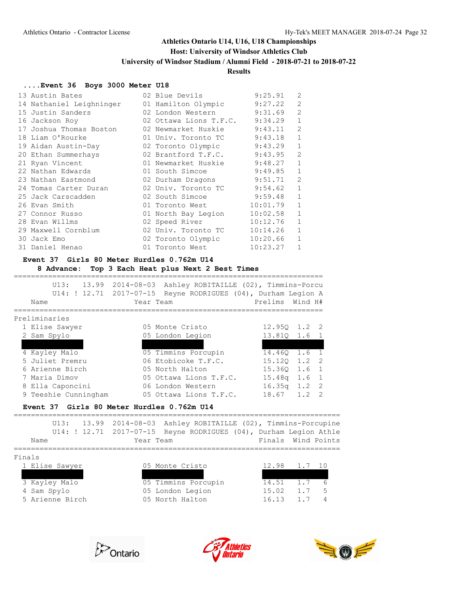### **Host: University of Windsor Athletics Club**

**University of Windsor Stadium / Alumni Field - 2018-07-21 to 2018-07-22**

### **Results**

### **....Event 36 Boys 3000 Meter U18**

| 13 Austin Bates          | 02 Blue Devils         | 9:25.91<br>2              |
|--------------------------|------------------------|---------------------------|
| 14 Nathaniel Leighninger | 01 Hamilton Olympic    | $\overline{2}$<br>9:27.22 |
| 15 Justin Sanders        | 02 London Western      | 9:31.69<br>$\overline{2}$ |
| 16 Jackson Roy           | 02 Ottawa Lions T.F.C. | 9:34.29<br>1              |
| 17 Joshua Thomas Boston  | 02 Newmarket Huskie    | $\mathcal{L}$<br>9:43.11  |
| 18 Liam O'Rourke         | 01 Univ. Toronto TC    | 9:43.18<br>$\mathbf{1}$   |
| 19 Aidan Austin-Day      | 02 Toronto Olympic     | $\mathbf 1$<br>9:43.29    |
| 20 Ethan Summerhays      | 02 Brantford T.F.C.    | $\mathfrak{D}$<br>9:43.95 |
| 21 Ryan Vincent          | 01 Newmarket Huskie    | 9:48.27<br>$\mathbf{1}$   |
| 22 Nathan Edwards        | 01 South Simcoe        | 9:49.85<br>$\mathbf 1$    |
| 23 Nathan Eastmond       | 02 Durham Dragons      | $\overline{2}$<br>9:51.71 |
| 24 Tomas Carter Duran    | 02 Univ. Toronto TC    | $\mathbf{1}$<br>9:54.62   |
| 25 Jack Carscadden       | 02 South Simcoe        | $\mathbf{1}$<br>9:59.48   |
| 26 Evan Smith            | 01 Toronto West        | $\mathbf{1}$<br>10:01.79  |
| 27 Connor Russo          | 01 North Bay Legion    | $\mathbf{1}$<br>10:02.58  |
| 28 Evan Willms           | 02 Speed River         | $\mathbf 1$<br>10:12.76   |
| 29 Maxwell Cornblum      | 02 Univ. Toronto TC    | $\mathbf{1}$<br>10:14.26  |
| 30 Jack Emo              | 02 Toronto Olympic     | $\mathbf{1}$<br>10:20.66  |
| 31 Daniel Henao          | 01 Toronto West        | $\mathbf{1}$<br>10:23.27  |

#### **Event 37 Girls 80 Meter Hurdles 0.762m U14**

## **8 Advance: Top 3 Each Heat plus Next 2 Best Times**

| 13.99<br>U13:<br>U14: ! 12.71 2017-07-15 | 2014-08-03 | Ashley ROBITAILLE (02), Timmins-Porcu<br>Reyne RODRIGUES (04), Durham Legion A |                    |                            |
|------------------------------------------|------------|--------------------------------------------------------------------------------|--------------------|----------------------------|
| Name                                     |            | Year Team                                                                      | Prelims Wind H#    |                            |
| Preliminaries                            |            |                                                                                |                    |                            |
| 1 Elise Sawyer                           |            | 05 Monte Cristo                                                                |                    | $12.950 \quad 1.2 \quad 2$ |
| 2 Sam Spylo                              |            | 05 London Legion                                                               | 13.810             | 1.6<br>$\overline{1}$      |
| 3 Katie Jelaca                           |            | 05 310 Running                                                                 | 13.920             | $1.2 \quad 2$              |
| 4 Kayley Malo                            |            | 05 Timmins Porcupin                                                            | 14.460             | 1.6<br>$\overline{1}$      |
| 5 Juliet Premru                          |            | 06 Etobicoke T.F.C.                                                            | 15.120             | -2<br>1.2                  |
| 6 Arienne Birch                          |            | 05 North Halton                                                                | 15.360             | $\overline{1}$<br>1.6      |
| 7 Maria Dimov                            |            | 05 Ottawa Lions T.F.C.                                                         | 15.48 <sub>q</sub> | $\overline{1}$<br>1.6      |
| 8 Ella Caponcini                         |            | 06 London Western                                                              | 16.35q             | 1.2<br>-2                  |
| 9 Teeshie Cunningham                     |            | 05 Ottawa Lions T.F.C.                                                         | 18.67              | 1.2<br>$\mathcal{P}$       |

#### **Event 37 Girls 80 Meter Hurdles 0.762m U14**

|  | Name            | Year Team |                  | U13: 13.99 2014-08-03 Ashley ROBITAILLE (02), Timmins-Porcupine<br>U14: ! 12.71 2017-07-15 Reyne RODRIGUES (04), Durham Legion Athle | Finals Wind Points |        |     |
|--|-----------------|-----------|------------------|--------------------------------------------------------------------------------------------------------------------------------------|--------------------|--------|-----|
|  | Finals          |           |                  |                                                                                                                                      |                    |        |     |
|  | 1 Elise Sawyer  |           | 05 Monte Cristo  |                                                                                                                                      | 12.98              | 1.7 10 |     |
|  | 2 Katie Jelaca  |           | 05 310 Running   |                                                                                                                                      | 13.89              | 1.7    | - 8 |
|  | 3 Kayley Malo   |           |                  | 05 Timmins Porcupin                                                                                                                  | 14.51              | 1.7    | 6   |
|  | 4 Sam Spylo     |           | 05 London Legion |                                                                                                                                      | 15.02              | 1.7    | 5   |
|  | 5 Arienne Birch |           | 05 North Halton  |                                                                                                                                      | 16.13              | 1 7    |     |
|  |                 |           |                  |                                                                                                                                      |                    |        |     |





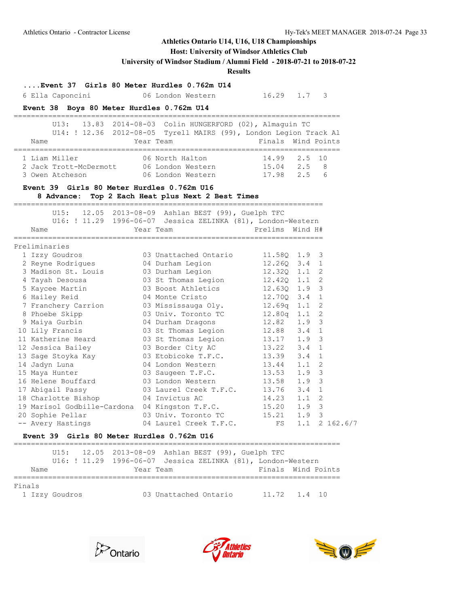# **Host: University of Windsor Athletics Club**

**University of Windsor Stadium / Alumni Field - 2018-07-21 to 2018-07-22**

**Results**

| Event 37 Girls 80 Meter Hurdles 0.762m U14<br>6 Ella Caponcini | 06 London Western                                                                                                                          | 16.29 1.7          |               | 3                           |
|----------------------------------------------------------------|--------------------------------------------------------------------------------------------------------------------------------------------|--------------------|---------------|-----------------------------|
| Event 38 Boys 80 Meter Hurdles 0.762m U14                      |                                                                                                                                            |                    |               |                             |
| Name                                                           | U13: 13.83 2014-08-03 Colin HUNGERFORD (02), Almaguin TC<br>U14: ! 12.36 2012-08-05 Tyrell MAIRS (99), London Legion Track Al<br>Year Team | Finals Wind Points |               |                             |
| 1 Liam Miller                                                  | 06 North Halton                                                                                                                            | 14.99              | 2.5           | 10                          |
| 2 Jack Trott-McDermott 06 London Western 15.04 2.5 8           |                                                                                                                                            |                    |               |                             |
| 3 Owen Atcheson                                                | 06 London Western                                                                                                                          | 17.98 2.5          |               | 6                           |
| Event 39 Girls 80 Meter Hurdles 0.762m U16                     | 8 Advance: Top 2 Each Heat plus Next 2 Best Times                                                                                          |                    |               |                             |
|                                                                | U15: 12.05 2013-08-09 Ashlan BEST (99), Guelph TFC                                                                                         |                    |               |                             |
|                                                                | U16: ! 11.29 1996-06-07 Jessica ZELINKA (81), London-Western                                                                               |                    |               |                             |
| Name                                                           | Year Team                                                                                                                                  | Prelims Wind H#    |               |                             |
| Preliminaries                                                  |                                                                                                                                            |                    |               |                             |
| 1 Izzy Goudros                                                 | 03 Unattached Ontario                                                                                                                      | 11.58Q             | $1.9-3$       |                             |
|                                                                |                                                                                                                                            | 12.260             | $3.4 \quad 1$ |                             |
| 2 Reyne Rodrigues<br>3 Madison St. Louis                       | 04 Durham Legion<br>03 Durham Legion                                                                                                       | 12.320             | $1.1 \quad 2$ |                             |
| 4 Tayah Desousa                                                | 03 St Thomas Legion                                                                                                                        | 12.420             | $1.1 \t2$     |                             |
| 5 Kaycee Martin                                                | 03 Boost Athletics                                                                                                                         | 12.630             | $1.9-3$       |                             |
| 6 Hailey Reid                                                  | 04 Monte Cristo                                                                                                                            | 12.70Q             | $3.4 \quad 1$ |                             |
| 7 Franchery Carrion                                            | 03 Mississauga Oly.                                                                                                                        | 12.69q             | 1.1           | - 2                         |
| 8 Phoebe Skipp                                                 | 03 Univ. Toronto TC                                                                                                                        | 12.80q             | 1.1           | 2                           |
| 9 Maiya Gurbin                                                 | 04 Durham Dragons                                                                                                                          | 12.82              | 1.9           | $\overline{\mathbf{3}}$     |
| 10 Lily Francis                                                | 03 St Thomas Legion                                                                                                                        | 12.88              | 3.4           | $\mathbf{1}$                |
| 11 Katherine Heard 63 St Thomas Legion                         |                                                                                                                                            | 13.17              | 1.9           | - 3                         |
| 12 Jessica Bailey                                              | 03 Border City AC                                                                                                                          | 13.22              | 3.4           | 1                           |
| 13 Sage Stoyka Kay                                             | 03 Etobicoke T.F.C.                                                                                                                        | 13.39              | 3.4           | 1                           |
| 14 Jadyn Luna                                                  | 04 London Western                                                                                                                          | 13.44              | 1.1           | 2                           |
| 15 Maya Hunter                                                 | 03 Saugeen T.F.C.                                                                                                                          | 13.53              | 1.9           | 3                           |
| 16 Helene Bouffard                                             | 03 London Western                                                                                                                          | 13.58              | 1.9           | $\overline{\mathbf{3}}$     |
| 17 Abigail Passy                                               | 03 Laurel Creek T.F.C.                                                                                                                     | 13.76              | 3.4           | $\mathbf{1}$                |
| 18 Charlotte Bishop                                            | 04 Invictus AC                                                                                                                             | 14.23              | 1.1           | -2                          |
| 19 Marisol Godbille-Cardona 04 Kingston T.F.C.                 |                                                                                                                                            | 15.20              | 1.9           | $\overline{\mathbf{3}}$     |
|                                                                | 03 Univ. Toronto TC                                                                                                                        | $15.21$ FS         | 1.9 3         |                             |
| 20 Sophie Pellar<br>-- Avery Hastings                          | 04 Laurel Creek T.F.C.                                                                                                                     |                    |               | $1.1 \quad 2 \quad 162.6/7$ |
| Event 39 Girls 80 Meter Hurdles 0.762m U16                     |                                                                                                                                            |                    |               |                             |

|        |                | U15: 12.05 2013-08-09 Ashlan BEST (99), Guelph TFC<br>U16: ! 11.29 1996-06-07 Jessica ZELINKA (81), London-Western |                       |  |                    |  |
|--------|----------------|--------------------------------------------------------------------------------------------------------------------|-----------------------|--|--------------------|--|
| Name   |                | Year Team                                                                                                          |                       |  | Finals Wind Points |  |
| Finals | 1 Izzy Goudros |                                                                                                                    | 03 Unattached Ontario |  | $11.72 \t1.4 \t10$ |  |





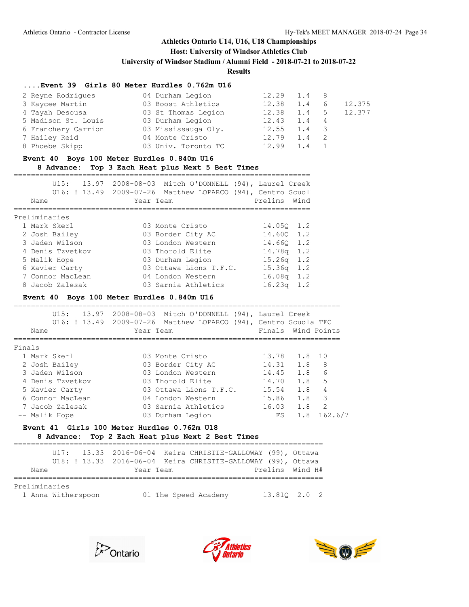#### **Host: University of Windsor Athletics Club**

**University of Windsor Stadium / Alumni Field - 2018-07-21 to 2018-07-22**

**Results**

#### **....Event 39 Girls 80 Meter Hurdles 0.762m U16**

| 2 Reyne Rodriques   | 04 Durham Legion    | 12.29 | 1.4 8 |             |        |
|---------------------|---------------------|-------|-------|-------------|--------|
| 3 Kaycee Martin     | 03 Boost Athletics  | 12.38 | 1.4   | 6           | 12.375 |
| 4 Tayah Desousa     | 03 St Thomas Legion | 12.38 | 1.4   | $5^{\circ}$ | 12.377 |
| 5 Madison St. Louis | 03 Durham Legion    | 12.43 | 1.4 4 |             |        |
| 6 Franchery Carrion | 03 Mississauga Oly. | 12.55 | 1.4   |             |        |
| 7 Hailey Reid       | 04 Monte Cristo     | 12.79 | 1.4   |             |        |
| 8 Phoebe Skipp      | 03 Univ. Toronto TC | 12.99 | 1.4   |             |        |
|                     |                     |       |       |             |        |

#### **Event 40 Boys 100 Meter Hurdles 0.840m U16**

#### **8 Advance: Top 3 Each Heat plus Next 5 Best Times**

| 13.97<br>U15:<br>Name | 2008-08-03 Mitch O'DONNELL (94), Laurel Creek<br>U16: ! 13.49 2009-07-26 Matthew LOPARCO (94), Centro Scuol<br>Year Team | Prelims<br>Wind           |
|-----------------------|--------------------------------------------------------------------------------------------------------------------------|---------------------------|
|                       |                                                                                                                          |                           |
| Preliminaries         |                                                                                                                          |                           |
| 1 Mark Skerl          | 03 Monte Cristo                                                                                                          | 14.050 1.2                |
| 2 Josh Bailey         | 03 Border City AC                                                                                                        | 14.600 1.2                |
| 3 Jaden Wilson        | 03 London Western                                                                                                        | 14.660 1.2                |
| 4 Denis Tzvetkov      | 03 Thorold Elite                                                                                                         | $14.78q$ 1.2              |
| 5 Malik Hope          | 03 Durham Legion                                                                                                         | 1.2<br>15.26 <sub>q</sub> |
| 6 Xavier Carty        | 03 Ottawa Lions T.F.C.                                                                                                   | 1.2<br>15.36a             |
| 7 Connor MacLean      | 04 London Western                                                                                                        | $16.08q$ 1.2              |
| 8 Jacob Zalesak       | 03 Sarnia Athletics                                                                                                      | 16.23 <sub>q</sub><br>1.2 |
|                       |                                                                                                                          |                           |
|                       |                                                                                                                          |                           |

#### **Event 40 Boys 100 Meter Hurdles 0.840m U16**

|        | U15:<br>13.97<br>Name | 2008-08-03 Mitch O'DONNELL (94), Laurel Creek<br>U16: ! 13.49 2009-07-26 Matthew LOPARCO (94), Centro Scuola TFC<br>Year Team | Finals Wind Points |     |                |
|--------|-----------------------|-------------------------------------------------------------------------------------------------------------------------------|--------------------|-----|----------------|
| Finals |                       |                                                                                                                               |                    |     |                |
|        | 1 Mark Skerl          | 03 Monte Cristo                                                                                                               | 13.78              | 1.8 | 10             |
|        | 2 Josh Bailey         | 03 Border City AC                                                                                                             | 14.31              | 1.8 | 8              |
|        | 3 Jaden Wilson        | 03 London Western                                                                                                             | 14.45              | 1.8 | 6              |
|        | 4 Denis Tzvetkov      | 03 Thorold Elite                                                                                                              | 14.70              | 1.8 | 5              |
|        | 5 Xavier Carty        | 03 Ottawa Lions T.F.C.                                                                                                        | 15.54              | 1.8 | 4              |
|        | 6 Connor MacLean      | 04 London Western                                                                                                             | 15.86              | 1.8 | 3              |
|        | 7 Jacob Zalesak       | 03 Sarnia Athletics                                                                                                           | 16.03              | 1.8 | $\overline{2}$ |
|        | -- Malik Hope         | 03 Durham Legion                                                                                                              | FS                 | 1.8 | 162.6/7        |

#### **Event 41 Girls 100 Meter Hurdles 0.762m U18 8 Advance: Top 2 Each Heat plus Next 2 Best Times**

========================================================================

|                                     |  |  |  |  | U17: 13.33 2016-06-04 Keira CHRISTIE-GALLOWAY (99), Ottawa<br>U18: ! 13.33 2016-06-04 Keira CHRISTIE-GALLOWAY (99), Ottawa |  |                      |  |                 |  |              |  |  |
|-------------------------------------|--|--|--|--|----------------------------------------------------------------------------------------------------------------------------|--|----------------------|--|-----------------|--|--------------|--|--|
| Name                                |  |  |  |  | Year Team                                                                                                                  |  |                      |  | Prelims Wind H# |  |              |  |  |
|                                     |  |  |  |  |                                                                                                                            |  |                      |  |                 |  |              |  |  |
| Preliminaries<br>1 Anna Witherspoon |  |  |  |  |                                                                                                                            |  | 01 The Speed Academy |  |                 |  | 13.810 2.0 2 |  |  |





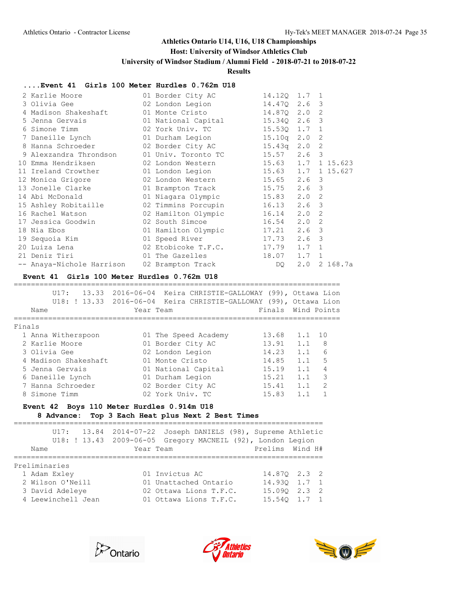### **Host: University of Windsor Athletics Club**

**University of Windsor Stadium / Alumni Field - 2018-07-21 to 2018-07-22**

**Results**

#### **....Event 41 Girls 100 Meter Hurdles 0.762m U18**

|                                                                                                                                                                                                                                                                                                                                                                                                                                     |                   | 15.10q                                                                                                                                                                                                                                                                | 2.0                                                                                                                                                                   |                                   |                                                                                                                                                                                                                                                                                                                  |
|-------------------------------------------------------------------------------------------------------------------------------------------------------------------------------------------------------------------------------------------------------------------------------------------------------------------------------------------------------------------------------------------------------------------------------------|-------------------|-----------------------------------------------------------------------------------------------------------------------------------------------------------------------------------------------------------------------------------------------------------------------|-----------------------------------------------------------------------------------------------------------------------------------------------------------------------|-----------------------------------|------------------------------------------------------------------------------------------------------------------------------------------------------------------------------------------------------------------------------------------------------------------------------------------------------------------|
|                                                                                                                                                                                                                                                                                                                                                                                                                                     |                   |                                                                                                                                                                                                                                                                       |                                                                                                                                                                       |                                   |                                                                                                                                                                                                                                                                                                                  |
|                                                                                                                                                                                                                                                                                                                                                                                                                                     |                   | 15.57                                                                                                                                                                                                                                                                 |                                                                                                                                                                       |                                   |                                                                                                                                                                                                                                                                                                                  |
|                                                                                                                                                                                                                                                                                                                                                                                                                                     |                   |                                                                                                                                                                                                                                                                       |                                                                                                                                                                       |                                   |                                                                                                                                                                                                                                                                                                                  |
|                                                                                                                                                                                                                                                                                                                                                                                                                                     |                   |                                                                                                                                                                                                                                                                       |                                                                                                                                                                       |                                   | 1 15.627                                                                                                                                                                                                                                                                                                         |
|                                                                                                                                                                                                                                                                                                                                                                                                                                     |                   |                                                                                                                                                                                                                                                                       |                                                                                                                                                                       |                                   |                                                                                                                                                                                                                                                                                                                  |
|                                                                                                                                                                                                                                                                                                                                                                                                                                     |                   |                                                                                                                                                                                                                                                                       |                                                                                                                                                                       |                                   |                                                                                                                                                                                                                                                                                                                  |
|                                                                                                                                                                                                                                                                                                                                                                                                                                     |                   |                                                                                                                                                                                                                                                                       |                                                                                                                                                                       |                                   |                                                                                                                                                                                                                                                                                                                  |
|                                                                                                                                                                                                                                                                                                                                                                                                                                     |                   | 16.13                                                                                                                                                                                                                                                                 |                                                                                                                                                                       |                                   |                                                                                                                                                                                                                                                                                                                  |
|                                                                                                                                                                                                                                                                                                                                                                                                                                     |                   | 16.14                                                                                                                                                                                                                                                                 |                                                                                                                                                                       |                                   |                                                                                                                                                                                                                                                                                                                  |
|                                                                                                                                                                                                                                                                                                                                                                                                                                     |                   | 16.54                                                                                                                                                                                                                                                                 |                                                                                                                                                                       |                                   |                                                                                                                                                                                                                                                                                                                  |
|                                                                                                                                                                                                                                                                                                                                                                                                                                     |                   |                                                                                                                                                                                                                                                                       |                                                                                                                                                                       |                                   |                                                                                                                                                                                                                                                                                                                  |
|                                                                                                                                                                                                                                                                                                                                                                                                                                     |                   |                                                                                                                                                                                                                                                                       |                                                                                                                                                                       | 3                                 |                                                                                                                                                                                                                                                                                                                  |
|                                                                                                                                                                                                                                                                                                                                                                                                                                     |                   |                                                                                                                                                                                                                                                                       |                                                                                                                                                                       |                                   |                                                                                                                                                                                                                                                                                                                  |
|                                                                                                                                                                                                                                                                                                                                                                                                                                     |                   | 18.07                                                                                                                                                                                                                                                                 |                                                                                                                                                                       |                                   |                                                                                                                                                                                                                                                                                                                  |
|                                                                                                                                                                                                                                                                                                                                                                                                                                     |                   | DQ —                                                                                                                                                                                                                                                                  |                                                                                                                                                                       |                                   | 2 168.7a                                                                                                                                                                                                                                                                                                         |
| 2 Karlie Moore<br>3 Olivia Gee<br>4 Madison Shakeshaft<br>5 Jenna Gervais<br>6 Simone Timm<br>7 Daneille Lynch<br>9 Alexzandra Throndson<br>10 Emma Hendriksen<br>11 Ireland Crowther<br>12 Monica Grigore<br>13 Jonelle Clarke National State<br>14 Abi McDonald<br>15 Ashley Robitaille<br>16 Rachel Watson<br>17 Jessica Goodwin<br>18 Nia Ebos<br>19 Sequoia Kim<br>20 Luiza Lena<br>21 Deniz Tiri<br>-- Anaya-Nichole Harrison | 8 Hanna Schroeder | 01 Border City AC<br>02 London Legion<br>01 National Capital<br>02 York Univ. TC<br>01 Durham Legion<br>01 Univ. Toronto TC<br>01 London Legion<br>02 Timmins Porcupin<br>02 Hamilton Olympic<br>01 Speed River<br>02 Etobicoke T.F.C.<br>01 The Gazelles and the San | 02 London Western 15.65<br>01 Brampton Track 15.75<br>01 Niagara Olympic 15.83<br>02 South Simcoe<br>01 Hamilton Olympic 17.21<br>17.73<br>17.79<br>02 Brampton Track | 02 Border City AC 15.43q<br>15.63 | 14.120 1.7 1<br>14.470 2.6 3<br>01 Monte Cristo 14.870 2.0 2<br>15.340 2.6 3<br>15.530 1.7 1<br>$\overline{2}$<br>$2.0$ 2<br>$2.6-3$<br>02 London Western 15.63 1.7 1 15.623<br>1.7<br>$2.6-3$<br>$2.6-3$<br>$2.0$ 2<br>$2.6-3$<br>$2.0$ 2<br>$2.0$ 2<br>$2.6-3$<br>2.6<br>$1.7 \quad 1$<br>$1.7 \quad 1$<br>2.0 |

#### **Event 41 Girls 100 Meter Hurdles 0.762m U18**

|        | U17:<br>Name         | 13.33 2016-06-04 Keira CHRISTIE-GALLOWAY (99), Ottawa Lion<br>U18: ! 13.33 2016-06-04 Keira CHRISTIE-GALLOWAY (99), Ottawa Lion<br>Year Team |       | Finals Wind Points    |
|--------|----------------------|----------------------------------------------------------------------------------------------------------------------------------------------|-------|-----------------------|
| Finals |                      |                                                                                                                                              |       |                       |
|        | 1 Anna Witherspoon   | 01 The Speed Academy                                                                                                                         | 13.68 | 1.1<br>10             |
|        | 2 Karlie Moore       | 01 Border City AC                                                                                                                            | 13.91 | 1.1<br>8              |
|        | 3 Olivia Gee         | 02 London Legion                                                                                                                             | 14.23 | 6<br>1.1              |
|        | 4 Madison Shakeshaft | 01 Monte Cristo                                                                                                                              | 14.85 | 5<br>1.1              |
|        | 5 Jenna Gervais      | 01 National Capital                                                                                                                          | 15.19 | 4<br>1.1              |
|        | 6 Daneille Lynch     | 01 Durham Legion                                                                                                                             | 15.21 | 3<br>1.1              |
|        | 7 Hanna Schroeder    | 02 Border City AC                                                                                                                            | 15.41 | $\mathfrak{D}$<br>1.1 |
| 8      | Simone Timm          | 02 York Univ. TC                                                                                                                             | 15.83 | 1.1                   |

# **Event 42 Boys 110 Meter Hurdles 0.914m U18**

# **8 Advance: Top 3 Each Heat plus Next 2 Best Times**

|                                                                                            |  |           | U17: 13.84 2014-07-22 Joseph DANIELS (98), Supreme Athletic<br>U18: ! 13.43 2009-06-05 Gregory MACNEIL (92), London Legion |                                                                                |  |
|--------------------------------------------------------------------------------------------|--|-----------|----------------------------------------------------------------------------------------------------------------------------|--------------------------------------------------------------------------------|--|
|                                                                                            |  |           |                                                                                                                            |                                                                                |  |
| Name                                                                                       |  | Year Team |                                                                                                                            | Prelims Wind H#                                                                |  |
| Preliminaries<br>1 Adam Exley<br>2 Wilson O'Neill<br>3 David Adeleye<br>4 Leewinchell Jean |  |           | 01 Invictus AC<br>01 Unattached Ontario<br>02 Ottawa Lions T.F.C.<br>01 Ottawa Lions T.F.C.                                | 14.870 2.3 2<br>14.930 1.7 1<br>$15.090$ $2.3$ 2<br>$15.540 \quad 1.7 \quad 1$ |  |





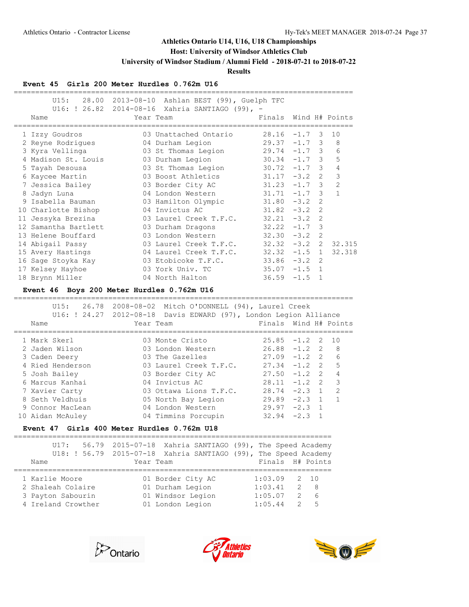## **Host: University of Windsor Athletics Club**

**University of Windsor Stadium / Alumni Field - 2018-07-21 to 2018-07-22**

**Results**

### **Event 45 Girls 200 Meter Hurdles 0.762m U16**

| U15: 28.00                          | 2013-08-10 Ashlan BEST (99), Guelph TFC                                                                                               |                    |                                   |                       |
|-------------------------------------|---------------------------------------------------------------------------------------------------------------------------------------|--------------------|-----------------------------------|-----------------------|
| Name                                | U16: ! 26.82 2014-08-16 Xahria SANTIAGO (99), -<br>Year Team                                                                          |                    |                                   | Finals Wind H# Points |
| 1 Izzy Goudros                      | 03 Unattached Ontario                                                                                                                 | $28.16 - 1.7$      |                                   | 3<br>10               |
| 2 Reyne Rodrigues                   | 04 Durham Legion                                                                                                                      |                    | $29.37 -1.7$ 3                    | 8                     |
| 3 Kyra Vellinga                     | 03 St Thomas Legion                                                                                                                   |                    | $29.74 -1.7$ 3                    | 6                     |
| 4 Madison St. Louis                 | 03 Durham Legion                                                                                                                      |                    | $30.34 -1.7$ 3                    | 5                     |
| 5 Tayah Desousa                     | 03 St Thomas Legion                                                                                                                   |                    | $30.72 -1.7$ 3                    | $\overline{4}$        |
| 6 Kaycee Martin                     | 03 Boost Athletics                                                                                                                    | $31.17 - 3.2$      | $\overline{2}$                    | 3                     |
| 7 Jessica Bailey                    | 03 Border City AC                                                                                                                     | 31.23              | $-1.7$ 3                          | 2                     |
| 8 Jadyn Luna                        | 04 London Western                                                                                                                     | 31.71              | $\overline{\mathbf{3}}$<br>$-1.7$ | $\mathbf{1}$          |
| 9 Isabella Bauman                   | 03 Hamilton Olympic                                                                                                                   | $31.80 - 3.2$      |                                   | 2                     |
| 10 Charlotte Bishop                 | 04 Invictus AC                                                                                                                        | $31.82 - 3.2$      | 2                                 |                       |
| 11 Jessyka Brezina                  | 03 Laurel Creek T.F.C.                                                                                                                | $32.21 - 3.2$      | 2                                 |                       |
| 12 Samantha Bartlett                | 03 Durham Dragons                                                                                                                     | $32.22 - 1.7$      | $\overline{\mathbf{3}}$           |                       |
| 13 Helene Bouffard                  | 03 London Western                                                                                                                     |                    | $32.30 - 3.2$ 2                   |                       |
| 14 Abigail Passy                    | 03 Laurel Creek T.F.C.                                                                                                                |                    | $32.32 - 3.2$ 2                   | 32.315                |
| 15 Avery Hastings                   | 04 Laurel Creek T.F.C.                                                                                                                |                    | $32.32 -1.5$ 1                    | 32.318                |
| 16 Sage Stoyka Kay                  | 03 Etobicoke T.F.C.                                                                                                                   |                    | $33.86 - 3.2$<br>2                |                       |
| 17 Kelsey Hayhoe                    | 03 York Univ. TC                                                                                                                      | $35.07 - 1.5$      | $\overline{1}$                    |                       |
| 18 Brynn Miller                     | 04 North Halton                                                                                                                       | $36.59 - 1.5$      | $\overline{1}$                    |                       |
| U15:<br>Name                        | 26.78 2008-08-02 Mitch O'DONNELL (94), Laurel Creek<br>U16: ! 24.27 2012-08-18 Davis EDWARD (97), London Legion Alliance<br>Year Team | Finals             |                                   | Wind H# Points        |
|                                     |                                                                                                                                       |                    |                                   |                       |
| 1 Mark Skerl                        | 03 Monte Cristo                                                                                                                       | 25.85              | $-1.2$                            | 2<br>10               |
| 2 Jaden Wilson                      | 03 London Western                                                                                                                     |                    | $26.88 - 1.2$ 2                   | 8                     |
| 3 Caden Deery                       | 03 The Gazelles                                                                                                                       |                    | $27.09 - 1.2$ 2                   | 6                     |
| 4 Ried Henderson                    | 03 Laurel Creek T.F.C.                                                                                                                |                    | $27.34 -1.2$ 2                    | 5                     |
| 5 Josh Bailey                       | 03 Border City AC                                                                                                                     |                    | $27.50 -1.2$ 2                    | 4                     |
| 6 Marcus Kanhai                     | 04 Invictus AC                                                                                                                        |                    | $28.11 - 1.2$ 2                   | 3                     |
| 7 Xavier Carty                      | 03 Ottawa Lions T.F.C.                                                                                                                |                    | $28.74 - 2.3$ 1                   | 2                     |
| 8 Seth Veldhuis                     | 05 North Bay Legion                                                                                                                   |                    | $29.89 - 2.3 1$                   | $\mathbf{1}$          |
| 9 Connor MacLean                    | 04 London Western                                                                                                                     | $29.97 - 2.3$      | $\overline{1}$                    |                       |
| 10 Aidan McAuley                    | 04 Timmins Porcupin                                                                                                                   | $32.94 -2.3$       |                                   | $\mathbf 1$           |
|                                     | Event 47 Girls 400 Meter Hurdles 0.762m U18                                                                                           |                    |                                   |                       |
| UI7:<br>56.79                       | =====================================<br>$2015 - 07 - 18$<br>Xahria SANTIAGO (99), The Speed Academy                                  |                    |                                   |                       |
| U18: ! 56.79                        | $2015 - 07 - 18$<br>Xahria SANTIAGO (99), The Speed Academy                                                                           |                    |                                   |                       |
| Name                                | Year Team                                                                                                                             | Finals             | H# Points                         |                       |
|                                     |                                                                                                                                       |                    |                                   |                       |
|                                     |                                                                                                                                       |                    |                                   |                       |
| 1 Karlie Moore<br>2 Shaleah Colaire | 01 Border City AC<br>01 Durham Legion                                                                                                 | 1:03.09<br>1:03.41 | 2<br>10<br>2<br>8                 |                       |

===============================================================================







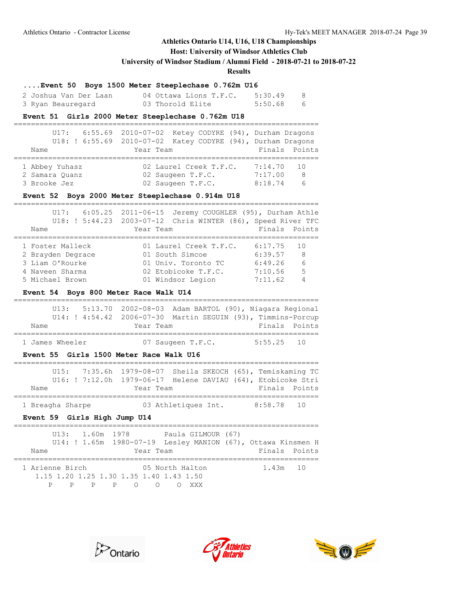## **Host: University of Windsor Athletics Club**

**University of Windsor Stadium / Alumni Field - 2018-07-21 to 2018-07-22**

**Results**

### **....Event 50 Boys 1500 Meter Steeplechase 0.762m U16**

| 2 Joshua Van Der Laan | 04 Ottawa Lions T.F.C. | 5:30.49 |    |
|-----------------------|------------------------|---------|----|
| 3 Ryan Beauregard     | 03 Thorold Elite       | 5:50.68 | -6 |

#### **Event 51 Girls 2000 Meter Steeplechase 0.762m U18**

|                | U17: 6:55.69 2010-07-02 Ketey CODYRE (94), Durham Dragons   |                |
|----------------|-------------------------------------------------------------|----------------|
|                | U18: ! 6:55.69 2010-07-02 Katey CODYRE (94), Durham Dragons |                |
| Name           | Year Team                                                   | Finals Points  |
| 1 Abbey Yuhasz | 02 Laurel Creek T.F.C.                                      | $7:14.70$ 10   |
| 2 Samara Quanz | 02 Saugeen T.F.C.                                           | 7:17.00<br>- 8 |
| 3 Brooke Jez   | 02 Saugeen T.F.C.                                           | 8:18.74<br>- 6 |

#### **Event 52 Boys 2000 Meter Steeplechase 0.914m U18**

|                   | U17: 6:05.25 2011-06-15 Jeremy COUGHLER (95), Durham Athle<br>U18: ! 5:44.23  2003-07-12  Chris WINTER (86), Speed River TFC |               |     |
|-------------------|------------------------------------------------------------------------------------------------------------------------------|---------------|-----|
| Name              | Year Team                                                                                                                    | Finals Points |     |
|                   |                                                                                                                              |               |     |
| 1 Foster Malleck  | 01 Laurel Creek T.F.C.                                                                                                       | 6:17.75       | 10  |
| 2 Brayden Degrace | 01 South Simcoe                                                                                                              | 6:39.57       | - 8 |
| 3 Liam O'Rourke   | 01 Univ. Toronto TC                                                                                                          | 6:49.26       | - 6 |
| 4 Naveen Sharma   | 02 Etobicoke T.F.C.                                                                                                          | 7:10.56       | 5   |
| 5 Michael Brown   | 01 Windsor Legion                                                                                                            | 7:11.62       |     |

#### **Event 54 Boys 800 Meter Race Walk U14**

|                                                                                                      | U13: 5:13.70 2002-08-03 Adam BARTOL (90), Niagara Regional<br>U14: ! 4:54.42 2006-07-30 Martin SEGUIN (93), Timmins-Porcup |               |  |  |  |
|------------------------------------------------------------------------------------------------------|----------------------------------------------------------------------------------------------------------------------------|---------------|--|--|--|
| Name                                                                                                 | Year Team                                                                                                                  | Finals Points |  |  |  |
| 1 James Wheeler                                                                                      | 07 Saugeen T.F.C.                                                                                                          | $5:55.25$ 10  |  |  |  |
| Event 55 Girls 1500 Meter Race Walk U16                                                              |                                                                                                                            |               |  |  |  |
| 7:35.6h<br>U15:<br>Name                                                                              | 1979-08-07 Sheila SKEOCH (65), Temiskaming TC<br>U16: ! 7:12.0h 1979-06-17 Helene DAVIAU (64), Etobicoke Stri<br>Year Team | Finals Points |  |  |  |
|                                                                                                      |                                                                                                                            |               |  |  |  |
| 1 Breagha Sharpe                                                                                     | 03 Athletiques Int. 8:58.78 10                                                                                             |               |  |  |  |
| Event 59 Girls High Jump U14                                                                         |                                                                                                                            |               |  |  |  |
| Name                                                                                                 | U13: 1.60m 1978 Paula GILMOUR (67)<br>U14: ! 1.65m 1980-07-19 Lesley MANION (67), Ottawa Kinsmen H<br>Year Team            | Finals Points |  |  |  |
| 1 Arienne Birch<br>1.15 1.20 1.25 1.30 1.35 1.40 1.43 1.50<br>$\mathsf{P}$<br>P<br>$\mathsf{P}$<br>P | 05 North Halton<br>$\overline{O}$<br>$\Omega$<br>$\bigcirc$<br>XXX X                                                       | 1.43m<br>10   |  |  |  |





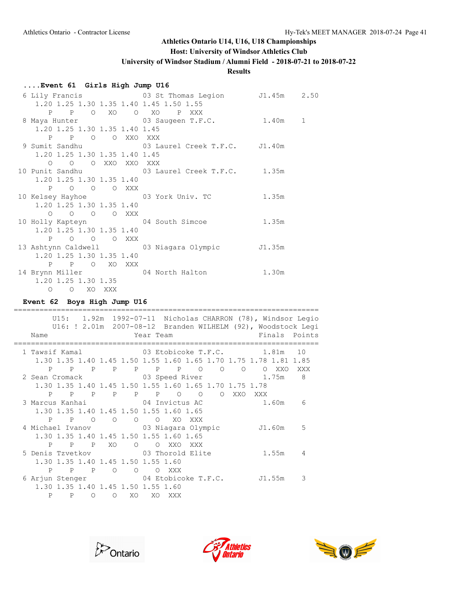## **Host: University of Windsor Athletics Club**

**University of Windsor Stadium / Alumni Field - 2018-07-21 to 2018-07-22**

## **Results**

## **....Event 61 Girls High Jump U16**

|                                                          |  | 6 Lily Francis 63 St Thomas Legion 51.45m 2.50                   |  |
|----------------------------------------------------------|--|------------------------------------------------------------------|--|
|                                                          |  | 1.20 1.25 1.30 1.35 1.40 1.45 1.50 1.55                          |  |
|                                                          |  | P P O XO O XO P XXX                                              |  |
|                                                          |  | 8 Maya Hunter (03 Saugeen T.F.C. 1.40m 1                         |  |
| 1.20 1.25 1.30 1.35 1.40 1.45                            |  |                                                                  |  |
| P P O O XXO XXX                                          |  |                                                                  |  |
|                                                          |  | 9 Sumit Sandhu                 03 Laurel Creek T.F.C.     J1.40m |  |
| 1.20 1.25 1.30 1.35 1.40 1.45                            |  |                                                                  |  |
| O O O XXO XXO XXX                                        |  |                                                                  |  |
|                                                          |  | 10 Punit Sandhu Monte Constant O3 Laurel Creek T.F.C. 1.35m      |  |
| 1.20 1.25 1.30 1.35 1.40                                 |  |                                                                  |  |
| P O O O XXX                                              |  |                                                                  |  |
|                                                          |  | 10 Kelsey Hayhoe 63 York Univ. TC 35m                            |  |
| 1.20 1.25 1.30 1.35 1.40                                 |  |                                                                  |  |
| $\begin{matrix} 0 & 0 & 0 & 0 & \text{XXX} \end{matrix}$ |  |                                                                  |  |
|                                                          |  | 10 Holly Kapteyn 64 South Simcoe 1.35m                           |  |
| 1.20 1.25 1.30 1.35 1.40                                 |  |                                                                  |  |
| P O O O XXX                                              |  |                                                                  |  |
|                                                          |  | 13 Ashtynn Caldwell (3 Niagara Olympic 51.35m)                   |  |
| 1.20 1.25 1.30 1.35 1.40                                 |  |                                                                  |  |
| P P O XO XXX                                             |  |                                                                  |  |
|                                                          |  | 14 Brynn Miller 64 North Halton 1.30m                            |  |
| 1.20 1.25 1.30 1.35                                      |  |                                                                  |  |
| O O XO XXX                                               |  |                                                                  |  |

## **Event 62 Boys High Jump U16**

|                                                                  | U15: 1.92m 1992-07-11 Nicholas CHARRON (78), Windsor Legio   |           |     |         |                                                                                              |                |         |           |       |        |                         |
|------------------------------------------------------------------|--------------------------------------------------------------|-----------|-----|---------|----------------------------------------------------------------------------------------------|----------------|---------|-----------|-------|--------|-------------------------|
|                                                                  | U16: ! 2.01m 2007-08-12 Branden WILHELM (92), Woodstock Leqi |           |     |         |                                                                                              |                |         |           |       |        |                         |
| Name                                                             |                                                              | Year Team |     |         |                                                                                              |                |         |           |       |        | Finals Points           |
|                                                                  |                                                              |           |     |         |                                                                                              |                |         |           |       |        |                         |
| 1 Tawsif Kamal 63 Etobicoke T.F.C. 1.81m                         |                                                              |           |     |         |                                                                                              |                |         |           |       |        | 10                      |
| 1.30 1.35 1.40 1.45 1.50 1.55 1.60 1.65 1.70 1.75 1.78 1.81 1.85 |                                                              |           |     |         |                                                                                              |                |         |           |       |        |                         |
| P<br>$\overline{P}$                                              | $\mathbb{P}$                                                 |           |     |         | P P P P O                                                                                    |                | $\circ$ | $\circ$   |       | O XXO  | XXX                     |
| 2 Sean Cromack 03 Speed River 1.75m                              |                                                              |           |     |         |                                                                                              |                |         |           |       |        | $\overline{\mathbf{8}}$ |
| 1.30 1.35 1.40 1.45 1.50 1.55 1.60 1.65 1.70 1.75 1.78           |                                                              |           |     |         |                                                                                              |                |         |           |       |        |                         |
| P<br>$\overline{P}$                                              | $\mathbb{P}$                                                 |           |     |         | P P P O                                                                                      | $\overline{O}$ |         | O XXO XXX |       |        |                         |
| 3 Marcus Kanhai               04 Invictus AC                     |                                                              |           |     |         |                                                                                              |                |         |           | 1.60m |        | 6                       |
| 1.30 1.35 1.40 1.45 1.50 1.55 1.60 1.65                          |                                                              |           |     |         |                                                                                              |                |         |           |       |        |                         |
|                                                                  | P P O                                                        |           |     |         | $\begin{array}{ccccccccccccccccc} \circ & \circ & \circ & \circ & \circ & \circ \end{array}$ | XXX - XX       |         |           |       |        |                         |
| 4 Michael Ivanov 63 Niagara Olympic                              |                                                              |           |     |         |                                                                                              |                |         |           |       | J1.60m | .5                      |
| 1.30 1.35 1.40 1.45 1.50 1.55 1.60 1.65                          |                                                              |           |     |         |                                                                                              |                |         |           |       |        |                         |
| P                                                                | P P XO                                                       |           |     | O O XXO |                                                                                              | XXX -          |         |           |       |        |                         |
| 5 Denis Tzvetkov 63 Thorold Elite                                |                                                              |           |     |         |                                                                                              |                |         |           |       | 1.55m  | $\overline{4}$          |
| 1.30 1.35 1.40 1.45 1.50 1.55 1.60                               |                                                              |           |     |         |                                                                                              |                |         |           |       |        |                         |
| P<br>$\overline{P}$                                              | $\overline{P}$                                               | $\Omega$  |     | O O XXX |                                                                                              |                |         |           |       |        |                         |
| 6 Arjun Stenger 64 Etobicoke T.F.C. J1.55m                       |                                                              |           |     |         |                                                                                              |                |         |           |       |        | 3                       |
| 1.30 1.35 1.40 1.45 1.50 1.55 1.60                               |                                                              |           |     |         |                                                                                              |                |         |           |       |        |                         |
| P                                                                | $\Omega$<br>P                                                | $\circ$   | XO. | XO.     | XXX                                                                                          |                |         |           |       |        |                         |





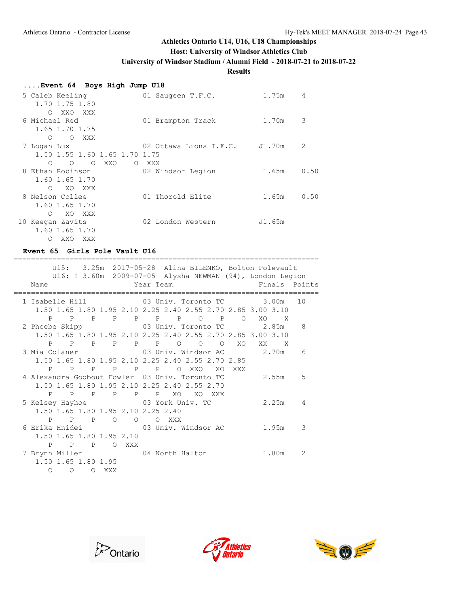## **Host: University of Windsor Athletics Club**

**University of Windsor Stadium / Alumni Field - 2018-07-21 to 2018-07-22**

**Results**

| Event 64 Boys High Jump U18 |  |  |  |  |
|-----------------------------|--|--|--|--|
|-----------------------------|--|--|--|--|

| 5 Caleb Keeling<br>1.70 1.75 1.80            | 01 Saugeen T.F.C.      | 1.75m  | 4    |
|----------------------------------------------|------------------------|--------|------|
| XXO XXX<br>$\circ$<br>6 Michael Red          | 01 Brampton Track      | 1.70m  | 3    |
| 1.65 1.70 1.75<br>O XXX<br>$\bigcirc$        |                        |        |      |
| 7 Logan Lux<br>1.50 1.55 1.60 1.65 1.70 1.75 | 02 Ottawa Lions T.F.C. | J1.70m | 2    |
| O XXO<br>$\Omega$<br>$\circ$                 | O XXX                  |        |      |
| 8 Ethan Robinson<br>1.60 1.65 1.70           | 02 Windsor Legion      | 1.65m  | 0.50 |
| XO XXX<br>$\bigcirc$                         |                        |        |      |
| 8 Nelson Collee                              | 01 Thorold Elite       | 1.65m  | 0.50 |
| 1.60 1.65 1.70                               |                        |        |      |
| XO XXX<br>$\bigcirc$                         |                        |        |      |
| 10 Keegan Zavits                             | 02 London Western      | J1.65m |      |
| 1.60 1.65 1.70                               |                        |        |      |
| XXO<br>XXX X<br>$\Omega$                     |                        |        |      |

#### **Event 65 Girls Pole Vault U16**

| Name                                              |         | U15: 3.25m 2017-05-28 Alina BILENKO, Bolton Polevault<br>U16: ! 3.60m 2009-07-05 Alysha NEWMAN (94), London Legion<br>Year Team<br>Finals Points |
|---------------------------------------------------|---------|--------------------------------------------------------------------------------------------------------------------------------------------------|
|                                                   |         |                                                                                                                                                  |
|                                                   |         | 1 Isabelle Hill 63 Univ. Toronto TC 3.00m<br>10                                                                                                  |
|                                                   |         | 1.50 1.65 1.80 1.95 2.10 2.25 2.40 2.55 2.70 2.85 3.00 3.10                                                                                      |
|                                                   |         | P P P P P P P P O XO X                                                                                                                           |
|                                                   |         | 2 Phoebe Skipp 3 03 Univ. Toronto TC 2.85m<br>8                                                                                                  |
|                                                   |         | 1.50 1.65 1.80 1.95 2.10 2.25 2.40 2.55 2.70 2.85 3.00 3.10                                                                                      |
|                                                   |         | P P P P P P P O O XO XX X                                                                                                                        |
|                                                   |         | 3 Mia Colaner 63 Univ. Windsor AC 2.70m<br>6                                                                                                     |
| 1.50 1.65 1.80 1.95 2.10 2.25 2.40 2.55 2.70 2.85 |         |                                                                                                                                                  |
| P P P P P P O XXO                                 |         | XO XXX                                                                                                                                           |
|                                                   |         | 4 Alexandra Godbout Fowler 03 Univ. Toronto TC 2.55m<br>5                                                                                        |
| 1.50 1.65 1.80 1.95 2.10 2.25 2.40 2.55 2.70      |         |                                                                                                                                                  |
| P P P P P P XO                                    |         | XO XXX                                                                                                                                           |
| 5 Kelsey Hayhoe 63 York Univ. TC                  |         | 2.25m 4                                                                                                                                          |
| 1.50 1.65 1.80 1.95 2.10 2.25 2.40                |         |                                                                                                                                                  |
| $\overline{O}$<br>P P P                           | O O XXX |                                                                                                                                                  |
|                                                   |         | 6 Erika Hnidei                 03 Univ. Windsor AC         1.95m<br>3                                                                            |
| 1.50 1.65 1.80 1.95 2.10                          |         |                                                                                                                                                  |
| P<br>P P O XXX                                    |         |                                                                                                                                                  |
| 7 Brynn Miller 64 North Halton                    |         | 1.80m<br>2                                                                                                                                       |
| 1.50 1.65 1.80 1.95                               |         |                                                                                                                                                  |
| $\Omega$<br>$\overline{O}$<br>O XXX               |         |                                                                                                                                                  |





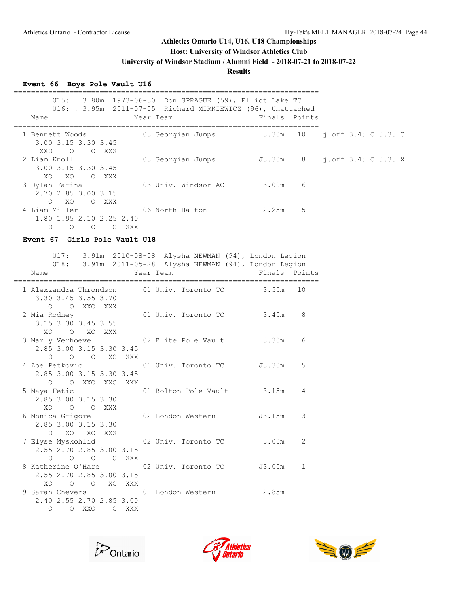## **Host: University of Windsor Athletics Club**

**University of Windsor Stadium / Alumni Field - 2018-07-21 to 2018-07-22**

## **Results**

## **Event 66 Boys Pole Vault U16**

| U15:<br>3.80m 1973-06-30 Don SPRAGUE (59), Elliot Lake TC<br>U16: ! 3.95m 2011-07-05 Richard MIRKIEWICZ (96), Unattached<br>Year Team<br>Name | Finals Points |                            |
|-----------------------------------------------------------------------------------------------------------------------------------------------|---------------|----------------------------|
| 03 Georgian Jumps 3.30m 10 j off 3.45 0 3.35 0<br>1 Bennett Woods<br>3.00 3.15 3.30 3.45<br>O O XXX<br>XXO                                    |               |                            |
| 2 Liam Knoll<br>03 Georgian Jumps 53.30m 8<br>3.00 3.15 3.30 3.45<br>XO XO O XXX                                                              |               | $j.$ off $3.45$ O $3.35$ X |
| 3 Dylan Farina<br>03 Univ. Windsor AC 3.00m<br>2.70 2.85 3.00 3.15<br>XO O XXX<br>$\circ$                                                     | 6             |                            |
| 4 Liam Miller<br>06 North Halton 2.25m<br>1.80 1.95 2.10 2.25 2.40<br>O O O O XXX                                                             | 5             |                            |
| Event 67 Girls Pole Vault U18                                                                                                                 |               |                            |
| 3.91m 2010-08-08 Alysha NEWMAN (94), London Legion<br>U17:<br>U18: ! 3.91m 2011-05-28 Alysha NEWMAN (94), London Legion<br>Year Team<br>Name  | Finals Points |                            |
| 1 Alexzandra Throndson 01 Univ. Toronto TC 3.55m 10<br>3.30 3.45 3.55 3.70<br>O O XXO XXX                                                     |               |                            |
| 01 Univ. Toronto TC 3.45m<br>2 Mia Rodney<br>3.15 3.30 3.45 3.55<br>XO O XO XXX                                                               | 8             |                            |
| 3 Marly Verhoeve 62 Elite Pole Vault<br>2.85 3.00 3.15 3.30 3.45<br>O O O XO XXX                                                              | 3.30m<br>6    |                            |
| 4 Zoe Petkovic<br>01 Univ. Toronto TC J3.30m<br>2.85 3.00 3.15 3.30 3.45<br>O O XXO XXO XXX                                                   | 5             |                            |
| 5 Maya Fetic<br>01 Bolton Pole Vault 3.15m<br>2.85 3.00 3.15 3.30<br>O O XXX<br>XO.                                                           | 4             |                            |
| 02 London Western<br>6 Monica Grigore<br>2.85 3.00 3.15 3.30<br>O XO XO XXX                                                                   | J3.15m<br>3   |                            |
| 2.55 2.70 2.85 3.00 3.15<br>0 0 0 0 XXX                                                                                                       | 2             |                            |
| 2.55 2.70 2.85 3.00 3.15<br>XO O O XO XXX                                                                                                     |               |                            |
| 9 Sarah Chevers 601 London Western 2.85m<br>2.40 2.55 2.70 2.85 3.00<br>O OXXO OXXX                                                           |               |                            |





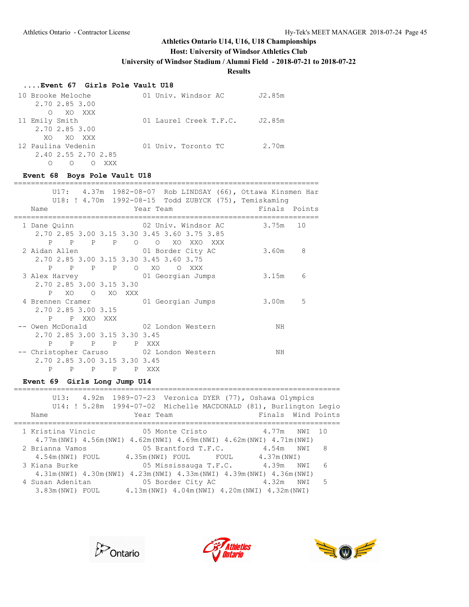## **Host: University of Windsor Athletics Club**

**University of Windsor Stadium / Alumni Field - 2018-07-21 to 2018-07-22**

## **Results**

### **....Event 67 Girls Pole Vault U18**

| 10 Brooke Meloche<br>2.70 2.85 3.00 | 01 Univ. Windsor AC    | J2.85m |
|-------------------------------------|------------------------|--------|
| O XO XXX                            |                        |        |
| 11 Emily Smith                      | 01 Laurel Creek T.F.C. | J2.85m |
| 2.70 2.85 3.00                      |                        |        |
| XO XO XXX                           |                        |        |
| 12 Paulina Vedenin                  | 01 Univ. Toronto TC    | 2.70m  |
| 2.40 2.55 2.70 2.85                 |                        |        |
| XXX                                 |                        |        |

## **Event 68 Boys Pole Vault U18**

|              |                     |                               |              |         | U17: 4.37m 1982-08-07 Rob LINDSAY (66), Ottawa Kinsmen Har |    |
|--------------|---------------------|-------------------------------|--------------|---------|------------------------------------------------------------|----|
|              |                     |                               |              |         | U18: ! 4.70m 1992-08-15 Todd ZUBYCK (75), Temiskaming      |    |
| Name         |                     |                               |              |         | Finals Points<br>Year Team                                 |    |
|              |                     |                               |              |         |                                                            |    |
| 1 Dane Quinn |                     |                               |              |         | 02 Univ. Windsor AC<br>3.75m                               | 10 |
|              |                     |                               |              |         | 2.70 2.85 3.00 3.15 3.30 3.45 3.60 3.75 3.85               |    |
|              | P                   | $\overline{P}$<br>P.          | P            | $\circ$ | O XO XXO<br>XXX - XX                                       |    |
|              |                     |                               |              |         | 2 Aidan Allen 101 Border City AC<br>3.60m                  | 8  |
|              |                     |                               |              |         | 2.70 2.85 3.00 3.15 3.30 3.45 3.60 3.75                    |    |
|              | P<br>$\overline{P}$ | $\mathbb{P}$                  |              |         | O XO O XXX                                                 |    |
|              |                     |                               | $\mathbb{P}$ |         |                                                            |    |
|              |                     |                               |              |         | 3 Alex Harvey 61 Georgian Jumps<br>3.15m                   | 6  |
|              |                     | 2.70 2.85 3.00 3.15 3.30      |              |         |                                                            |    |
|              | XO.<br>P            |                               | O XO XXX     |         |                                                            |    |
|              |                     |                               |              |         | 4 Brennen Cramer 01 Georgian Jumps<br>3.00m                | 5  |
|              |                     | 2.70 2.85 3.00 3.15           |              |         |                                                            |    |
|              |                     | P P XXO                       | XXX          |         |                                                            |    |
|              |                     |                               |              |         | -- Owen McDonald and 02 London Western<br>NΗ               |    |
|              |                     | 2.70 2.85 3.00 3.15 3.30 3.45 |              |         |                                                            |    |
|              | P                   | P                             | P P P XXX    |         |                                                            |    |
|              |                     |                               |              |         | -- Christopher Caruso 02 London Western<br>ΝH              |    |
|              |                     | 2.70 2.85 3.00 3.15 3.30 3.45 |              |         |                                                            |    |
|              | P                   | P<br>P                        | P            | P.      | XXX X                                                      |    |

## **Event 69 Girls Long Jump U14**

| U13:              |                  |                       |                     | 4.92m 1989-07-23 Veronica DYER (77), Oshawa Olympics<br>U14: ! 5.28m 1994-07-02 Michelle MACDONALD (81), Burlington Legio |        |   |
|-------------------|------------------|-----------------------|---------------------|---------------------------------------------------------------------------------------------------------------------------|--------|---|
| Name              | Year Team        |                       |                     | Finals Wind Points                                                                                                        |        |   |
|                   |                  |                       |                     |                                                                                                                           |        |   |
| 1 Kristina Vincic |                  | 05 Monte Cristo       |                     | 4.77m                                                                                                                     | NWI 10 |   |
|                   |                  |                       |                     | 4.77m (NWI) 4.56m (NWI) 4.62m (NWI) 4.69m (NWI) 4.62m (NWI) 4.71m (NWI)                                                   |        |   |
| 2 Brianna Vamos   |                  |                       | 05 Brantford T.F.C. | 4.54m                                                                                                                     | NWI    | 8 |
| 4.54m (NWI) FOUL  | 4.35m (NWI) FOUL |                       | FOUL                | 4.37m (NWI)                                                                                                               |        |   |
| 3 Kiana Burke     |                  | 05 Mississauga T.F.C. |                     | 4.39m                                                                                                                     | NWI    | 6 |
|                   |                  |                       |                     | 4.31m (NWI) 4.30m (NWI) 4.23m (NWI) 4.33m (NWI) 4.39m (NWI) 4.36m (NWI)                                                   |        |   |
| 4 Susan Adenitan  |                  | 05 Border City AC     |                     | 4.32m                                                                                                                     | NWI    | 5 |
| 3.83m (NWI) FOUL  |                  |                       |                     | $4.13$ m (NWI) $4.04$ m (NWI) $4.20$ m (NWI) $4.32$ m (NWI)                                                               |        |   |





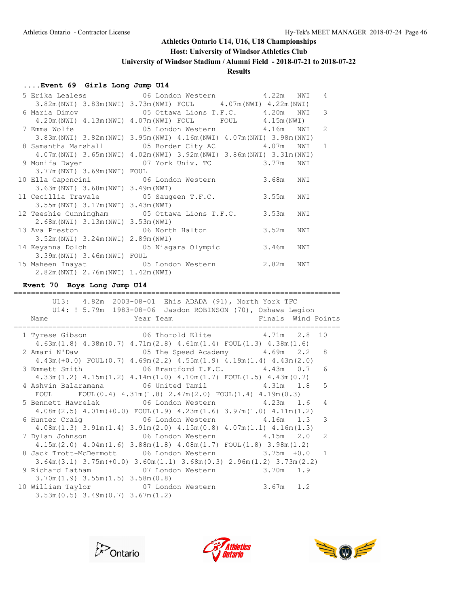#### **Host: University of Windsor Athletics Club**

**University of Windsor Stadium / Alumni Field - 2018-07-21 to 2018-07-22**

### **Results**

#### **....Event 69 Girls Long Jump U14**

|                                       | 5 Erika Lealess 66 London Western 4.22m NWI                                               |     | $\overline{4}$ |
|---------------------------------------|-------------------------------------------------------------------------------------------|-----|----------------|
|                                       | $3.82$ m (NWI) $3.83$ m (NWI) $3.73$ m (NWI) FOUL $4.07$ m (NWI) $4.22$ m (NWI)           |     |                |
|                                       |                                                                                           |     | 3              |
|                                       | $4.20$ m (NWI) $4.13$ m (NWI) $4.07$ m (NWI) FOUL FOUL $4.15$ m (NWI)                     |     |                |
|                                       | 7 Emma Wolfe                       05 London Western           4.16m   NWI   2            |     |                |
|                                       | $3.83$ m (NWI) $3.82$ m (NWI) $3.95$ m (NWI) $4.16$ m (NWI) $4.07$ m (NWI) $3.98$ m (NWI) |     |                |
|                                       | 8 Samantha Marshall 65 Border City AC 4.07m NWI                                           |     | 1              |
|                                       | 4.07m (NWI) 3.65m (NWI) 4.02m (NWI) 3.92m (NWI) 3.86m (NWI) 3.31m (NWI)                   |     |                |
|                                       | 9 Monifa Dwyer 67 York Univ. TC 3.77m NWI                                                 |     |                |
| 3.77m (NWI) 3.69m (NWI) FOUL          |                                                                                           |     |                |
|                                       | 10 Ella Caponcini 06 London Western 3.68m                                                 | NWI |                |
| 3.63m (NWI) 3.68m (NWI) 3.49m (NWI)   |                                                                                           |     |                |
| 11 Cecillia Travale 65 Saugeen T.F.C. | 3.55m                                                                                     | NWI |                |
| 3.55m (NWI) 3.17m (NWI) 3.43m (NWI)   |                                                                                           |     |                |
|                                       | 12 Teeshie Cunningham 05 Ottawa Lions T.F.C. 3.53m                                        | NWI |                |
| 2.68m (NWI) 3.13m (NWI) 3.53m (NWI)   |                                                                                           |     |                |
|                                       | 13 Ava Preston 66 North Halton 3.52m                                                      | NWI |                |
| 3.52m (NWI) 3.24m (NWI) 2.89m (NWI)   |                                                                                           |     |                |
|                                       | 14 Keyanna Dolch 65 Niagara Olympic 3.46m                                                 | NWI |                |
| 3.39m (NWI) 3.46m (NWI) FOUL          |                                                                                           |     |                |
|                                       | 15 Maheen Inayat 65 London Western 2.82m NWI                                              |     |                |
| 2.82m (NWI) 2.76m (NWI) 1.42m (NWI)   |                                                                                           |     |                |

#### **Event 70 Boys Long Jump U14**

============================================================================ U13: 4.82m 2003-08-01 Ehis ADADA (91), North York TFC U14: ! 5.79m 1983-08-06 Jasdon ROBINSON (70), Oshawa Legion Name **The Year Team Properties Wind Points** Name **Properties** Number 2016 ============================================================================ 1 Tyrese Gibson 06 Thorold Elite 4.71m 2.8 10 4.63m(1.8) 4.38m(0.7) 4.71m(2.8) 4.61m(1.4) FOUL(1.3) 4.38m(1.6) 2 Amari N'Daw 05 The Speed Academy 4.69m 2.2 8 4.43m(+0.0) FOUL(0.7) 4.69m(2.2) 4.55m(1.9) 4.19m(1.4) 4.43m(2.0) 3 Emmett Smith 06 Brantford T.F.C. 4.43m 0.7 6 4.33m(1.2) 4.15m(1.2) 4.14m(1.0) 4.10m(1.7) FOUL(1.5) 4.43m(0.7) 4 Ashvin Balaramana 06 United Tamil 4.31m 1.8 5 FOUL FOUL(0.4) 4.31m(1.8) 2.47m(2.0) FOUL(1.4) 4.19m(0.3) 5 Bennett Hawrelak 06 London Western 4.23m 1.6 4 4.08m(2.5) 4.01m(+0.0) FOUL(1.9) 4.23m(1.6) 3.97m(1.0) 4.11m(1.2) 6 Hunter Craig 06 London Western 4.16m 1.3 3 4.08m(1.3) 3.91m(1.4) 3.91m(2.0) 4.15m(0.8) 4.07m(1.1) 4.16m(1.3) 7 Dylan Johnson 06 London Western 4.15m 2.0 2 4.15m(2.0) 4.04m(1.6) 3.88m(1.8) 4.08m(1.7) FOUL(1.8) 3.98m(1.2) 8 Jack Trott-McDermott 06 London Western 3.75m +0.0 1 3.64m(3.1) 3.75m(+0.0) 3.60m(1.1) 3.68m(0.3) 2.96m(1.2) 3.73m(2.2) 9 Richard Latham **07** London Western 3.70m 1.9 3.70m(1.9) 3.55m(1.5) 3.58m(0.8) 10 William Taylor 07 London Western 3.67m 1.2 3.53m(0.5) 3.49m(0.7) 3.67m(1.2)





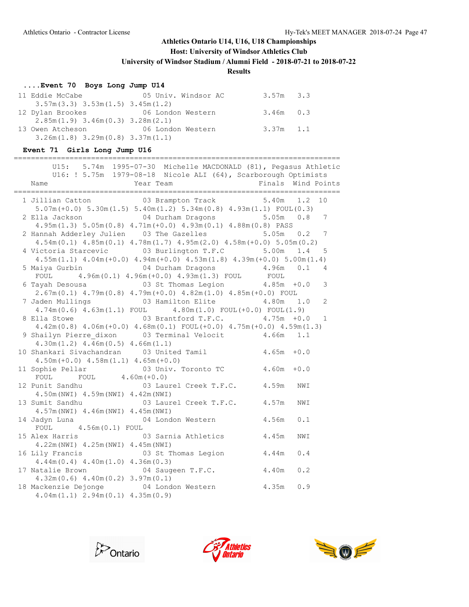## **Host: University of Windsor Athletics Club**

**University of Windsor Stadium / Alumni Field - 2018-07-21 to 2018-07-22**

## **Results**

## **....Event 70 Boys Long Jump U14**

| 11 Eddie McCabe                          | 05 Univ. Windsor AC | 3.57m 3.3   |  |
|------------------------------------------|---------------------|-------------|--|
| $3.57m(3.3)$ $3.53m(1.5)$ $3.45m(1.2)$   |                     |             |  |
| 12 Dylan Brookes                         | 06 London Western   | $3.46m$ 0.3 |  |
| $2.85m(1.9)$ 3.46m $(0.3)$ 3.28m $(2.1)$ |                     |             |  |
| 13 Owen Atcheson                         | 06 London Western   | 3.37m 1.1   |  |
| $3.26m(1.8)$ $3.29m(0.8)$ $3.37m(1.1)$   |                     |             |  |

## **Event 71 Girls Long Jump U16**

| U15: 5.74m 1995-07-30 Michelle MACDONALD (81), Pegasus Athletic<br>U16: ! 5.75m 1979-08-18 Nicole ALI (64), Scarborough Optimists<br>Year Team                | Finals        |     | Wind Points     |
|---------------------------------------------------------------------------------------------------------------------------------------------------------------|---------------|-----|-----------------|
| 1 Jillian Catton <b>8 Carry 1.2 COM</b> 03 Brampton Track 5.40m 1.2 10<br>$5.07m (+0.0)$ $5.30m (1.5)$ $5.40m (1.2)$ $5.34m (0.8)$ $4.93m (1.1)$ $FOUT (0.3)$ |               |     |                 |
| $4.95m(1.3)$ $5.05m(0.8)$ $4.71m(+0.0)$ $4.93m(0.1)$ $4.88m(0.8)$ PASS                                                                                        |               |     | 7               |
| 2 Hannah Adderley Julien 03 The Gazelles 5.05m 0.2<br>$4.54m(0.1)$ $4.85m(0.1)$ $4.78m(1.7)$ $4.95m(2.0)$ $4.58m(+0.0)$ $5.05m(0.2)$                          |               |     | $7\phantom{.0}$ |
| 4 Victoria Starcevic 03 Burlington T.F.C 5.00m 1.4<br>$4.55m(1.1)$ $4.04m(+0.0)$ $4.94m(+0.0)$ $4.53m(1.8)$ $4.39m(+0.0)$ $5.00m(1.4)$                        |               |     | 5               |
| 5 Maiya Gurbin                 04 Durham Dragons           4.96m<br>$4.96m(0.1)$ $4.96m(+0.0)$ $4.93m(1.3)$ FOUL FOUL<br>FOUL                                 |               | 0.1 | 4               |
| 6 Tayah Desousa 6 1 2 3 St Thomas Legion 4.85m +0.0<br>$2.67m(0.1)$ 4.79 $m(0.8)$ 4.79 $m(+0.0)$ 4.82 $m(1.0)$ 4.85 $m(+0.0)$ FOUL                            |               |     | 3               |
| 7 Jaden Mullings 63 Hamilton Elite 4.80m 1.0<br>$4.74m(0.6)$ $4.63m(1.1)$ FOUL $4.80m(1.0)$ FOUL $(+0.0)$ FOUL $(1.9)$                                        |               |     | $\overline{2}$  |
| 03 Brantford T.F.C.<br>8 Ella Stowe<br>$4.42m(0.8)$ $4.06m(+0.0)$ $4.68m(0.1)$ $FOUT(+0.0)$ $4.75m(+0.0)$ $4.59m(1.3)$                                        | $4.75m + 0.0$ |     | $\mathbf{1}$    |
| $4.30m(1.2)$ $4.46m(0.5)$ $4.66m(1.1)$                                                                                                                        |               |     |                 |
| 10 Shankari Sivachandran 03 United Tamil 4.65m +0.0<br>$4.50m (+0.0)$ $4.58m (1.1)$ $4.65m (+0.0)$                                                            |               |     |                 |
| 11 Sophie Pellar 03 Univ. Toronto TC 4.60m +0.0<br>FOUL FOUL $4.60m (+0.0)$                                                                                   |               |     |                 |
| 12 Punit Sandhu (03 Laurel Creek T.F.C. 4.59m<br>4.50m (NWI) 4.59m (NWI) 4.42m (NWI)                                                                          |               | NWI |                 |
| 13 Sumit Sandhu (03 Laurel Creek T.F.C. 4.57m<br>4.57m (NWI) 4.46m (NWI) 4.45m (NWI)                                                                          |               | NWI |                 |
| 04 London Western 4.56m<br>14 Jadyn Luna<br>FOUL<br>$4.56m(0.1)$ FOUL                                                                                         |               | 0.1 |                 |
| 03 Sarnia Athletics 4.45m<br>15 Alex Harris<br>$4.22m(NWT)$ $4.25m(NWT)$ $4.45m(NWT)$                                                                         |               | NWI |                 |
| 03 St Thomas Legion 4.44m<br>16 Lily Francis<br>$4.44m(0.4)$ $4.40m(1.0)$ $4.36m(0.3)$                                                                        |               | 0.4 |                 |
| 17 Natalie Brown 04 Saugeen T.F.C. 4.40m<br>$4.32m(0.6)$ $4.40m(0.2)$ $3.97m(0.1)$                                                                            |               | 0.2 |                 |
| 18 Mackenzie Dejonge 64 London Western 4.35m<br>$4.04m(1.1)$ $2.94m(0.1)$ $4.35m(0.9)$                                                                        |               | 0.9 |                 |
|                                                                                                                                                               |               |     |                 |





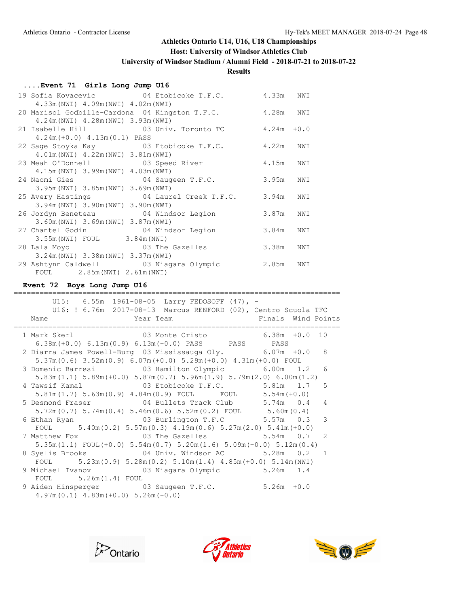#### **Host: University of Windsor Athletics Club**

**University of Windsor Stadium / Alumni Field - 2018-07-21 to 2018-07-22**

### **Results**

#### **....Event 71 Girls Long Jump U16**

|                                          | 19 Sofia Kovacevic <b>8 COV 6 SOFIA</b> COVER T.F.C. 4.33m NWI |           |     |  |
|------------------------------------------|----------------------------------------------------------------|-----------|-----|--|
| 4.33m (NWI) 4.09m (NWI) 4.02m (NWI)      |                                                                |           |     |  |
|                                          | 20 Marisol Godbille-Cardona 04 Kingston T.F.C. 4.28m NWI       |           |     |  |
| 4.24m (NWI) 4.28m (NWI) 3.93m (NWI)      |                                                                |           |     |  |
|                                          | 21 Isabelle Hill $03$ Univ. Toronto TC $4.24m +0.0$            |           |     |  |
| $4.24m(+0.0)$ $4.13m(0.1)$ PASS          |                                                                |           |     |  |
|                                          | 22 Sage Stoyka Kay 03 Etobicoke T.F.C. 4.22m NWI               |           |     |  |
| 4.01m (NWI) 4.22m (NWI) 3.81m (NWI)      |                                                                |           |     |  |
|                                          | 23 Meah O'Donnell 23 Speed River 4.15m NWI                     |           |     |  |
| 4.15m (NWI) 3.99m (NWI) 4.03m (NWI)      |                                                                |           |     |  |
| 24 Naomi Gies 64 Saugeen T.F.C.          |                                                                | 3.95m NWI |     |  |
| 3.95m (NWI) 3.85m (NWI) 3.69m (NWI)      |                                                                |           |     |  |
|                                          | 25 Avery Hastings 04 Laurel Creek T.F.C. 3.94m                 |           | NWI |  |
| 3.94m (NWI) 3.90m (NWI) 3.90m (NWI)      |                                                                |           |     |  |
|                                          | 26 Jordyn Beneteau 64 Windsor Legion                           | 3.87m NWI |     |  |
| 3.60m (NWI) 3.69m (NWI) 3.87m (NWI)      |                                                                |           |     |  |
|                                          | 27 Chantel Godin 64 Windsor Legion                             | 3.84m     | NWI |  |
| 3.55m (NWI) FOUL 3.84m (NWI)             |                                                                |           |     |  |
|                                          | 28 Lala Moyo 28 O3 The Gazelles                                | 3.38m     | NWI |  |
| $3.24m(NWI)$ 3.38 $m(NWI)$ 3.37 $m(NWI)$ |                                                                |           |     |  |
|                                          | 29 Ashtynn Caldwell 63 Niagara Olympic                         | 2.85m NWI |     |  |
| FOUL 2.85m (NWI) 2.61m (NWI)             |                                                                |           |     |  |

#### **Event 72 Boys Long Jump U16**

============================================================================ U15: 6.55m 1961-08-05 Larry FEDOSOFF (47), - U16: ! 6.76m 2017-08-13 Marcus RENFORD (02), Centro Scuola TFC Name **The Year Team Constant Constructs** Pinals Wind Points ============================================================================ Mark Skerl 03 Monte Cristo 6.38m +0.0 10<br>6.38m (+0.0) 6.13m (0.9) 6.13m (+0.0) PASS PASS PASS PASS 6.38m(+0.0) 6.13m(0.9) 6.13m(+0.0) PASS PASS PASS 2 Diarra James Powell-Burg 03 Mississauga Oly. 6.07m +0.0 8 5.37m(0.6) 3.52m(0.9) 6.07m(+0.0) 5.29m(+0.0) 4.31m(+0.0) FOUL 3 Domenic Barresi 03 Hamilton Olympic 6.00m 1.2 6 5.83m(1.1) 5.89m(+0.0) 5.87m(0.7) 5.96m(1.9) 5.79m(2.0) 6.00m(1.2) 4 Tawsif Kamal 03 Etobicoke T.F.C. 5.81m 1.7 5 5.81m(1.7) 5.63m(0.9) 4.84m(0.9) FOUL FOUL 5.54m(+0.0) 5 Desmond Fraser 04 Bullets Track Club 5.74m 0.4 4 5.72m(0.7) 5.74m(0.4) 5.46m(0.6) 5.52m(0.2) FOUL 5.60m(0.4) 6 Ethan Ryan 03 Burlington T.F.C 5.57m 0.3 3 FOUL  $5.40 \text{m} (0.2) 5.57 \text{m} (0.3) 4.19 \text{m} (0.6) 5.27 \text{m} (2.0) 5.41 \text{m} (+0.0)$  7 Matthew Fox 03 The Gazelles 5.54m 0.7 2 5.35m(1.1) FOUL(+0.0) 5.54m(0.7) 5.20m(1.6) 5.09m(+0.0) 5.12m(0.4) 8 Syelis Brooks 04 Univ. Windsor AC 5.28m 0.2 1 FOUL 5.23m(0.9) 5.28m(0.2) 5.10m(1.4) 4.85m(+0.0) 5.14m(NWI) 9 Michael Ivanov 03 Niagara Olympic 5.26m 1.4 FOUL 5.26m(1.4) FOUL 9 Aiden Hinsperger 03 Saugeen T.F.C. 5.26m +0.0 4.97m(0.1) 4.83m(+0.0) 5.26m(+0.0)





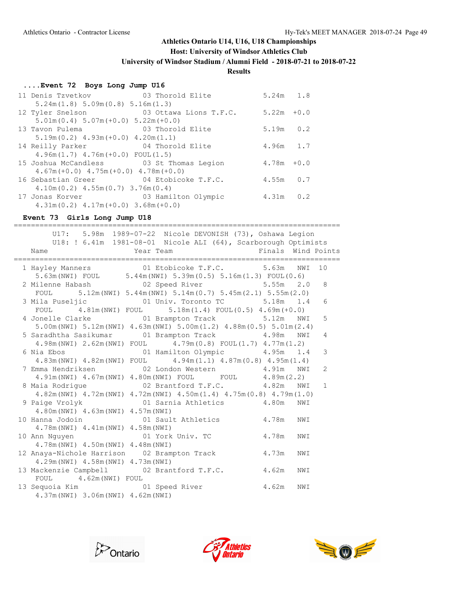#### **Host: University of Windsor Athletics Club**

**University of Windsor Stadium / Alumni Field - 2018-07-21 to 2018-07-22**

### **Results**

#### **....Event 72 Boys Long Jump U16**

| 11 Denis Tzvetkov 103 Thorold Elite          |                                     | $5.24m$ 1.8   |  |
|----------------------------------------------|-------------------------------------|---------------|--|
| 5.24m(1.8) 5.09m(0.8) 5.16m(1.3)             |                                     |               |  |
| 12 Tyler Snelson                             | 03 Ottawa Lions T.F.C. $5.22m +0.0$ |               |  |
| $5.01m(0.4) 5.07m(+0.0) 5.22m(+0.0)$         |                                     |               |  |
| 13 Tavon Pulema                              | 03 Thorold Elite                    | $5.19m$ $0.2$ |  |
| $5.19m(0.2)$ 4.93m(+0.0) 4.20m(1.1)          |                                     |               |  |
| 14 Reilly Parker                             | 04 Thorold Elite                    | $4.96m$ 1.7   |  |
| $4.96m(1.7)$ $4.76m(+0.0)$ FOUL $(1.5)$      |                                     |               |  |
| 15 Joshua McCandless 63 St Thomas Legion     |                                     | $4.78m + 0.0$ |  |
| $4.67m (+0.0)$ $4.75m (+0.0)$ $4.78m (+0.0)$ |                                     |               |  |
| 16 Sebastian Greer 64 Etobicoke T.F.C.       |                                     | $4.55m$ 0.7   |  |
| $4.10m(0.2)$ $4.55m(0.7)$ $3.76m(0.4)$       |                                     |               |  |
| 17 Jonas Korver 603 Hamilton Olympic         |                                     | $4.31m$ 0.2   |  |
| $4.31m(0.2)$ $4.17m(+0.0)$ $3.68m(+0.0)$     |                                     |               |  |

#### **Event 73 Girls Long Jump U18**

============================================================================ U17: 5.98m 1989-07-22 Nicole DEVONISH (73), Oshawa Legion U18: ! 6.41m 1981-08-01 Nicole ALI (64), Scarborough Optimists Name Team Year Team Finals Wind Points ============================================================================ 1 Hayley Manners 01 Etobicoke T.F.C. 5.63m NWI 10 5.63m(NWI) FOUL 5.44m(NWI) 5.39m(0.5) 5.16m(1.3) FOUL(0.6) 2 Milenne Habash 02 Speed River 5.55m 2.0 8 FOUL 5.12m(NWI) 5.44m(NWI) 5.14m(0.7) 5.45m(2.1) 5.55m(2.0) 3 Mila Puseljic 01 Univ. Toronto TC 5.18m 1.4 6 FOUL 4.81m(NWI) FOUL 5.18m(1.4) FOUL(0.5) 4.69m(+0.0) 4 Jonelle Clarke 01 Brampton Track 5.12m NWI 5 5.00m(NWI) 5.12m(NWI) 4.63m(NWI) 5.00m(1.2) 4.88m(0.5) 5.01m(2.4) 5 Saradhtha Sasikumar 01 Brampton Track 4.98m NWI 4 4.98m(NWI) 2.62m(NWI) FOUL 4.79m(0.8) FOUL(1.7) 4.77m(1.2) 6 Nia Ebos 01 Hamilton Olympic 4.95m 1.4 3 4.83m(NWI) 4.82m(NWI) FOUL 4.94m(1.1) 4.87m(0.8) 4.95m(1.4) 7 Emma Hendriksen 02 London Western 4.91m NWI 2 4.91m(NWI) 4.67m(NWI) 4.80m(NWI) FOUL FOUL 4.89m(2.2) 8 Maia Rodrigue 02 Brantford T.F.C. 4.82m NWI 1 4.82m(NWI) 4.72m(NWI) 4.72m(NWI) 4.50m(1.4) 4.75m(0.8) 4.79m(1.0) 9 Paige Vrolyk 01 Sarnia Athletics 4.80m NWI 4.80m(NWI) 4.63m(NWI) 4.57m(NWI) 10 Hanna Jodoin 01 Sault Athletics 4.78m NWI 4.78m(NWI) 4.41m(NWI) 4.58m(NWI) 10 Ann Nguyen 01 York Univ. TC 4.78m NWI 4.78m(NWI) 4.50m(NWI) 4.48m(NWI) 12 Anaya-Nichole Harrison 02 Brampton Track 4.73m NWI 4.29m(NWI) 4.58m(NWI) 4.73m(NWI) 13 Mackenzie Campbell 02 Brantford T.F.C. 4.62m NWI FOUL 4.62m (NWI) FOUL 13 Sequoia Kim 01 Speed River 4.62m NWI 4.37m(NWI) 3.06m(NWI) 4.62m(NWI)





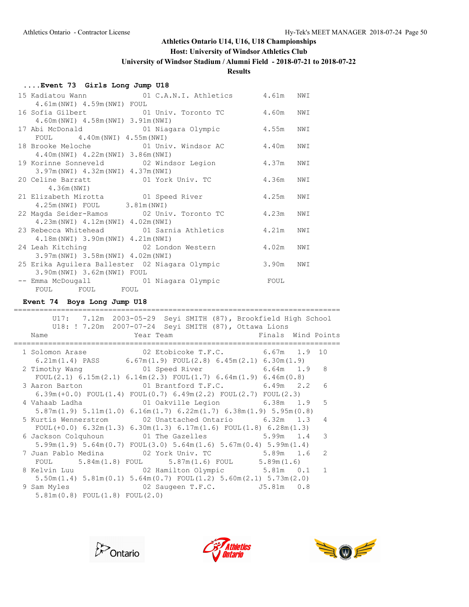## **Host: University of Windsor Athletics Club**

**University of Windsor Stadium / Alumni Field - 2018-07-21 to 2018-07-22**

## **Results**

## **....Event 73 Girls Long Jump U18**

|                                                | 15 Kadiatou Wann (01 C.A.N.I. Athletics 4.61m NWI) |           |     |
|------------------------------------------------|----------------------------------------------------|-----------|-----|
| 4.61m (NWI) 4.59m (NWI) FOUL                   |                                                    |           |     |
|                                                | 16 Sofia Gilbert 01 Univ. Toronto TC               | 4.60m     | NWI |
| 4.60m (NWI) 4.58m (NWI) 3.91m (NWI)            |                                                    |           |     |
|                                                | 17 Abi McDonald 61 Niagara Olympic                 | 4.55m NWI |     |
| FOUL 4.40m (NWI) 4.55m (NWI)                   |                                                    |           |     |
|                                                |                                                    |           |     |
| 4.40m (NWI) 4.22m (NWI) 3.86m (NWI)            |                                                    |           |     |
|                                                |                                                    | 4.37m NWI |     |
| 3.97m (NWI) 4.32m (NWI) 4.37m (NWI)            |                                                    |           |     |
|                                                |                                                    | 4.36m NWI |     |
| 4.36m (NWI)                                    |                                                    |           |     |
| 21 Elizabeth Mirotta 61 Speed River            |                                                    | 4.25m NWI |     |
| 4.25m (NWI) FOUL 3.81m (NWI)                   |                                                    |           |     |
|                                                | 22 Magda Seider-Ramos 02 Univ. Toronto TC          | 4.23m NWI |     |
| 4.23m (NWI) 4.12m (NWI) 4.02m (NWI)            |                                                    |           |     |
|                                                | 23 Rebecca Whitehead 01 Sarnia Athletics           | 4.21m     | NWI |
| 4.18m (NWI) 3.90m (NWI) 4.21m (NWI)            |                                                    |           |     |
| 24 Leah Kitching 62 London Western             |                                                    | 4.02m     | NWI |
| 3.97m (NWI) 3.58m (NWI) 4.02m (NWI)            |                                                    |           |     |
| 25 Erika Aguilera Ballester 02 Niagara Olympic |                                                    | 3.90m     | NWI |
| 3.90m (NWI) 3.62m (NWI) FOUL                   |                                                    |           |     |
|                                                | -- Emma McDougall -- 01 Niagara Olympic            | FOUL      |     |
| FOUL FOUL FOUL                                 |                                                    |           |     |

### **Event 74 Boys Long Jump U18**

| U17: 7.12m 2003-05-29 Seyi SMITH (87), Brookfield High School                                                                                                                                                                                                |    |
|--------------------------------------------------------------------------------------------------------------------------------------------------------------------------------------------------------------------------------------------------------------|----|
| U18: ! 7.20m 2007-07-24 Seyi SMITH (87), Ottawa Lions                                                                                                                                                                                                        |    |
| Year Team Team and the Manuscript State of the Manuscript State of the Manuscript State of the Manuscript State of the Manuscript State of the Manuscript State of the Manuscript State of the Manuscript State of the Manuscr<br>Finals Wind Points<br>Name |    |
| 1 Solomon Arase 6.67m 1.9 02 Etobicoke T.F.C. 6.67m 1.9                                                                                                                                                                                                      | 10 |
| 6.21m(1.4) PASS $6.67m(1.9)$ FOUL(2.8) $6.45m(2.1)$ $6.30m(1.9)$                                                                                                                                                                                             |    |
|                                                                                                                                                                                                                                                              |    |
| FOUL(2.1) $6.15m(2.1)$ $6.14m(2.3)$ FOUL(1.7) $6.64m(1.9)$ $6.46m(0.8)$                                                                                                                                                                                      |    |
| 3 Aaron Barton 6.49m 2.2                                                                                                                                                                                                                                     | 6  |
| $6.39m (+0.0)$ FOUL $(1.4)$ FOUL $(0.7)$ $6.49m (2.2)$ FOUL $(2.7)$ FOUL $(2.3)$                                                                                                                                                                             |    |
| 4 Vahaab Ladha                       01 Oakville Legion             6.38m   1.9                                                                                                                                                                              | 5  |
| $5.87$ m $(1.9)$ $5.11$ m $(1.0)$ $6.16$ m $(1.7)$ $6.22$ m $(1.7)$ $6.38$ m $(1.9)$ $5.95$ m $(0.8)$                                                                                                                                                        |    |
| 5 Kurtis Wennerstrom 02 Unattached Ontario 6.32m 1.3                                                                                                                                                                                                         | 4  |
| FOUL $(+0.0)$ 6.32m $(1.3)$ 6.30m $(1.3)$ 6.17m $(1.6)$ FOUL $(1.8)$ 6.28m $(1.3)$                                                                                                                                                                           |    |
| 6 Jackson Colquhoun 01 The Gazelles 5.99m 1.4                                                                                                                                                                                                                | 3  |
| $5.99m(1.9)$ $5.64m(0.7)$ $FOUL(3.0)$ $5.64m(1.6)$ $5.67m(0.4)$ $5.99m(1.4)$                                                                                                                                                                                 |    |
| 7 Juan Pablo Medina                 02 York Univ. TC                    5.89m    1.6                                                                                                                                                                         | 2  |
| FOUL $5.84$ m $(1.8)$ FOUL $5.87$ m $(1.6)$ FOUL $5.89$ m $(1.6)$                                                                                                                                                                                            |    |
| 8 Kelvin Luu                   02 Hamilton Olympic         5.81m   0.1                                                                                                                                                                                       | 1  |
|                                                                                                                                                                                                                                                              |    |
| $5.50$ m $(1.4)$ $5.81$ m $(0.1)$ $5.64$ m $(0.7)$ $FOUL(1.2)$ $5.60$ m $(2.1)$ $5.73$ m $(2.0)$                                                                                                                                                             |    |
| 9 Sam Myles<br>02 Saugeen T.F.C. $J5.81m$ 0.8                                                                                                                                                                                                                |    |
| $5.81m(0.8)$ FOUL $(1.8)$ FOUL $(2.0)$                                                                                                                                                                                                                       |    |





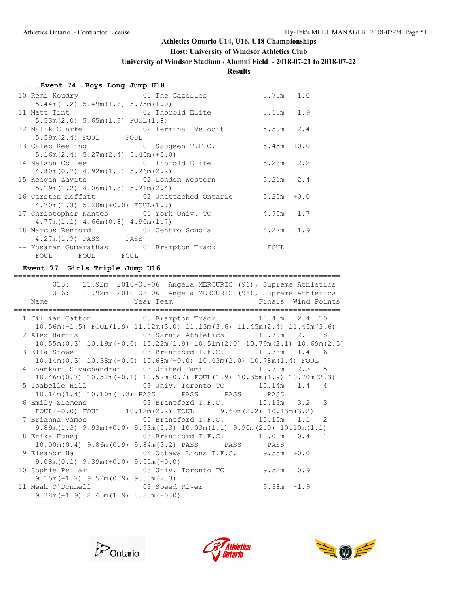## **Host: University of Windsor Athletics Club**

**University of Windsor Stadium / Alumni Field - 2018-07-21 to 2018-07-22**

## **Results**

## **....Event 74 Boys Long Jump U18**

| 10 Remi Koudry                           | 01 The Gazelles                                     | $5.75m$ 1.0   |  |
|------------------------------------------|-----------------------------------------------------|---------------|--|
| $5.44m(1.2)$ $5.49m(1.6)$ $5.75m(1.0)$   |                                                     |               |  |
| 11 Matt Tint 62 Thorold Elite            |                                                     | 5.65m 1.9     |  |
| 5.53m(2.0) 5.65m(1.9) F0UL(1.8)          |                                                     |               |  |
|                                          | 12 Malik Clarke $02$ Terminal Velocit 5.59m 2.4     |               |  |
| $5.59m(2.4)$ FOUL FOUL                   |                                                     |               |  |
| 13 Caleb Keeling 61 Saugeen T.F.C.       |                                                     | $5.45m + 0.0$ |  |
| $5.16m(2.4) 5.27m(2.4) 5.45m(+0.0)$      |                                                     |               |  |
| 14 Nelson Collee 61 Thorold Elite        |                                                     | 5.26m 2.2     |  |
| $4.80m(0.7)$ $4.92m(1.0)$ $5.26m(2.2)$   |                                                     |               |  |
| 15 Keegan Zavits 62 London Western       |                                                     | $5.21m$ 2.4   |  |
| $5.19m(1.2)$ 4.06m $(1.3)$ 5.21m $(2.4)$ |                                                     |               |  |
|                                          | 16 Carsten Moffatt 62 Unattached Ontario 5.20m +0.0 |               |  |
| $4.70m(1.3) 5.20m(+0.0) FOUL(1.7)$       |                                                     |               |  |
| 17 Christopher Nantes 01 York Univ. TC   |                                                     | 4.90m 1.7     |  |
| $4.77m(1.1)$ $4.66m(0.8)$ $4.90m(1.7)$   |                                                     |               |  |
| 18 Marcus Renford 62 Centro Scuola       |                                                     | 4.27m 1.9     |  |
| 4.27m(1.9) PASS PASS                     |                                                     |               |  |
| -- Kosaran Gumarathas 01 Brampton Track  |                                                     | FOUL          |  |
| FOUL FOUL FOUL                           |                                                     |               |  |

#### **Event 77 Girls Triple Jump U16**

|                                                                                | U15: 11.92m 2010-08-06 Angela MERCURIO (96), Supreme Athletics                              |               |  |
|--------------------------------------------------------------------------------|---------------------------------------------------------------------------------------------|---------------|--|
|                                                                                | U16: ! 11.92m 2010-08-06 Angela MERCURIO (96), Supreme Athletics                            |               |  |
| Name                                                                           | Year Team New York Pinals Wind Points                                                       |               |  |
| 1 Jillian Catton 03 Brampton Track 11.45m 2.4 10                               |                                                                                             |               |  |
|                                                                                | $10.56$ m (-1.5) FOUL (1.9) $11.12$ m (3.0) $11.13$ m (3.6) $11.45$ m (2.4) $11.45$ m (3.6) |               |  |
| 2 Alex Harris                 03 Sarnia Athletics         10.79m   2.1   8     |                                                                                             |               |  |
|                                                                                | $10.55m(0.3)$ $10.19m(+0.0)$ $10.22m(1.9)$ $10.51m(2.0)$ $10.79m(2.1)$ $10.69m(2.5)$        |               |  |
| 3 Ella Stowe 63 Brantford T.F.C. 10.78m 1.4 6                                  |                                                                                             |               |  |
|                                                                                | $10.14m(0.3)$ $10.38m(+0.0)$ $10.68m(+0.0)$ $10.43m(2.0)$ $10.78m(1.4)$ FOUL                |               |  |
| 4 Shankari Sivachandran 03 United Tamil 10.70m 2.3 5                           |                                                                                             |               |  |
|                                                                                | $10.46m(0.7)$ $10.52m(-0.1)$ $10.57m(0.7)$ $FOUT(1.9)$ $10.35m(1.9)$ $10.70m(2.3)$          |               |  |
| 5 Isabelle Hill 63 Univ. Toronto TC 10.14m 1.4 4                               |                                                                                             |               |  |
|                                                                                | 10.14m(1.4) 10.10m(1.3) PASS PASS PASS PASS PASS                                            |               |  |
| 6 Emily Siemens 03 Brantford T.F.C. 10.13m 3.2 3                               |                                                                                             |               |  |
|                                                                                | FOUL $(+0.0)$ FOUL $10.12$ m $(2.2)$ FOUL $9.60$ m $(2.2)$ 10.13m $(3.2)$                   |               |  |
| 7 Brianna Vamos                     05 Brantford T.F.C.           10.10m   1.1 |                                                                                             | 2             |  |
|                                                                                | $9.89m(1.3)$ $9.93m(+0.0)$ $9.93m(0.3)$ $10.03m(1.1)$ $9.90m(2.0)$ $10.10m(1.1)$            |               |  |
| 8 Erika Kunej                 03 Brantford T.F.C.         10.00m   0.4   1     |                                                                                             |               |  |
|                                                                                | 10.00m (0.4) 9.86m (0.9) 9.84m (3.2) PASS PASS PASS PASS                                    |               |  |
| 9 Eleanor Hall $04$ Ottawa Lions T.F.C. 9.55m +0.0                             |                                                                                             |               |  |
| $9.08m(0.1)$ $9.39m(+0.0)$ $9.55m(+0.0)$                                       |                                                                                             |               |  |
| 10 Sophie Pellar <b>03 Univ.</b> Toronto TC 9.52m 0.9                          |                                                                                             |               |  |
| $9.15m(-1.7)$ $9.52m(0.9)$ $9.30m(2.3)$                                        |                                                                                             |               |  |
| 11 Meah O'Donnell 03 Speed River                                               |                                                                                             | $9.38m - 1.9$ |  |
| $9.38m(-1.9) 8.45m(1.9) 8.85m(+0.0)$                                           |                                                                                             |               |  |





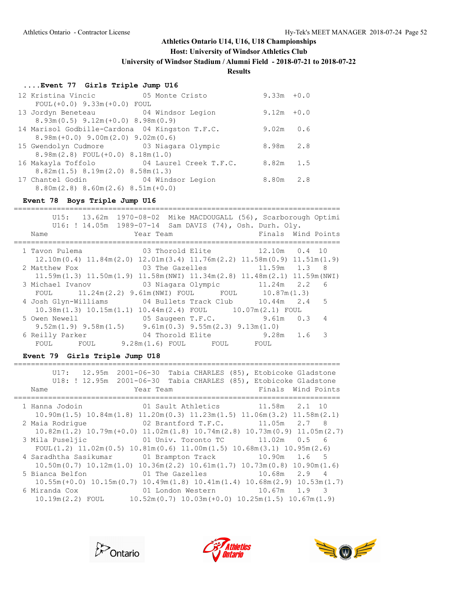**Host: University of Windsor Athletics Club**

**University of Windsor Stadium / Alumni Field - 2018-07-21 to 2018-07-22**

### **Results**

## **....Event 77 Girls Triple Jump U16**

| 12 Kristina Vincic 65 Monte Cristo                  |                                           | $9.33m + 0.0$ |     |
|-----------------------------------------------------|-------------------------------------------|---------------|-----|
| $FOUL(+0.0) 9.33m(+0.0) FOUL$                       |                                           |               |     |
| 13 Jordyn Beneteau 64 Windsor Legion                |                                           | $9.12m + 0.0$ |     |
| $8.93m(0.5)$ $9.12m(+0.0)$ $8.98m(0.9)$             |                                           |               |     |
| 14 Marisol Godbille-Cardona 04 Kingston T.F.C.      |                                           | 9.02m         | 0.6 |
| $8.98m (+0.0)$ 9.00 $m(2.0)$ 9.02 $m(0.6)$          |                                           |               |     |
| 15 Gwendolyn Cudmore 63 Niagara Olympic             |                                           | 8.98m         | 2.8 |
| $8.98m(2.8)$ FOUL $(+0.0)$ $8.18m(1.0)$             |                                           |               |     |
|                                                     | 16 Makayla Toffolo 64 Laurel Creek T.F.C. | $8.82m$ 1.5   |     |
| $8.82m(1.5)$ $8.19m(2.0)$ $8.58m(1.3)$              |                                           |               |     |
| 17 Chantel Godin 604 Windsor Legion                 |                                           | $8.80m$ 2.8   |     |
| $8.80$ m $(2.8)$ $8.60$ m $(2.6)$ $8.51$ m $(+0.0)$ |                                           |               |     |

### **Event 78 Boys Triple Jump U16**

|                                                                             | U15: 13.62m 1970-08-02 Mike MACDOUGALL (56), Scarborough Optimi<br>U16: ! 14.05m  1989-07-14  Sam DAVIS (74), Osh. Durh. Oly. |                    |
|-----------------------------------------------------------------------------|-------------------------------------------------------------------------------------------------------------------------------|--------------------|
| Name                                                                        | Year Team                                                                                                                     | Finals Wind Points |
| 1 Tavon Pulema                 03 Thorold Elite           12.10m   0.4   10 |                                                                                                                               |                    |
|                                                                             | $12.10\text{m}(0.4)$ $11.84\text{m}(2.0)$ $12.01\text{m}(3.4)$ $11.76\text{m}(2.2)$ $11.58\text{m}(0.9)$ $11.51\text{m}(1.9)$ |                    |
| 2 Matthew Fox                                                               | 03 The Gazelles 11.59m 1.3 8                                                                                                  |                    |
|                                                                             | $11.59$ m $(1.3)$ $11.50$ m $(1.9)$ $11.58$ m $(NWI)$ $11.34$ m $(2.8)$ $11.48$ m $(2.1)$ $11.59$ m $(NWI)$                   |                    |
| 3 Michael Ivanov (03 Niagara Olympic (11.24m (2.2) 6                        |                                                                                                                               |                    |
|                                                                             | FOUL 11.24m(2.2) 9.61m(NWI) FOUL FOUL 10.87m(1.3)                                                                             |                    |
| 4 Josh Glyn-Williams 04 Bullets Track Club 10.44m 2.4 5                     |                                                                                                                               |                    |
|                                                                             | $10.38$ m $(1.3)$ $10.15$ m $(1.1)$ $10.44$ m $(2.4)$ FOUL $10.07$ m $(2.1)$ FOUL                                             |                    |
| 5 Owen Newell                                                               | 05 Saugeen T.F.C. 9.61m 0.3 4                                                                                                 |                    |
|                                                                             | $9.52m(1.9)$ $9.58m(1.5)$ $9.61m(0.3)$ $9.55m(2.3)$ $9.13m(1.0)$                                                              |                    |
| 6 Reilly Parker                                                             | 04 Thorold Elite 5.28m 1.6 3                                                                                                  |                    |
|                                                                             | FOUL FOUL 9.28m(1.6) FOUL FOUL FOUL                                                                                           |                    |
|                                                                             |                                                                                                                               |                    |

### **Event 79 Girls Triple Jump U18**

| $U17: 12.95m 2001-06-30$ |                                         | Tabia CHARLES (85), Etobicoke Gladstone<br>U18: ! 12.95m 2001-06-30 Tabia CHARLES (85), Etobicoke Gladstone  |
|--------------------------|-----------------------------------------|--------------------------------------------------------------------------------------------------------------|
| Name                     | Year Team                               | Finals Wind Points                                                                                           |
|                          |                                         | 1 Hanna Jodoin 10 Sault Athletics 11.58m 2.1 10                                                              |
|                          |                                         | $10.90m(1.5)$ $10.84m(1.8)$ $11.20m(0.3)$ $11.23m(1.5)$ $11.06m(3.2)$ $11.58m(2.1)$                          |
| 2 Maia Rodrique          | 02 Brantford T.F.C.                     | $11.05m$ $2.7$ 8                                                                                             |
|                          |                                         | $10.82$ m $(1.2)$ $10.79$ m $(+0.0)$ $11.02$ m $(1.8)$ $10.74$ m $(2.8)$ $10.73$ m $(0.9)$ $11.05$ m $(2.7)$ |
| 3 Mila Puseljic          |                                         | 01 Univ. Toronto TC 11.02m 0.5 6                                                                             |
|                          |                                         | FOUL(1.2) $11.02m(0.5)$ $10.81m(0.6)$ $11.00m(1.5)$ $10.68m(3.1)$ $10.95m(2.6)$                              |
|                          | 4 Saradhtha Sasikumar 01 Brampton Track | $10.90m$ $1.6$ 5                                                                                             |
|                          |                                         | $10.50m(0.7)$ $10.12m(1.0)$ $10.36m(2.2)$ $10.61m(1.7)$ $10.73m(0.8)$ $10.90m(1.6)$                          |
| 5 Bianca Belfon          |                                         | 01 The Gazelles $10.68$ m $2.9$ 4                                                                            |
|                          |                                         | $10.55m (+0.0)$ $10.15m (0.7)$ $10.49m (1.8)$ $10.41m (1.4)$ $10.68m (2.9)$ $10.53m (1.7)$                   |
| 6 Miranda Cox            |                                         | 01 London Western 10.67m 1.9 3                                                                               |
| $10.19m(2.2)$ FOUL       |                                         | $10.52$ m $(0.7)$ $10.03$ m $(+0.0)$ $10.25$ m $(1.5)$ $10.67$ m $(1.9)$                                     |





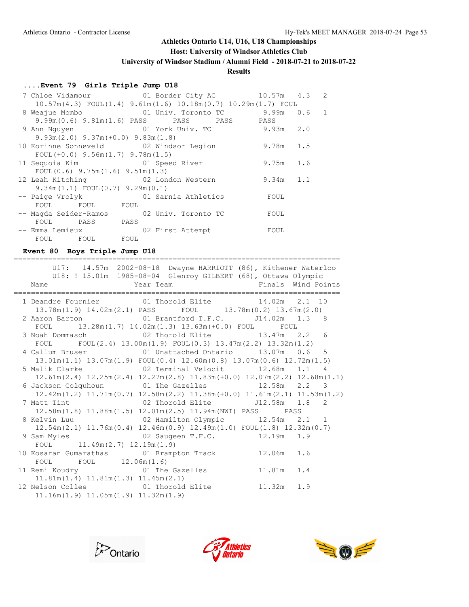## **Host: University of Windsor Athletics Club**

**University of Windsor Stadium / Alumni Field - 2018-07-21 to 2018-07-22**

# **Results**

## **....Event 79 Girls Triple Jump U18**

|                                           | 7 Chloe Vidamour 10.57m 4.3 2                                               |             |  |
|-------------------------------------------|-----------------------------------------------------------------------------|-------------|--|
|                                           | $10.57m(4.3)$ FOUL $(1.4)$ 9.61 $m(1.6)$ 10.18 $m(0.7)$ 10.29 $m(1.7)$ FOUL |             |  |
| 8 Weajue Mombo                            |                                                                             |             |  |
|                                           | 9.99m (0.6) 9.81m (1.6) PASS PASS PASS PASS PASS                            |             |  |
| 9 Ann Nguyen                              | 01 York Univ. TC 3.93m 2.0                                                  |             |  |
| $9.93m(2.0)$ $9.37m(+0.0)$ $9.83m(1.8)$   |                                                                             |             |  |
|                                           | 10 Korinne Sonneveld 62 Windsor Legion                                      | 9.78m 1.5   |  |
| FOUL $(+0.0)$ 9.56m $(1.7)$ 9.78m $(1.5)$ |                                                                             |             |  |
| 11 Sequoia Kim and 01 Speed River         |                                                                             | $9.75m$ 1.6 |  |
| FOUL $(0.6)$ 9.75m $(1.6)$ 9.51m $(1.3)$  |                                                                             |             |  |
|                                           | 12 Leah Kitching 62 London Western                                          | $9.34m$ 1.1 |  |
| $9.34m(1.1)$ FOUL $(0.7)$ $9.29m(0.1)$    |                                                                             |             |  |
| -- Paige Vrolyk                           | 01 Sarnia Athletics                                                         | FOUL        |  |
| FOUL FOUL FOUL                            |                                                                             |             |  |
|                                           | -- Magda Seider-Ramos 02 Univ. Toronto TC                                   | FOUL        |  |
| FOUL PASS PASS                            |                                                                             |             |  |
| -- Emma Lemieux                           | 02 First Attempt                                                            | FOUL        |  |
| FOUL FOUL FOUL                            |                                                                             |             |  |

**Event 80 Boys Triple Jump U18**

|                                                                                                | U17: 14.57m 2002-08-18 Dwayne HARRIOTT (86), Kithener Waterloo  |  |
|------------------------------------------------------------------------------------------------|-----------------------------------------------------------------|--|
|                                                                                                | U18: ! 15.01m  1985-08-04  Glenroy GILBERT (68), Ottawa Olympic |  |
| Name                                                                                           | Year Team The Pinals Wind Points                                |  |
|                                                                                                |                                                                 |  |
| 1 Deandre Fournier 01 Thorold Elite 14.02m 2.1 10                                              |                                                                 |  |
| $13.78m(1.9)$ $14.02m(2.1)$ PASS FOUL $13.78m(0.2)$ $13.67m(2.0)$                              |                                                                 |  |
| 2 Aaron Barton 61 Brantford T.F.C. 514.02m 1.3 8                                               |                                                                 |  |
| FOUL $13.28m(1.7)$ $14.02m(1.3)$ $13.63m(+0.0)$ FOUL FOUL                                      |                                                                 |  |
| 3 Noah Dommasch 02 Thorold Elite 13.47m 2.2 6                                                  |                                                                 |  |
| FOUL FOUL $(2.4)$ 13.00m $(1.9)$ FOUL $(0.3)$ 13.47m $(2.2)$ 13.32m $(1.2)$                    |                                                                 |  |
| 4 Callum Bruser 01 Unattached Ontario 13.07m 0.6 5                                             |                                                                 |  |
| $13.01m(1.1)$ $13.07m(1.9)$ $FOUL(0.4)$ $12.60m(0.8)$ $13.07m(0.6)$ $12.72m(1.5)$              |                                                                 |  |
| 5 Malik Clarke $02$ Terminal Velocit 12.68m 1.1 4                                              |                                                                 |  |
| $12.61m(2.4)$ $12.25m(2.4)$ $12.27m(2.8)$ $11.83m(+0.0)$ $12.07m(2.2)$ $12.68m(1.1)$           |                                                                 |  |
| 6 Jackson Colquhoun 01 The Gazelles 12.58m 2.2 3                                               |                                                                 |  |
| $12.42m(1.2) 11.71m(0.7) 12.58m(2.2) 11.38m(+0.0) 11.61m(2.1) 11.53m(1.2)$                     |                                                                 |  |
| 7 Matt Tint 62 Thorold Elite 512.58m 1.8 2                                                     |                                                                 |  |
| $12.58\text{m}(1.8)$ $11.88\text{m}(1.5)$ $12.01\text{m}(2.5)$ $11.94\text{m}$ (NWI) PASS PASS |                                                                 |  |
| 8 Kelvin Luu $02$ Hamilton Olympic 12.54m 2.1 1                                                |                                                                 |  |
| $12.54m(2.1)$ $11.76m(0.4)$ $12.46m(0.9)$ $12.49m(1.0)$ $FOUL(1.8)$ $12.32m(0.7)$              |                                                                 |  |
| 9 Sam Myles 62 Saugeen T.F.C. 12.19m 1.9                                                       |                                                                 |  |
| FOUL $11.49m(2.7) 12.19m(1.9)$                                                                 |                                                                 |  |
| 10 Kosaran Gumarathas (01 Brampton Track 12.06m 1.6                                            |                                                                 |  |
| FOUL FOUL 12.06m (1.6)                                                                         |                                                                 |  |
| 11 Remi Koudry 61 The Gazelles 11.81m 1.4                                                      |                                                                 |  |
| $11.81m(1.4)$ $11.81m(1.3)$ $11.45m(2.1)$                                                      |                                                                 |  |
| 12 Nelson Collee <b>11.32m</b> 1.9                                                             |                                                                 |  |
| $11.16m(1.9)$ $11.05m(1.9)$ $11.32m(1.9)$                                                      |                                                                 |  |





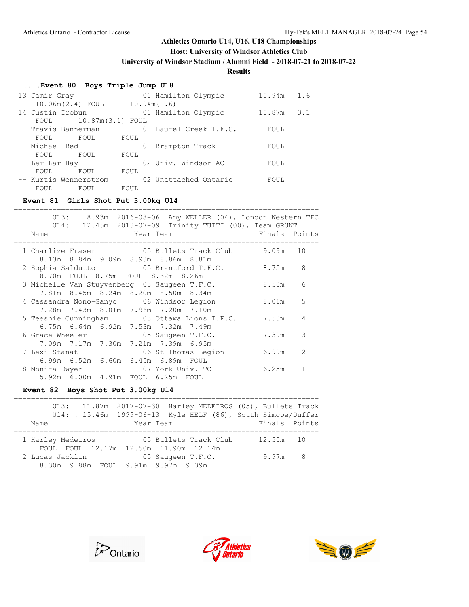**Host: University of Windsor Athletics Club**

**University of Windsor Stadium / Alumni Field - 2018-07-21 to 2018-07-22**

# **Results**

## **....Event 80 Boys Triple Jump U18**

| 13 Jamir Gray         | 01 Hamilton Olympic    | 10.94m | 1.6 |
|-----------------------|------------------------|--------|-----|
| 10.06m(2.4) FOUL      | 10.94m(1.6)            |        |     |
| 14 Justin Irobun      | 01 Hamilton Olympic    | 10.87m | 3.1 |
| FOUL                  | $10.87m(3.1)$ FOUL     |        |     |
| -- Travis Bannerman   | 01 Laurel Creek T.F.C. | FOUL   |     |
| FOUL<br>FOUL          | FOUL                   |        |     |
| -- Michael Red        | 01 Brampton Track      | FOUL   |     |
| FOUL<br>FOUL          | FOUL                   |        |     |
| -- Ler Lar Hay        | 02 Univ. Windsor AC    | FOUL   |     |
| FOUL<br>FOUL          | FOUL                   |        |     |
| -- Kurtis Wennerstrom | 02 Unattached Ontario  | FOUL   |     |
| FOUL<br>FOUL          | FOUL                   |        |     |

### **Event 81 Girls Shot Put 3.00kg U14**

|               |                             | U13: 8.93m 2016-08-06 Amy WELLER (04), London Western TFC |               |                |
|---------------|-----------------------------|-----------------------------------------------------------|---------------|----------------|
|               |                             | U14: ! 12.45m  2013-07-09  Trinity TUTTI (00), Team GRUNT |               |                |
| Name          | <b>Example 21 Year Team</b> |                                                           | Finals Points |                |
|               |                             |                                                           |               |                |
|               |                             | 1 Charlize Fraser 65 Bullets Track Club                   | 9.09m         | 10             |
|               |                             | 8.13m 8.84m 9.09m 8.93m 8.86m 8.81m                       |               |                |
|               |                             | 2 Sophia Saldutto 65 Brantford T.F.C.                     | 8.75m         | 8              |
|               |                             | 8.70m FOUL 8.75m FOUL 8.32m 8.26m                         |               |                |
|               |                             | 3 Michelle Van Stuyvenberg 05 Saugeen T.F.C.              | 8.50m         | 6              |
|               |                             | 7.81m 8.45m 8.24m 8.20m 8.50m 8.34m                       |               |                |
|               |                             | 4 Cassandra Nono-Ganyo       06 Windsor Legion            | 8.01m         | 5              |
|               |                             | 7.28m 7.43m 8.01m 7.96m 7.20m 7.10m                       |               |                |
|               |                             | 5 Teeshie Cunningham 05 Ottawa Lions T.F.C.               | 7.53m         | 4              |
|               |                             | 6.75m 6.64m 6.92m 7.53m 7.32m 7.49m                       |               |                |
|               |                             | 6 Grace Wheeler 05 Saugeen T.F.C.                         | 7.39m         | 3              |
|               |                             | 7.09m 7.17m 7.30m 7.21m 7.39m 6.95m                       |               |                |
| 7 Lexi Stanat |                             | 06 St Thomas Legion                                       | 6.99m         | $\overline{2}$ |
|               |                             | 6.99m 6.52m 6.60m 6.45m 6.89m FOUL                        |               |                |
|               |                             | 8 Monifa Dwyer 07 York Univ. TC                           | 6.25m         | 1              |
|               |                             | 5.92m 6.00m 4.91m FOUL 6.25m FOUL                         |               |                |

### **Event 82 Boys Shot Put 3.00kg U14**

|                   |  | U13: 11.87m 2017-07-30 Harley MEDEIROS (05), Bullets Track     |                   |  |               |  |
|-------------------|--|----------------------------------------------------------------|-------------------|--|---------------|--|
|                   |  | U14: ! 15.46m  1999-06-13  Kyle HELF (86), South Simcoe/Duffer |                   |  |               |  |
| Name              |  |                                                                | Year Team         |  | Finals Points |  |
|                   |  |                                                                |                   |  |               |  |
| 1 Harley Medeiros |  | 05 Bullets Track Club                                          |                   |  | 12.50m 10     |  |
|                   |  | FOUL FOUL 12.17m 12.50m 11.90m 12.14m                          |                   |  |               |  |
| 2 Lucas Jacklin   |  |                                                                | 05 Saugeen T.F.C. |  | $9.97m$ 8     |  |
|                   |  | 8.30m 9.88m FOUL 9.91m 9.97m 9.39m                             |                   |  |               |  |





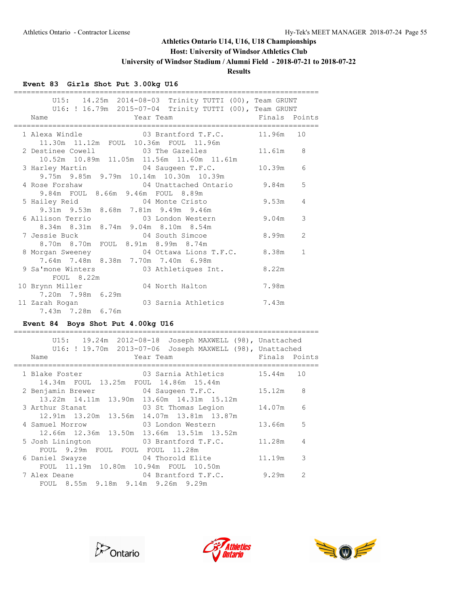**Host: University of Windsor Athletics Club**

**University of Windsor Stadium / Alumni Field - 2018-07-21 to 2018-07-22**

# **Results**

## **Event 83 Girls Shot Put 3.00kg U16**

| U15: 14.25m 2014-08-03 Trinity TUTTI (00), Team GRUNT<br>U16: ! 16.79m  2015-07-04  Trinity TUTTI (00), Team GRUNT                                                                                                                                    |          |              |
|-------------------------------------------------------------------------------------------------------------------------------------------------------------------------------------------------------------------------------------------------------|----------|--------------|
| <b>Example 2</b> Year Team <b>Provide 2 Set 10 Year</b> Team <b>Provide 2</b> Set 2 Set 2 Set 2 Set 2 Set 2 Set 2 Set 2 Set 2 Set 2 Set 2 Set 2 Set 2 Set 2 Set 2 Set 2 Set 2 Set 2 Set 2 Set 2 Set 2 Set 2 Set 2 Set 2 Set 2 Set 2 Set 2 Set<br>Name |          |              |
| 1 Alexa Windle $03$ Brantford T.F.C. 11.96m 10<br>11.30m  11.12m  FOUL  10.36m  FOUL  11.96m                                                                                                                                                          |          |              |
| 2 Destinee Cowell 03 The Gazelles 11.61m<br>10.52m 10.89m 11.05m 11.56m 11.60m 11.61m                                                                                                                                                                 |          | 8            |
| 3 Harley Martin 64 Saugeen T.F.C.<br>9.75m 9.85m 9.79m 10.14m 10.30m 10.39m                                                                                                                                                                           | 10.39m 6 |              |
| 4 Rose Forshaw 04 Unattached Ontario 9.84m<br>9.84m FOUL 8.66m 9.46m FOUL 8.89m                                                                                                                                                                       |          | 5            |
| 5 Hailey Reid <b>64</b> Monte Cristo 9.53m<br>9.31m 9.53m 8.68m 7.81m 9.49m 9.46m                                                                                                                                                                     |          | 4            |
| 8.34m 8.31m 8.74m 9.04m 8.10m 8.54m                                                                                                                                                                                                                   |          | 3            |
| 8.70m 8.70m FOUL 8.91m 8.99m 8.74m                                                                                                                                                                                                                    |          | 2            |
| 8 Morgan Sweeney 04 Ottawa Lions T.F.C. 8.38m<br>7.64m 7.48m 8.38m 7.70m 7.40m 6.98m                                                                                                                                                                  |          | $\mathbf{1}$ |
| 9 Sa'mone Winters 03 Athletiques Int. 8.22m<br>FOUL 8.22m                                                                                                                                                                                             |          |              |
| 10 Brynn Miller 64 North Halton 7.98m<br>7.20m 7.98m 6.29m                                                                                                                                                                                            |          |              |
| 11 Zarah Rogan (03 Sarnia Athletics 7.43m)<br>7.43m 7.28m 6.76m                                                                                                                                                                                       |          |              |

### **Event 84 Boys Shot Put 4.00kg U16**

| Joseph MAXWELL (98), Unattached<br>U15:<br>U16: ! 19.70m 2013-07-06<br>Joseph MAXWELL (98), Unattached<br>Year Team<br>Name | Finals Points |               |
|-----------------------------------------------------------------------------------------------------------------------------|---------------|---------------|
|                                                                                                                             |               |               |
| 03 Sarnia Athletics<br>1 Blake Foster<br>14.34m FOUL 13.25m FOUL 14.86m 15.44m                                              | 15.44m 10     |               |
| 2 Benjamin Brewer 04 Saugeen T.F.C.                                                                                         | 15.12m        | 8             |
| 13.22m 14.11m 13.90m 13.60m 14.31m 15.12m<br>3 Arthur Stanat 63 St Thomas Legion                                            | 14.07m        | 6             |
| 12.91m 13.20m 13.56m 14.07m 13.81m 13.87m                                                                                   |               |               |
| 4 Samuel Morrow<br>03 London Western                                                                                        | 13.66m        | 5             |
| 12.66m 12.36m 13.50m 13.66m 13.51m 13.52m                                                                                   |               |               |
| 03 Brantford T.F.C.<br>5 Josh Linington                                                                                     | 11.28m        | 4             |
| FOUL 9.29m FOUL FOUL FOUL 11.28m                                                                                            |               |               |
| 6 Daniel Swayze 6 04 Thorold Elite                                                                                          | 11.19m        | 3             |
| FOUL 11.19m 10.80m 10.94m FOUL 10.50m                                                                                       |               |               |
| 04 Brantford T.F.C.<br>7 Alex Deane                                                                                         | 9.29m         | $\mathcal{L}$ |
| FOUL 8.55m 9.18m 9.14m 9.26m 9.29m                                                                                          |               |               |





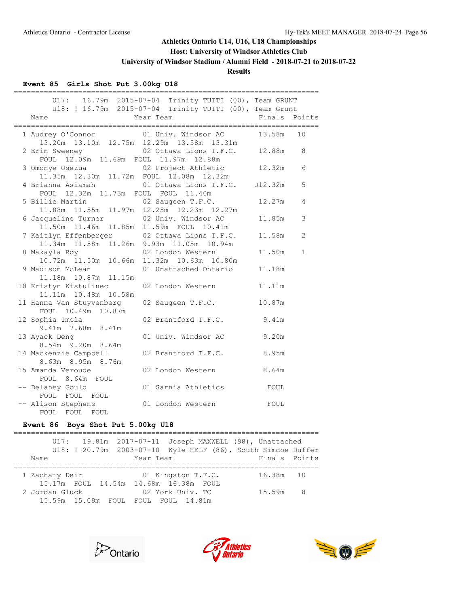## **Host: University of Windsor Athletics Club**

**University of Windsor Stadium / Alumni Field - 2018-07-21 to 2018-07-22**

## **Results**

## **Event 85 Girls Shot Put 3.00kg U18**

| Year Team<br>Name                                                                         | U17: 16.79m 2015-07-04 Trinity TUTTI (00), Team GRUNT<br>U18: ! 16.79m 2015-07-04 Trinity TUTTI (00), Team Grunt | Finals Points |              |
|-------------------------------------------------------------------------------------------|------------------------------------------------------------------------------------------------------------------|---------------|--------------|
| 1 Audrey O'Connor 13.58m                                                                  | 13.20m  13.10m  12.75m  12.29m  13.58m  13.31m                                                                   |               | 10           |
| 2 Erin Sweeney 02 Ottawa Lions T.F.C. 12.88m<br>FOUL 12.09m 11.69m FOUL 11.97m 12.88m     |                                                                                                                  |               | 8            |
| 3 Omonye Osezua 02 Project Athletic 12.32m<br>11.35m 12.30m 11.72m FOUL 12.08m 12.32m     |                                                                                                                  |               | 6            |
| 4 Brianna Asiamah (01 Ottawa Lions T.F.C. J12.32m)<br>FOUL 12.32m 11.73m FOUL FOUL 11.40m |                                                                                                                  |               | 5            |
| 5 Billie Martin 02 Saugeen T.F.C.<br>11.88m 11.55m 11.97m 12.25m 12.23m 12.27m            |                                                                                                                  | 12.27m        | 4            |
| 6 Jacqueline Turner (02 Univ. Windsor AC                                                  | 11.50m  11.46m  11.85m  11.59m  FOUL  10.41m                                                                     | 11.85m        | 3            |
| 7 Kaitlyn Effenberger 02 Ottawa Lions T.F.C.                                              | 11.34m  11.58m  11.26m  9.93m  11.05m  10.94m                                                                    | 11.58m        | 2            |
| 8 Makayla Roy 02 London Western<br>10.72m 11.50m 10.66m 11.32m 10.63m 10.80m              |                                                                                                                  | 11.50m        | $\mathbf{1}$ |
| 9 Madison McLean<br>11.18m  10.87m  11.15m                                                | 01 Unattached Ontario                                                                                            | 11.18m        |              |
| 10 Kristyn Kistulinec<br>11.11m  10.48m  10.58m                                           | 02 London Western                                                                                                | 11.11m        |              |
| 11 Hanna Van Stuyvenberg<br>FOUL 10.49m 10.87m                                            | 02 Saugeen T.F.C.                                                                                                | 10.87m        |              |
| 12 Sophia Imola<br>9.41m 7.68m 8.41m                                                      | 02 Brantford T.F.C. 9.41m                                                                                        |               |              |
| 13 Ayack Deng<br>8.54m 9.20m 8.64m                                                        | 01 Univ. Windsor AC 9.20m                                                                                        |               |              |
| 14 Mackenzie Campbell<br>8.63m 8.95m 8.76m                                                | 02 Brantford T.F.C.<br>02 London Western 8.64m                                                                   | 8.95m         |              |
| 15 Amanda Veroude<br>FOUL 8.64m FOUL                                                      |                                                                                                                  |               |              |
| -- Delaney Gould<br>FOUL FOUL FOUL                                                        | 01 Sarnia Athletics FOUL                                                                                         |               |              |
| -- Alison Stephens 01 London Western<br>FOUL FOUL FOUL                                    |                                                                                                                  | FOUL          |              |

### **Event 86 Boys Shot Put 5.00kg U18**

|  |                                       |  |  |           |                    |  | U17: 19.81m 2017-07-11 Joseph MAXWELL (98), Unattached         |  |
|--|---------------------------------------|--|--|-----------|--------------------|--|----------------------------------------------------------------|--|
|  |                                       |  |  |           |                    |  | U18: ! 20.79m  2003-07-10  Kyle HELF (86), South Simcoe Duffer |  |
|  | Name                                  |  |  | Year Team |                    |  | Finals Points                                                  |  |
|  |                                       |  |  |           |                    |  |                                                                |  |
|  | 1 Zachary Deir                        |  |  |           | 01 Kingston T.F.C. |  | 16.38m 10                                                      |  |
|  | 15.17m FOUL 14.54m 14.68m 16.38m FOUL |  |  |           |                    |  |                                                                |  |
|  | 2 Jordan Gluck                        |  |  |           | 02 York Univ. TC   |  | 15.59m 8                                                       |  |
|  | 15.59m 15.09m FOUL FOUL FOUL 14.81m   |  |  |           |                    |  |                                                                |  |
|  |                                       |  |  |           |                    |  |                                                                |  |





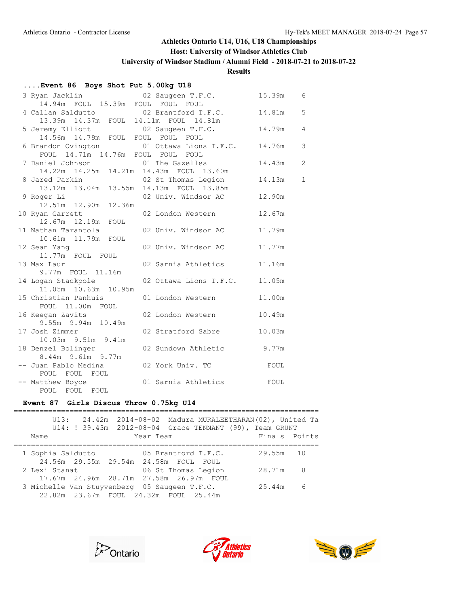## **Host: University of Windsor Athletics Club**

**University of Windsor Stadium / Alumni Field - 2018-07-21 to 2018-07-22**

### **Results**

## **....Event 86 Boys Shot Put 5.00kg U18**

| 3 Ryan Jacklin <a> 02 Saugeen T.F.C.</a>                                      |                        | 15.39m | 6              |
|-------------------------------------------------------------------------------|------------------------|--------|----------------|
| 14.94m FOUL 15.39m FOUL FOUL FOUL                                             |                        |        |                |
| 4 Callan Saldutto                                                             | 02 Brantford T.F.C.    | 14.81m | 5              |
| 13.39m  14.37m  FOUL  14.11m  FOUL  14.81m                                    |                        |        |                |
| 5 Jeremy Elliott                                                              | 02 Saugeen T.F.C.      | 14.79m | $\overline{4}$ |
| 14.56m 14.79m FOUL FOUL FOUL FOUL                                             |                        |        |                |
| 6 Brandon Ovington 6 01 Ottawa Lions T.F.C.                                   |                        | 14.76m | 3              |
| FOUL 14.71m 14.76m FOUL FOUL FOUL                                             |                        |        |                |
| 7 Daniel Johnson 01 The Gazelles<br>14.22m 14.25m 14.21m 14.43m FOUL 13.60m   |                        | 14.43m | $\overline{2}$ |
|                                                                               |                        |        |                |
| 8 Jared Parkin 02 St Thomas Legion<br>13.12m 13.04m 13.55m 14.13m FOUL 13.85m |                        | 14.13m | $\mathbf{1}$   |
|                                                                               |                        |        |                |
| 9 Roger Li (2008) 02 Univ. Windsor AC<br>12.51m  12.90m  12.36m               |                        | 12.90m |                |
|                                                                               |                        |        |                |
| 10 Ryan Garrett<br>12.67m   12.19m<br>FOUL                                    | 02 London Western      | 12.67m |                |
| 11 Nathan Tarantola                                                           | 02 Univ. Windsor AC    | 11.79m |                |
| 10.61m  11.79m  FOUL                                                          |                        |        |                |
| 12 Sean Yang                                                                  | 02 Univ. Windsor AC    | 11.77m |                |
| 11.77m FOUL FOUL                                                              |                        |        |                |
| 13 Max Laur                                                                   | 02 Sarnia Athletics    | 11.16m |                |
| 9.77m FOUL 11.16m                                                             |                        |        |                |
| 14 Logan Stackpole                                                            | 02 Ottawa Lions T.F.C. | 11.05m |                |
| 11.05m 10.63m 10.95m                                                          |                        |        |                |
| 15 Christian Panhuis                                                          | 01 London Western      | 11.00m |                |
| FOUL 11.00m FOUL                                                              |                        |        |                |
| 16 Keegan Zavits                                                              | 02 London Western      | 10.49m |                |
| 9.55m 9.94m 10.49m                                                            |                        |        |                |
| 17 Josh Zimmer                                                                | 02 Stratford Sabre     | 10.03m |                |
| 10.03m 9.51m 9.41m                                                            |                        |        |                |
| 18 Denzel Bolinger                                                            | 02 Sundown Athletic    | 9.77m  |                |
| 8.44m 9.61m 9.77m                                                             |                        |        |                |
| -- Juan Pablo Medina                                                          | 02 York Univ. TC       | FOUL   |                |
| FOUL FOUL FOUL                                                                |                        |        |                |
| -- Matthew Boyce                                                              | 01 Sarnia Athletics    | FOUL   |                |
| FOUL FOUL FOUL                                                                |                        |        |                |

### **Event 87 Girls Discus Throw 0.75kg U14**

|                                              | U13: 24.42m 2014-08-02 Madura MURALEETHARAN(02), United Ta<br>U14: ! 39.43m  2012-08-04  Grace TENNANT (99), Team GRUNT |               |    |
|----------------------------------------------|-------------------------------------------------------------------------------------------------------------------------|---------------|----|
| Name                                         | Year Team                                                                                                               | Finals Points |    |
|                                              |                                                                                                                         |               |    |
| 1 Sophia Saldutto                            | 05 Brantford T.F.C.                                                                                                     | 29.55m        | 10 |
| 24.56m 29.55m 29.54m 24.58m FOUL FOUL        |                                                                                                                         |               |    |
| 2 Lexi Stanat                                | 06 St Thomas Legion                                                                                                     | 28.71m        | -8 |
| 17.67m 24.96m 28.71m 27.58m 26.97m FOUL      |                                                                                                                         |               |    |
| 3 Michelle Van Stuyvenberg 05 Saugeen T.F.C. |                                                                                                                         | 25.44m        | 6  |
| 22.82m 23.67m FOUL 24.32m FOUL 25.44m        |                                                                                                                         |               |    |





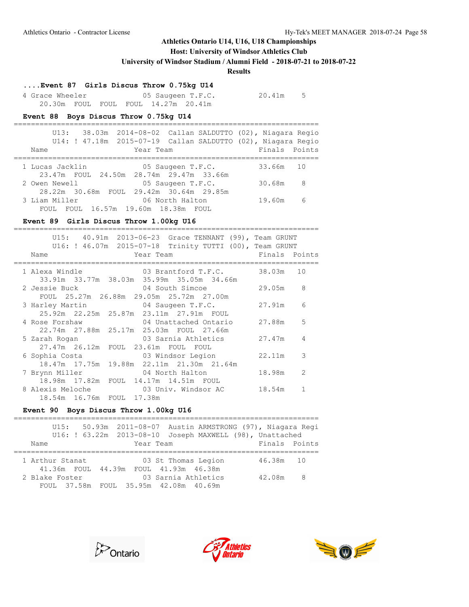## **Host: University of Windsor Athletics Club**

**University of Windsor Stadium / Alumni Field - 2018-07-21 to 2018-07-22**

### **Results**

## **....Event 87 Girls Discus Throw 0.75kg U14**

| 4 Grace Wheeler |  |                                     | 05 Saugeen T.F.C. | 20.41m | - 5 |
|-----------------|--|-------------------------------------|-------------------|--------|-----|
|                 |  | 20.30m FOUL FOUL FOUL 14.27m 20.41m |                   |        |     |

#### **Event 88 Boys Discus Throw 0.75kg U14**

| 38.03m 2014-08-02 Callan SALDUTTO (02), Niagara Regio<br>U14: ! 47.18m 2015-07-19 Callan SALDUTTO (02), Niagara Regio<br>Finals Points |
|----------------------------------------------------------------------------------------------------------------------------------------|
|                                                                                                                                        |
| 33.66m 10                                                                                                                              |
|                                                                                                                                        |
| 30.68m<br>- 8                                                                                                                          |
|                                                                                                                                        |
| - 6<br>19.60m                                                                                                                          |
|                                                                                                                                        |

## **Event 89 Girls Discus Throw 1.00kg U16**

| U15: 40.91m 2013-06-23 Grace TENNANT (99), Team GRUNT     |               |               |
|-----------------------------------------------------------|---------------|---------------|
| U16: ! 46.07m  2015-07-18  Trinity TUTTI (00), Team GRUNT |               |               |
| Year Team<br>Name                                         | Finals Points |               |
| 03 Brantford T.F.C.<br>1 Alexa Windle                     | 38.03m 10     |               |
| 33.91m 33.77m 38.03m 35.99m 35.05m 34.66m                 |               |               |
|                                                           | 29.05m        | 8             |
| FOUL 25.27m 26.88m 29.05m 25.72m 27.00m                   |               |               |
| 3 Harley Martin 64 Saugeen T.F.C.                         | 27.91m        | 6             |
| 25.92m  22.25m  25.87m  23.11m  27.91m  FOUL              |               |               |
| 04 Unattached Ontario<br>4 Rose Forshaw                   | 27.88m        | 5             |
| 22.74m 27.88m 25.17m 25.03m FOUL 27.66m                   |               |               |
| 03 Sarnia Athletics<br>5 Zarah Rogan                      | 27.47m        | 4             |
| 27.47m 26.12m FOUL 23.61m FOUL FOUL                       |               |               |
| 6 Sophia Costa                       03 Windsor Legion    | 22.11m        | 3             |
| 18.47m 17.75m 19.88m 22.11m 21.30m 21.64m                 |               |               |
| 7 Brynn Miller<br>04 North Halton                         | 18.98m        | $\mathcal{L}$ |
| 18.98m 17.82m FOUL 14.17m 14.51m FOUL                     |               |               |
|                                                           | 18.54m        | $\mathbf{1}$  |
| 18.54m 16.76m FOUL 17.38m                                 |               |               |

### **Event 90 Boys Discus Throw 1.00kg U16**

|                 |  | U15: 50.93m 2011-08-07 Austin ARMSTRONG (97), Niagara Regi |               |     |
|-----------------|--|------------------------------------------------------------|---------------|-----|
|                 |  | U16: ! 63.22m  2013-08-10  Joseph MAXWELL (98), Unattached |               |     |
| Name            |  | Year Team                                                  | Finals Points |     |
|                 |  |                                                            |               |     |
| 1 Arthur Stanat |  | 03 St Thomas Legion                                        | 46.38m 10     |     |
|                 |  | 41.36m FOUL 44.39m FOUL 41.93m 46.38m                      |               |     |
| 2 Blake Foster  |  | 03 Sarnia Athletics                                        | 42.08m        | - 8 |
|                 |  | FOUL 37.58m FOUL 35.95m 42.08m 40.69m                      |               |     |





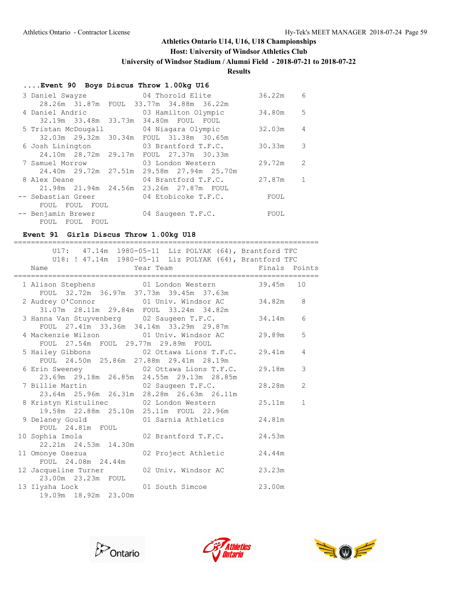## **Host: University of Windsor Athletics Club**

**University of Windsor Stadium / Alumni Field - 2018-07-21 to 2018-07-22**

### **Results**

## **....Event 90 Boys Discus Throw 1.00kg U16**

| 3 Daniel Swayze      | 04 Thorold Elite                        | 36.22m | 6             |
|----------------------|-----------------------------------------|--------|---------------|
|                      | 28.26m 31.87m FOUL 33.77m 34.88m 36.22m |        |               |
| 4 Daniel Andric      | 03 Hamilton Olympic                     | 34.80m | 5             |
| 32.19m 33.48m 33.73m | 34.80m FOUL<br>FOUL                     |        |               |
| 5 Tristan McDougall  | 04 Niagara Olympic                      | 32.03m | 4             |
| 32.03m 29.32m 30.34m | FOUL 31.38m 30.65m                      |        |               |
| 6 Josh Linington     | 03 Brantford T.F.C.                     | 30.33m | 3             |
| 24.10m 28.72m 29.17m | FOUL 27.37m 30.33m                      |        |               |
| 7 Samuel Morrow      | 03 London Western                       | 29.72m | $\mathcal{L}$ |
| 24.40m 29.72m 27.51m | 29.58m 27.94m 25.70m                    |        |               |
| 8 Alex Deane         | 04 Brantford T.F.C.                     | 27.87m |               |
| 21.98m 21.94m 24.56m | 23.26m 27.87m FOUL                      |        |               |
| -- Sebastian Greer   | 04 Etobicoke T.F.C.                     | FOUL   |               |
| FOUL<br>FOUL<br>FOUL |                                         |        |               |
| -- Benjamin Brewer   | 04 Saugeen T.F.C.                       | FOUL   |               |
| FOUL<br>FOUL<br>FOUL |                                         |        |               |

### **Event 91 Girls Discus Throw 1.00kg U18**

=======================================================================

|                                                                                                | U17: 47.14m 1980-05-11 Liz POLYAK (64), Brantford TFC   |                          |
|------------------------------------------------------------------------------------------------|---------------------------------------------------------|--------------------------|
|                                                                                                | U18: ! 47.14m 1980-05-11 Liz POLYAK (64), Brantford TFC | Finals Points            |
| Name                                                                                           | Year Team                                               |                          |
| 1 Alison Stephens 01 London Western 39.45m<br>FOUL 32.72m 36.97m 37.73m 39.45m 37.63m          |                                                         | 10                       |
| 2 Audrey O'Connor 01 Univ. Windsor AC 34.82m<br>31.07m  28.11m  29.84m  FOUL  33.24m  34.82m   |                                                         | 8                        |
| 3 Hanna Van Stuyvenberg 02 Saugeen T.F.C.<br>FOUL 27.41m 33.36m 34.14m 33.29m 29.87m           |                                                         | 34.14m<br>6              |
| 4 Mackenzie Wilson (01 Univ. Windsor AC<br>FOUL 27.54m FOUL 29.77m 29.89m FOUL                 |                                                         | 5<br>29.89m              |
| 5 Hailey Gibbons 62 Ottawa Lions T.F.C.<br>FOUL 24.50m 25.86m 27.88m 29.41m 28.19m             |                                                         | 29.41m<br>4              |
| 6 Erin Sweeney 62 Ottawa Lions T.F.C.<br>23.69m 29.18m 26.85m 24.55m 29.13m 28.85m             |                                                         | 3<br>29.18m              |
| 7 Billie Martin 02 Saugeen T.F.C.<br>23.64m 25.96m 26.31m 28.28m 26.63m 26.11m                 |                                                         | $\overline{2}$<br>28.28m |
| 8 Kristyn Kistulinec         02 London Western<br>19.58m  22.88m  25.10m  25.11m  FOUL  22.96m |                                                         | 25.11m<br>$\mathbf{1}$   |
| 9 Delaney Gould 61 Sarnia Athletics<br>FOUL 24.81m FOUL                                        |                                                         | 24.81m                   |
| 10 Sophia Imola<br>22.21m 24.53m 14.30m                                                        | 02 Brantford T.F.C.                                     | 24.53m                   |
| 11 Omonye Osezua<br>FOUL 24.08m 24.44m                                                         | 02 Project Athletic                                     | 24.44m                   |
| 12 Jacqueline Turner (02 Univ. Windsor AC<br>23.00m  23.23m  FOUL                              |                                                         | 23.23m                   |
| 13 Ilysha Lock 01 South Simcoe<br>19.09m  18.92m  23.00m                                       |                                                         | 23.00m                   |





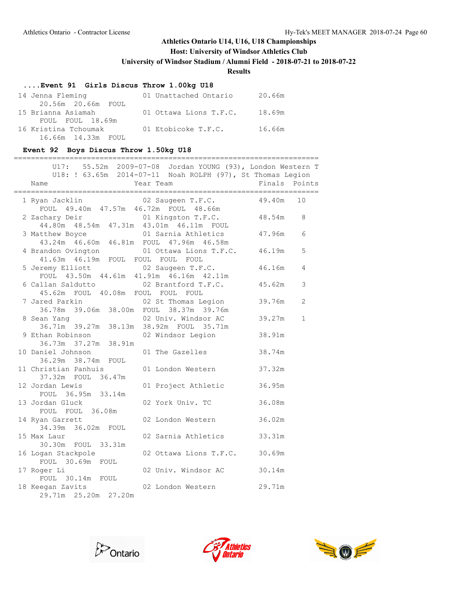## **Host: University of Windsor Athletics Club**

**University of Windsor Stadium / Alumni Field - 2018-07-21 to 2018-07-22**

**Results**

## **....Event 91 Girls Discus Throw 1.00kg U18**

| 14 Jenna Fleming     | 01 Unattached Ontario  | 20.66m |
|----------------------|------------------------|--------|
| 20.56m 20.66m FOUL   |                        |        |
| 15 Brianna Asiamah   | 01 Ottawa Lions T.F.C. | 18.69m |
| FOUL FOUL 18.69m     |                        |        |
| 16 Kristina Tchoumak | 01 Etobicoke T.F.C.    | 16.66m |
| 16.66m 14.33m FOUL   |                        |        |

### **Event 92 Boys Discus Throw 1.50kg U18**

|                                                                               | ==========                                                                                                                            |                        |  |
|-------------------------------------------------------------------------------|---------------------------------------------------------------------------------------------------------------------------------------|------------------------|--|
| Name                                                                          | U17: 55.52m 2009-07-08 Jordan YOUNG (93), London Western T<br>U18: ! 63.65m 2014-07-11 Noah ROLPH (97), St Thomas Legion<br>Year Team | Finals<br>Points       |  |
| 1 Ryan Jacklin                                                                | 02 Saugeen T.F.C.<br>FOUL 49.40m 47.57m 46.72m FOUL 48.66m                                                                            | 49.40m<br>10           |  |
| 2 Zachary Deir                                                                | 01 Kingston T.F.C. 48.54m<br>44.80m  48.54m  47.31m  43.01m  46.11m  FOUL                                                             | 8                      |  |
| 3 Matthew Boyce<br>43.24m 46.60m 46.81m FOUL 47.96m 46.58m                    | 01 Sarnia Athletics                                                                                                                   | 47.96m<br>6            |  |
| 4 Brandon Ovington<br>41.63m 46.19m FOUL FOUL FOUL FOUL                       | 01 Ottawa Lions T.F.C. 46.19m                                                                                                         | 5                      |  |
| 5 Jeremy Elliott<br>FOUL 43.50m 44.61m 41.91m 46.16m 42.11m                   | 02 Saugeen T.F.C.                                                                                                                     | 46.16m<br>4            |  |
| 6 Callan Saldutto<br>45.62m FOUL 40.08m FOUL FOUL FOUL                        | 02 Brantford T.F.C.                                                                                                                   | 45.62m<br>3            |  |
| 7 Jared Parkin 02 St Thomas Legion<br>36.78m 39.06m 38.00m FOUL 38.37m 39.76m | 02 St Thomas Legion                                                                                                                   | 39.76m<br>2            |  |
| 8 Sean Yang                                                                   | 02 Univ. Windsor AC<br>36.71m 39.27m 38.13m 38.92m FOUL 35.71m                                                                        | $\mathbf{1}$<br>39.27m |  |
| 9 Ethan Robinson<br>36.73m 37.27m 38.91m                                      | 02 Windsor Legion                                                                                                                     | 38.91m                 |  |
| 10 Daniel Johnson<br>36.29m 38.74m FOUL                                       | 01 The Gazelles                                                                                                                       | 38.74m                 |  |
| 11 Christian Panhuis<br>37.32m FOUL 36.47m                                    | 01 London Western                                                                                                                     | 37.32m                 |  |
| 12 Jordan Lewis<br>FOUL 36.95m 33.14m                                         | 01 Project Athletic                                                                                                                   | 36.95m                 |  |
| 13 Jordan Gluck<br>FOUL FOUL 36.08m                                           | 02 York Univ. TC                                                                                                                      | 36.08m                 |  |
| 14 Ryan Garrett<br>34.39m 36.02m FOUL                                         | 02 London Western                                                                                                                     | 36.02m                 |  |
| 15 Max Laur<br>30.30m FOUL 33.31m                                             | 02 Sarnia Athletics                                                                                                                   | 33.31m                 |  |
| 16 Logan Stackpole<br>FOUL 30.69m FOUL                                        | 02 Ottawa Lions T.F.C.                                                                                                                | 30.69m                 |  |
| 17 Roger Li<br>FOUL 30.14m FOUL                                               | 02 Univ. Windsor AC                                                                                                                   | 30.14m                 |  |
| 18 Keegan Zavits<br>29.71m 25.20m 27.20m                                      | 02 London Western                                                                                                                     | 29.71m                 |  |





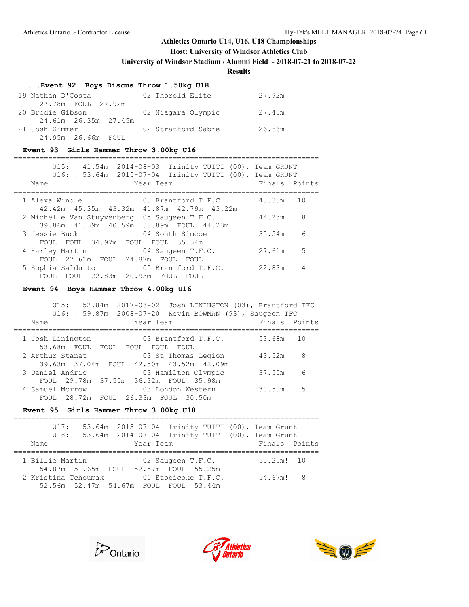## **Host: University of Windsor Athletics Club**

**University of Windsor Stadium / Alumni Field - 2018-07-21 to 2018-07-22**

### **Results**

### **....Event 92 Boys Discus Throw 1.50kg U18**

| 19 Nathan D'Costa    | 02 Thorold Elite   | 27.92m |
|----------------------|--------------------|--------|
| 27.78m FOUL 27.92m   |                    |        |
| 20 Brodie Gibson     | 02 Niagara Olympic | 27.45m |
| 24.61m 26.35m 27.45m |                    |        |
| 21 Josh Zimmer       | 02 Stratford Sabre | 26.66m |
| 24.95m 26.66m FOUL   |                    |        |

### **Event 93 Girls Hammer Throw 3.00kg U16**

| U15: 41.54m 2014-08-03 Trinity TUTTI (00), Team GRUNT<br>U16: ! 53.64m  2015-07-04  Trinity TUTTI (00), Team GRUNT<br>Year Team<br>Name | Finals Points |     |
|-----------------------------------------------------------------------------------------------------------------------------------------|---------------|-----|
|                                                                                                                                         |               |     |
| 1 Alexa Windle<br>03 Brantford T.F.C.<br>42.42m 45.35m 43.32m<br>41.87m  42.79m  43.22m                                                 | 45.35m 10     |     |
| 2 Michelle Van Stuyvenberg<br>05 Saugeen T.F.C.                                                                                         | 44.23m        | - 8 |
| 39.86m 41.59m 40.59m 38.89m FOUL 44.23m                                                                                                 |               |     |
| 3 Jessie Buck<br>04 South Simcoe                                                                                                        | 35.54m        | 6   |
| FOUL 34.97m FOUL FOUL 35.54m<br>FOUL.                                                                                                   |               |     |
| 4 Harley Martin<br>04 Saugeen T.F.C.                                                                                                    | 27.61m        | - 5 |
| FOUL 27.61m FOUL 24.87m FOUL FOUL                                                                                                       |               |     |
| 5 Sophia Saldutto<br>05 Brantford T.F.C.                                                                                                | 22.83m        |     |
| FOUL FOUL 22.83m 20.93m FOUL FOUL                                                                                                       |               |     |

#### **Event 94 Boys Hammer Throw 4.00kg U16**

| 52.84m  2017-08-02  Josh LININGTON (03), Brantford TFC<br>U15:<br>U16: ! 59.87m 2008-07-20 Kevin BOWMAN (93), Saugeen TFC |               |    |
|---------------------------------------------------------------------------------------------------------------------------|---------------|----|
| Year Team<br>Name                                                                                                         | Finals Points |    |
|                                                                                                                           |               |    |
| 03 Brantford T.F.C.<br>1 Josh Linington                                                                                   | 53.68m        | 10 |
| 53.68m FOUL FOUL FOUL FOUL<br>FOUL                                                                                        |               |    |
| 03 St Thomas Legion<br>2 Arthur Stanat                                                                                    | 43.52m        | 8  |
| 39.63m 37.04m FOUL 42.50m 43.52m 42.09m                                                                                   |               |    |
| 3 Daniel Andric<br>03 Hamilton Olympic                                                                                    | 37.50m        | 6  |
| FOUL 29.78m 37.50m 36.32m FOUL 35.98m                                                                                     |               |    |
| 4 Samuel Morrow<br>03 London Western                                                                                      | 30.50m        | 5  |
| FOUL 26.33m FOUL 30.50m<br>FOUL 28.72m                                                                                    |               |    |

#### **Event 95 Girls Hammer Throw 3.00kg U18**

|                     | U17: 53.64m 2015-07-04 Trinity TUTTI (00), Team Grunt     |                     |  |               |  |
|---------------------|-----------------------------------------------------------|---------------------|--|---------------|--|
|                     | U18: ! 53.64m  2014-07-04  Trinity TUTTI (00), Team Grunt |                     |  |               |  |
| Name                | Year Team                                                 |                     |  | Finals Points |  |
|                     |                                                           |                     |  |               |  |
| 1 Billie Martin     |                                                           | 02 Saugeen T.F.C.   |  | $55.25m!$ 10  |  |
|                     | 54.87m 51.65m FOUL 52.57m FOUL 55.25m                     |                     |  |               |  |
| 2 Kristina Tchoumak |                                                           | 01 Etobicoke T.F.C. |  | 54.67m! 8     |  |
|                     | 52.56m 52.47m 54.67m FOUL FOUL 53.44m                     |                     |  |               |  |





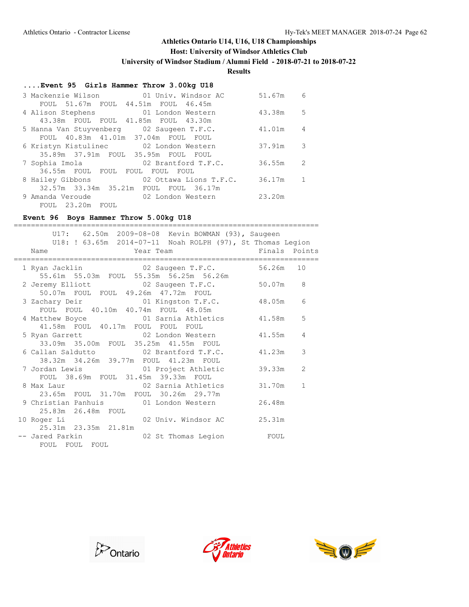## **Host: University of Windsor Athletics Club**

**University of Windsor Stadium / Alumni Field - 2018-07-21 to 2018-07-22**

**Results**

## **....Event 95 Girls Hammer Throw 3.00kg U18**

|                  | 3 Mackenzie Wilson             01 Univ. Windsor AC | 51.67m | 6                        |
|------------------|----------------------------------------------------|--------|--------------------------|
|                  | FOUL 51.67m FOUL 44.51m FOUL 46.45m                |        |                          |
|                  | 4 Alison Stephens 01 London Western                | 43.38m | .5                       |
|                  | 43.38m FOUL FOUL 41.85m FOUL 43.30m                |        |                          |
|                  | 5 Hanna Van Stuyvenberg 02 Saugeen T.F.C.          | 41.01m | 4                        |
|                  | FOUL 40.83m 41.01m 37.04m FOUL FOUL                |        |                          |
|                  | 6 Kristyn Kistulinec 02 London Western             | 37.91m | $\overline{\phantom{a}}$ |
|                  | 35.89m 37.91m FOUL 35.95m FOUL FOUL                |        |                          |
|                  | 7 Sophia Imola 62 Brantford T.F.C.                 | 36.55m | 2                        |
|                  | 36.55m FOUL FOUL FOUL FOUL FOUL                    |        |                          |
|                  | 8 Hailey Gibbons 02 Ottawa Lions T.F.C.            | 36.17m |                          |
|                  | 32.57m 33.34m 35.21m FOUL FOUL 36.17m              |        |                          |
|                  | 9 Amanda Veroude 602 London Western                | 23.20m |                          |
| FOUL 23.20m FOUL |                                                    |        |                          |

#### **Event 96 Boys Hammer Throw 5.00kg U18** =======================================================================

| U17: 62.50m 2009-08-08 Kevin BOWMAN (93), Saugeen<br>U18: ! 63.65m 2014-07-11 Noah ROLPH (97), St Thomas Legion      |           |              |
|----------------------------------------------------------------------------------------------------------------------|-----------|--------------|
| Year Team The Finals Points<br>Name                                                                                  |           |              |
| 1 Ryan Jacklin 62 Saugeen T.F.C.                                                                                     | 56.26m 10 |              |
| 55.61m 55.03m FOUL 55.35m 56.25m 56.26m<br>2 Jeremy Elliott 02 Saugeen T.F.C.<br>50.07m FOUL FOUL 49.26m 47.72m FOUL | 50.07m 8  |              |
| 3 Zachary Deir (1) 01 Kingston T.F.C.<br>FOUL FOUL 40.10m 40.74m FOUL 48.05m                                         | 48.05m    | 6            |
| 4 Matthew Boyce 61 Sarnia Athletics                                                                                  | 41.58m    | 5            |
| 41.58m FOUL 40.17m FOUL FOUL FOUL<br>02 London Western<br>5 Ryan Garrett                                             | 41.55m    | 4            |
| 33.09m 35.00m FOUL 35.25m 41.55m FOUL<br>6 Callan Saldutto                 02 Brantford T.F.C.                       | 41.23m    | 3            |
| 38.32m 34.26m 39.77m FOUL 41.23m FOUL<br>7 Jordan Lewis 61 Project Athletic                                          | 39.33m    | 2            |
| FOUL 38.69m FOUL 31.45m 39.33m FOUL<br>8 Max Laur 102 Sarnia Athletics                                               | 31.70m    | $\mathbf{1}$ |
| 23.65m FOUL 31.70m FOUL 30.26m 29.77m<br>9 Christian Panhuis 61 London Western                                       | 26.48m    |              |
| 25.83m  26.48m  FOUL<br>02 Univ. Windsor AC<br>10 Roger Li                                                           | 25.31m    |              |
| 25.31m 23.35m 21.81m<br>-- Jared Parkin<br>02 St Thomas Legion FOUL<br>FOUL FOUL FOUL                                |           |              |





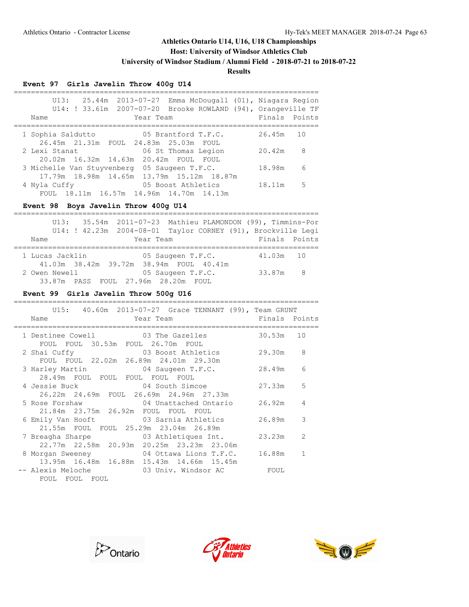**Host: University of Windsor Athletics Club**

**University of Windsor Stadium / Alumni Field - 2018-07-21 to 2018-07-22**

### **Results**

## **Event 97 Girls Javelin Throw 400g U14**

| 25.44m 2013-07-27 Emma McDougall (01), Niagara Region<br>U13:<br>U14: ! 33.61m 2007-07-20 Brooke ROWLAND (94), Orangeville TF |               |    |
|-------------------------------------------------------------------------------------------------------------------------------|---------------|----|
| Year Team<br>Name                                                                                                             | Finals Points |    |
| 05 Brantford T.F.C.<br>1 Sophia Saldutto                                                                                      | 26.45m        | 10 |
| 26.45m 21.31m FOUL 24.83m 25.03m FOUL                                                                                         |               |    |
| 06 St Thomas Legion<br>2 Lexi Stanat                                                                                          | 20.42m        | 8  |
| 20.02m 16.32m 14.63m 20.42m FOUL FOUL                                                                                         |               |    |
| 3 Michelle Van Stuyvenberg 05 Saugeen T.F.C.                                                                                  | 18.98m        | 6  |
| 17.79m 18.98m 14.65m 13.79m 15.12m 18.87m                                                                                     |               |    |
| 05 Boost Athletics<br>4 Nyla Cuffy                                                                                            | 18.11m        | 5  |
| FOUL 18.11m 16.57m 14.96m 14.70m 14.13m                                                                                       |               |    |

### **Event 98 Boys Javelin Throw 400g U14**

|                 |                                     |                                         | U13: 35.54m 2011-07-23 Mathieu PLAMONDON (99), Timmins-Por   |  |
|-----------------|-------------------------------------|-----------------------------------------|--------------------------------------------------------------|--|
|                 |                                     |                                         | U14: ! 42.23m 2004-08-01 Taylor CORNEY (91), Brockville Leqi |  |
| Name            | Year Team                           |                                         | Finals Points                                                |  |
|                 |                                     |                                         |                                                              |  |
| 1 Lucas Jacklin |                                     | 05 Saugeen T.F.C.                       | 41.03m 10                                                    |  |
|                 |                                     | 41.03m 38.42m 39.72m 38.94m FOUL 40.41m |                                                              |  |
| 2 Owen Newell   |                                     | 05 Saugeen T.F.C.                       | 33.87m 8                                                     |  |
|                 | 33.87m PASS FOUL 27.96m 28.20m FOUL |                                         |                                                              |  |

### **Event 99 Girls Javelin Throw 500g U16**

| U15: 40.60m 2013-07-27 Grace TENNANT (99), Team GRUNT                                                       |          |   |
|-------------------------------------------------------------------------------------------------------------|----------|---|
| Year Team <b>Finals</b> Points<br>Name                                                                      |          |   |
| 1 Destinee Cowell 03 The Gazelles 30.53m 10<br>FOUL FOUL 30.53m FOUL 26.70m FOUL                            |          |   |
| 2 Shai Cuffy 3 800st Athletics<br>FOUL FOUL 22.02m 26.89m 24.01m 29.30m                                     | 29.30m 8 |   |
| 3 Harley Martin 64 Saugeen T.F.C. 28.49m<br>28.49m FOUL FOUL FOUL FOUL FOUL                                 |          | 6 |
| 4 Jessie Buck 194 South Simcoe<br>26.22m  24.69m  FOUL  26.69m  24.96m  27.33m                              | 27.33m   | 5 |
| 5 Rose Forshaw               04 Unattached Ontario       26.92m<br>21.84m  23.75m  26.92m  FOUL  FOUL  FOUL |          | 4 |
| 6 Emily Van Hooft 63 Sarnia Athletics<br>21.55m FOUL FOUL 25.29m 23.04m 26.89m                              | 26.89m   | 3 |
| 7 Breagha Sharpe 5 03 Athletiques Int. 23.23m<br>22.77m 22.58m 20.93m 20.25m 23.23m 23.06m                  |          | 2 |
| 8 Morgan Sweeney 64 Ottawa Lions T.F.C.<br>13.95m 16.48m 16.88m 15.43m 14.66m 15.45m                        | 16.88m   |   |
| FOUL FOUL FOUL                                                                                              |          |   |





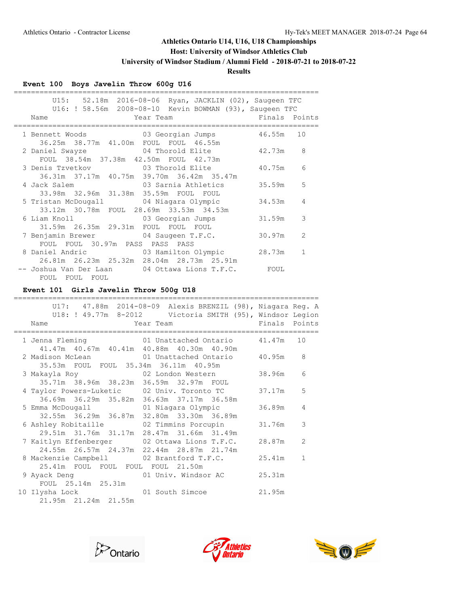## **Host: University of Windsor Athletics Club**

**University of Windsor Stadium / Alumni Field - 2018-07-21 to 2018-07-22**

## **Results**

## **Event 100 Boys Javelin Throw 600g U16**

|                                                | U15: 52.18m 2016-08-06 Ryan, JACKLIN (02), Saugeen TFC                   |        |              |
|------------------------------------------------|--------------------------------------------------------------------------|--------|--------------|
|                                                | U16: ! 58.56m  2008-08-10  Kevin BOWMAN (93), Saugeen TFC                |        |              |
| Mar Team Team Team<br>Name                     | Finals Points                                                            |        |              |
| ======================                         |                                                                          |        |              |
|                                                | 1 Bennett Woods 63 Georgian Jumps 46.55m 10                              |        |              |
| 36.25m 38.77m 41.00m FOUL FOUL 46.55m          |                                                                          |        |              |
|                                                | 2 Daniel Swayze 3 04 Thorold Elite 42.73m                                |        | 8            |
| FOUL 38.54m 37.38m 42.50m FOUL 42.73m          |                                                                          |        |              |
|                                                | 3 Denis Tzvetkov 63 Thorold Elite 40.75m                                 |        | 6            |
| 36.31m 37.17m 40.75m 39.70m 36.42m 35.47m      |                                                                          |        |              |
|                                                | 4 Jack Salem (1988) 03 Sarnia Athletics                                  | 35.59m | 5            |
| 33.98m 32.96m 31.38m 35.59m FOUL FOUL          |                                                                          |        |              |
|                                                | 5 Tristan McDougall             04 Niagara Olympic                       | 34.53m | 4            |
| 33.12m 30.78m FOUL 28.69m 33.53m 34.53m        |                                                                          |        |              |
|                                                | 6 Liam Knoll (13) 6 Georgian Jumps                                       | 31.59m | 3            |
| 31.59m  26.35m  29.31m  FOUL  FOUL  FOUL       |                                                                          |        |              |
|                                                | 7 Benjamin Brewer 04 Saugeen T.F.C.                                      | 30.97m | 2            |
| FOUL FOUL 30.97m PASS PASS PASS                |                                                                          |        |              |
|                                                | 8 Daniel Andric                     03 Hamilton Olympic           28.73m |        | $\mathbf{1}$ |
| 26.81m  26.23m  25.32m  28.04m  28.73m  25.91m |                                                                          |        |              |
|                                                |                                                                          |        |              |
|                                                | -- Joshua Van Der Laan         04 Ottawa Lions T.F.C.         FOUL       |        |              |
| FOUL FOUL FOUL                                 |                                                                          |        |              |

## **Event 101 Girls Javelin Throw 500g U18**

|                                           | U17: 47.88m 2014-08-09 Alexis BRENZIL (98), Niagara Reg. A                       |        |              |
|-------------------------------------------|----------------------------------------------------------------------------------|--------|--------------|
|                                           | U18: ! 49.77m 8-2012 Victoria SMITH (95), Windsor Legion                         |        |              |
| Name                                      | <b>Example 2</b> Year Team <b>Property</b> Points Points                         |        |              |
|                                           | 1 Jenna Fleming 61 Unattached Ontario 41.47m 10                                  |        |              |
|                                           | 41.47m 40.67m 40.41m 40.88m 40.30m 40.90m                                        |        |              |
|                                           | 2 Madison McLean 61 Unattached Ontario 40.95m                                    |        | 8            |
| 35.53m FOUL FOUL 35.34m 36.11m 40.95m     |                                                                                  |        |              |
| 3 Makayla Roy 62 London Western           |                                                                                  | 38.96m | 6            |
| 35.71m 38.96m 38.23m 36.59m 32.97m FOUL   |                                                                                  |        |              |
|                                           | 4 Taylor Powers-Luketic 02 Univ. Toronto TC                                      | 37.17m | 5            |
| 36.69m 36.29m 35.82m 36.63m 37.17m 36.58m |                                                                                  |        |              |
|                                           |                                                                                  | 36.89m | 4            |
|                                           | 5 Emma McDougall 61 Niagara Olympic<br>32.55m 36.29m 36.87m 32.80m 33.30m 36.89m |        |              |
|                                           |                                                                                  | 31.76m | 3            |
| 29.51m 31.76m 31.17m 28.47m 31.66m 31.49m | 6 Ashley Robitaille           02 Timmins Porcupin                                |        |              |
|                                           |                                                                                  | 28.87m | 2            |
|                                           | 7 Kaitlyn Effenberger       02 Ottawa Lions T.F.C.                               |        |              |
| 24.55m 26.57m 24.37m 22.44m 28.87m 21.74m |                                                                                  |        |              |
|                                           | 8 Mackenzie Campbell 02 Brantford T.F.C.                                         | 25.41m | $\mathbf{1}$ |
| 25.41m FOUL FOUL FOUL FOUL 21.50m         |                                                                                  |        |              |
| 9 Ayack Deng                              | 01 Univ. Windsor AC                                                              | 25.31m |              |
| FOUL 25.14m 25.31m                        |                                                                                  |        |              |
| 10 Ilysha Lock                            | 01 South Simcoe 21.95m                                                           |        |              |
| 21.95m 21.24m 21.55m                      |                                                                                  |        |              |





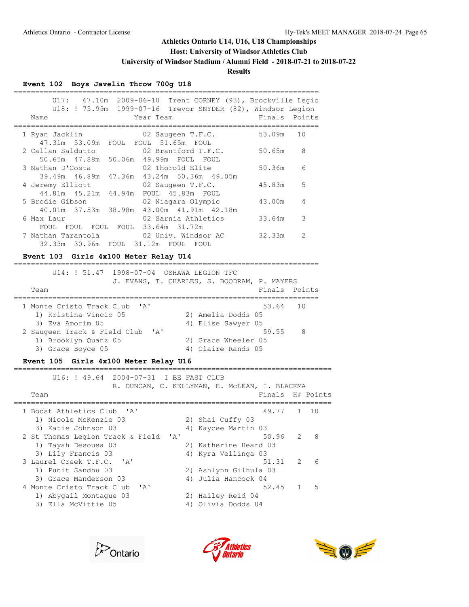**Host: University of Windsor Athletics Club**

**University of Windsor Stadium / Alumni Field - 2018-07-21 to 2018-07-22**

#### **Results**

#### **Event 102 Boys Javelin Throw 700g U18**

| Trent CORNEY (93), Brockville Legio<br>U17:<br>U18: ! 75.99m  1999-07-16  Trevor SNYDER (82), Windsor Legion |        |               |
|--------------------------------------------------------------------------------------------------------------|--------|---------------|
| Year Team<br>Name                                                                                            | Finals | Points        |
| 02 Saugeen T.F.C.<br>1 Ryan Jacklin<br>47.31m 53.09m FOUL FOUL 51.65m FOUL                                   | 53.09m | 10            |
| 02 Brantford T.F.C.<br>2 Callan Saldutto                                                                     | 50.65m | 8             |
| 50.65m  47.88m  50.06m  49.99m  FOUL  FOUL                                                                   |        |               |
| 3 Nathan D'Costa<br>02 Thorold Elite                                                                         | 50.36m | 6             |
| 39.49m 46.89m 47.36m 43.24m 50.36m 49.05m                                                                    | 45.83m | 5             |
| 4 Jeremy Elliott<br>02 Saugeen T.F.C.<br>44.81m 45.21m 44.94m FOUL 45.83m FOUL                               |        |               |
| 5 Brodie Gibson<br>02 Niagara Olympic                                                                        | 43.00m | 4             |
| 40.01m 37.53m 38.98m 43.00m 41.91m 42.18m                                                                    |        |               |
| 02 Sarnia Athletics<br>6 Max Laur                                                                            | 33.64m | 3             |
| FOUL FOUL 33.64m 31.72m<br>FOUL<br>FOUL                                                                      |        |               |
| 02 Univ. Windsor AC<br>7 Nathan Tarantola                                                                    | 32.33m | $\mathcal{L}$ |
| 32.33m 30.96m FOUL 31.12m FOUL<br>FOUL                                                                       |        |               |

#### **Event 103 Girls 4x100 Meter Relay U14**

 U14: ! 51.47 1998-07-04 OSHAWA LEGION TFC J. EVANS, T. CHARLES, S. BOODRAM, P. MAYERS Team **Finals** Points **Finals** Points ======================================================================= 1 Monte Cristo Track Club 'A' 53.64 10 1) Kristina Vincic 05 2) Amelia Dodds 05 3) Eva Amorim 05 4) Elise Sawyer 05 2 Saugeen Track & Field Club 'A' 59.55 8 1) Brooklyn Quanz 05 2) Grace Wheeler 05 3) Grace Boyce 05 4) Claire Rands 05

=======================================================================

#### **Event 105 Girls 4x100 Meter Relay U16**

==========================================================================

 U16: ! 49.64 2004-07-31 I BE FAST CLUB R. DUNCAN, C. KELLYMAN, E. McLEAN, I. BLACKMA Team Finals H# Points ========================================================================== 1 Boost Athletics Club 'A' 49.77 1 10 1) Nicole McKenzie 03 2) Shai Cuffy 03 3) Katie Johnson 03 4) Kaycee Martin 03 2 St Thomas Legion Track & Field 'A' 50.96 2 8 1) Tayah Desousa 03 2) Katherine Heard 03 3) Lily Francis 03 4) Kyra Vellinga 03 3 Laurel Creek T.F.C. 'A' 51.31 2 6 1) Punit Sandhu 03 2) Ashlynn Gilhula 03 3) Grace Manderson 03 4) Julia Hancock 04 4 Monte Cristo Track Club 'A' 52.45 1 5 1) Abygail Montague 03 2) Hailey Reid 04 3) Ella McVittie 05 4) Olivia Dodds 04





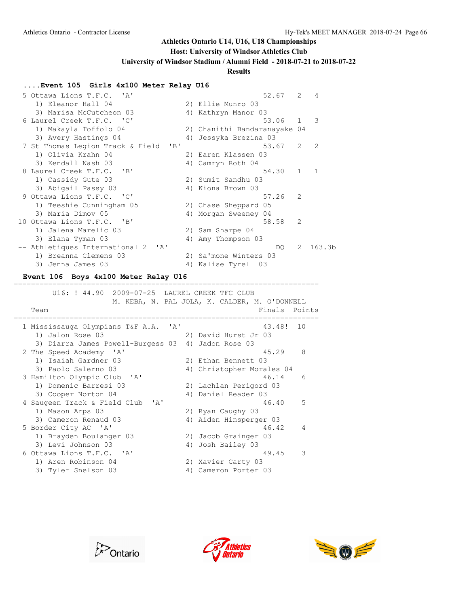## **Host: University of Windsor Athletics Club**

**University of Windsor Stadium / Alumni Field - 2018-07-21 to 2018-07-22**

#### **Results**

#### **....Event 105 Girls 4x100 Meter Relay U16**

| 5 Ottawa Lions T.F.C. 'A'                        |    | 52.67                        | 2              | 4                  |
|--------------------------------------------------|----|------------------------------|----------------|--------------------|
| 1) Eleanor Hall 04                               |    | 2) Ellie Munro 03            |                |                    |
| 3) Marisa McCutcheon 03                          |    | 4) Kathryn Manor 03          |                |                    |
| 6 Laurel Creek T.F.C. 'C'                        |    | 53.06                        | 1              | 3                  |
| 1) Makayla Toffolo 04                            |    | 2) Chanithi Bandaranayake 04 |                |                    |
| 3) Avery Hastings 04                             | 4) | Jessyka Brezina 03           |                |                    |
| 7 St Thomas Legion Track & Field<br>$\mathbf{B}$ |    | 53.67                        | $\overline{2}$ | 2                  |
| 1) Olivia Krahn 04                               |    | 2) Earen Klassen 03          |                |                    |
| 3) Kendall Nash 03                               |    | 4) Camryn Roth 04            |                |                    |
| 8 Laurel Creek T.F.C. 'B'                        |    | 54.30                        | $1 \quad$      | $\mathbf{1}$       |
| 1) Cassidy Gute 03                               |    | 2) Sumit Sandhu 03           |                |                    |
| 3) Abigail Passy 03                              |    | 4) Kiona Brown 03            |                |                    |
| 9 Ottawa Lions T.F.C. 'C'                        |    | 57.26                        | $\mathcal{L}$  |                    |
| 1) Teeshie Cunningham 05                         |    | 2) Chase Sheppard 05         |                |                    |
| 3) Maria Dimov 05                                |    | 4) Morgan Sweeney 04         |                |                    |
| 10 Ottawa Lions T.F.C. 'B'                       |    | 58.58                        | $\mathcal{L}$  |                    |
| 1) Jalena Marelic 03                             |    | 2) Sam Sharpe 04             |                |                    |
| 3) Elana Tyman 03                                |    | 4) Amy Thompson 03           |                |                    |
| -- Athletiques International 2<br>$\mathsf{A}$   |    | DO                           | 2              | 163.3 <sub>b</sub> |
| 1) Breanna Clemens 03                            |    | 2) Sa'mone Winters 03        |                |                    |
| 3) Jenna James 03                                | 4) | Kalise Tyrell 03             |                |                    |
|                                                  |    |                              |                |                    |

#### **Event 106 Boys 4x100 Meter Relay U16**

======================================================================= U16: ! 44.90 2009-07-25 LAUREL CREEK TFC CLUB M. KEBA, N. PAL JOLA, K. CALDER, M. O'DONNELL Team **Finals** Points **Properties** ======================================================================= 1 Mississauga Olympians T&F A.A. 'A' 43.48! 10 1) Jalon Rose 03 2) David Hurst Jr 03 3) Diarra James Powell-Burgess 03 4) Jadon Rose 03 2 The Speed Academy 'A' 45.29 8 1) Isaiah Gardner 03 2) Ethan Bennett 03 3) Paolo Salerno 03 4) Christopher Morales 04 3 Hamilton Olympic Club 'A' 46.14 6 1) Domenic Barresi 03 2) Lachlan Perigord 03 3) Cooper Norton 04 (4) Daniel Reader 03 4 Saugeen Track & Field Club 'A' 46.40 5 1) Mason Arps 03 2) Ryan Caughy 03 3) Cameron Renaud 03 4) Aiden Hinsperger 03 5 Border City AC 'A' 46.42 4 1) Brayden Boulanger 03 2) Jacob Grainger 03 3) Levi Johnson 03 4) Josh Bailey 03 6 Ottawa Lions T.F.C. 'A' 49.45 3 1) Aren Robinson 04 2) Xavier Carty 03 2) Aren Robinson 04 (2) 2) Xavier Carty 03<br>3) Tyler Snelson 03 (4) Cameron Porter 03



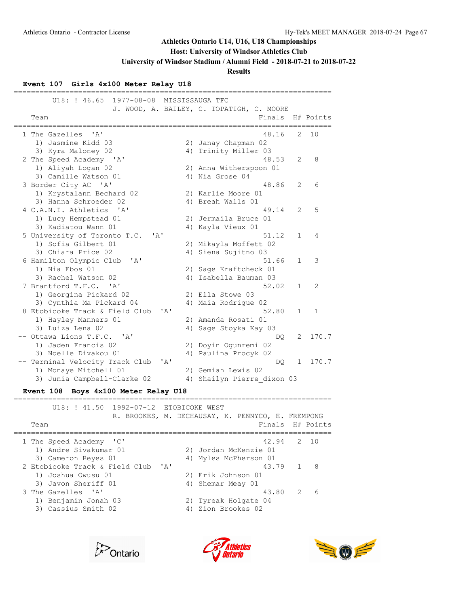### **Host: University of Windsor Athletics Club**

**University of Windsor Stadium / Alumni Field - 2018-07-21 to 2018-07-22**

**Results**

#### **Event 107 Girls 4x100 Meter Relay U18**

========================================================================== U18: ! 46.65 1977-08-08 MISSISSAUGA TFC J. WOOD, A. BAILEY, C. TOPATIGH, C. MOORE Team Finals H# Points ========================================================================== 1 The Gazelles 'A' 48.16 2 10 1) Jasmine Kidd 03 2) Janay Chapman 02 3) Kyra Maloney 02 4) Trinity Miller 03 2 The Speed Academy 'A' 48.53 2 8 1) Aliyah Logan 02 2) Anna Witherspoon 01 3) Camille Watson 01 <a>>4) Nia Grose 04 3 Border City AC 'A' 48.86 2 6 1) Krystalann Bechard 02 2) Karlie Moore 01 3) Hanna Schroeder 02 4) Breah Walls 01 4 C.A.N.I. Athletics 'A' 49.14 2 5 1) Lucy Hempstead 01 2) Jermaila Bruce 01 3) Kadiatou Wann 01 4) Kayla Vieux 01 5 University of Toronto T.C. 'A' 51.12 1 4 1) Sofia Gilbert 01 2) Mikayla Moffett 02 3) Chiara Price 02 4) Siena Sujitno 03 6 Hamilton Olympic Club 'A' 51.66 1 3 1) Nia Ebos 01 2) Sage Kraftcheck 01 3) Rachel Watson 02 4) Isabella Bauman 03 7 Brantford T.F.C. 'A' 52.02 1 2 1) Georgina Pickard 02 2) Ella Stowe 03 3) Cynthia Ma Pickard 04 4) Maia Rodrigue 02 8 Etobicoke Track & Field Club 'A' 52.80 1 1 1) Hayley Manners 01 2) Amanda Rosati 01 3) Luiza Lena 02 4) Sage Stoyka Kay 03 -- Ottawa Lions T.F.C. 'A' DON' DON' DUN CONTRACTE OF TRANSIC 2) Doyin Ogunremi 02 1) Jaden Francis 02 2) Doyin Ogunremi 02 3) Noelle Divakou 01 4) Paulina Procyk 02 -- Terminal Velocity Track Club 'A' DQ 1 170.7 1) Monaye Mitchell 01 2) Gemiah Lewis 02 3) Junia Campbell-Clarke 02 4) Shailyn Pierre\_dixon 03 **Event 108 Boys 4x100 Meter Relay U18** ========================================================================== U18: ! 41.50 1992-07-12 ETOBICOKE WEST R. BROOKES, M. DECHAUSAY, K. PENNYCO, E. FREMPONG

|                                        | IN, DINOQINDO, IT, DECHIROGRI, IN, FERRITCO, E, FINETIQNO |   |       |
|----------------------------------------|-----------------------------------------------------------|---|-------|
| Team                                   | Finals H# Points                                          |   |       |
| 1 The Speed Academy 'C'                | 42.94                                                     |   | 2, 10 |
| 1) Andre Sivakumar 01                  | 2) Jordan McKenzie 01                                     |   |       |
| 3) Cameron Reyes 01                    | 4) Myles McPherson 01                                     |   |       |
| 2 Etobicoke Track & Field Club<br>' A' | 43.79 1                                                   |   | -8    |
| 1) Joshua Owusu 01                     | 2) Erik Johnson 01                                        |   |       |
| 3) Javon Sheriff 01                    | 4) Shemar Meay 01                                         |   |       |
| 3 The Gazelles 'A'                     | 43.80                                                     | 2 | 6     |
| 1) Benjamin Jonah 03                   | 2) Tyreak Holgate 04                                      |   |       |
| 3) Cassius Smith 02                    | 4) Zion Brookes 02                                        |   |       |
|                                        |                                                           |   |       |





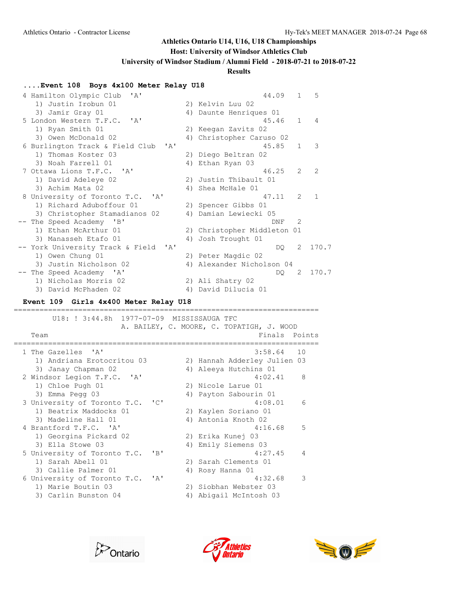### **Host: University of Windsor Athletics Club**

**University of Windsor Stadium / Alumni Field - 2018-07-21 to 2018-07-22**

#### **Results**

### **....Event 108 Boys 4x100 Meter Relay U18**

| 4 Hamilton Olympic Club<br>$\mathsf{A}$                        |    | 44.09                       | $\mathbf{1}$ | 5             |
|----------------------------------------------------------------|----|-----------------------------|--------------|---------------|
| 1) Justin Irobun 01                                            |    | 2) Kelvin Luu 02            |              |               |
| 3) Jamir Gray 01                                               |    | 4) Daunte Henriques 01      |              |               |
| 5 London Western T.F.C. 'A'                                    |    | 45.46                       | $\mathbf{1}$ | 4             |
| 1) Ryan Smith 01                                               |    | 2) Keegan Zavits 02         |              |               |
| 3) Owen McDonald 02                                            |    | 4) Christopher Caruso 02    |              |               |
| 6 Burlington Track & Field Club<br>' A'                        |    | 45.85                       | $\mathbf{1}$ | 3             |
| 1) Thomas Koster 03                                            |    | 2) Diego Beltran 02         |              |               |
| 3) Noah Farrell 01                                             |    | 4) Ethan Ryan 03            |              |               |
| 7 Ottawa Lions T.F.C. 'A'                                      |    | 46.25                       | 2            | $\mathcal{L}$ |
| 1) David Adeleye 02                                            |    | 2) Justin Thibault 01       |              |               |
| 3) Achim Mata 02                                               |    | 4) Shea McHale 01           |              |               |
| 8 University of Toronto T.C.<br>$\mathsf{I} \wedge \mathsf{I}$ |    | 47.11                       | 2            | $\mathbf{1}$  |
| 1) Richard Aduboffour 01                                       |    | 2) Spencer Gibbs 01         |              |               |
| 3) Christopher Stamadianos 02                                  | 4) | Damian Lewiecki 05          |              |               |
| The Speed Academy<br>$\mathsf{B}$                              |    | DNF                         | 2            |               |
| 1) Ethan McArthur 01                                           |    | 2) Christopher Middleton 01 |              |               |
| 3) Manasseh Etafo 01                                           | 4) | Josh Trought 01             |              |               |
| -- York University Track & Field<br>$\mathsf{A}$               |    | DO .                        | 2            | 170.7         |
| 1) Owen Chung 01                                               |    | 2) Peter Magdic 02          |              |               |
| 3) Justin Nicholson 02                                         |    | 4) Alexander Nicholson 04   |              |               |
| The Speed Academy 'A'                                          |    | DO                          | 2            | 170.7         |
| 1) Nicholas Morris 02                                          |    | 2) Ali Shatry 02            |              |               |
| 3) David McPhaden 02                                           | 4) | David Dilucia 01            |              |               |

#### **Event 109 Girls 4x400 Meter Relay U18**

======================================================================= U18: ! 3:44.8h 1977-07-09 MISSISSAUGA TFC A. BAILEY, C. MOORE, C. TOPATIGH, J. WOOD Team **Finals** Points ======================================================================= 1 The Gazelles 'A' 3:58.64 10 1) Andriana Erotocritou 03 2) Hannah Adderley Julien 03 3) Janay Chapman 02 4) Aleeya Hutchins 01 3) Janay Chapman 02 (2) Windsor Legion T.F.C. 'A' 4:02.41 (2) Aleeya Hutchins 01<br>
4:02.41 (3) Chloe Pugh 01 (3) Emma Pegg 03 (4) Payton Sabourin 01 1) Chloe Pugh 01  $\frac{1}{2}$  Fmma Pecco 03 3) Emma Pegg 03 4) Payton Sabourin 01 3 University of Toronto T.C. 'C' 4:08.01 6 1) Beatrix Maddocks 01 2) Kaylen Soriano 01 3) Madeline Hall 01 4) Antonia Knoth 02 4 Brantford T.F.C. 'A' 4:16.68 5 1) Georgina Pickard 02 2) Erika Kunej 03 3) Ella Stowe 03 4) Emily Siemens 03 5 University of Toronto T.C. 'B' 4:27.45 4 1) Sarah Abell 01 2) Sarah Clements 01 3) Callie Palmer 01 (4) Rosy Hanna 01 6 University of Toronto T.C. 'A' 4:32.68 3 1) Marie Boutin 03 2) Siobhan Webster 03 3) Carlin Bunston 04 4) Abigail McIntosh 03



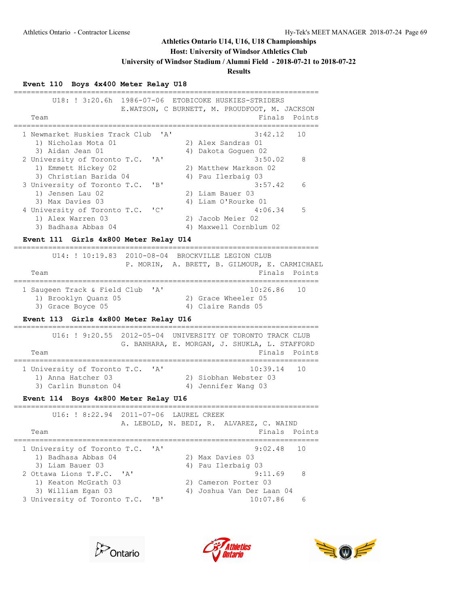## **Host: University of Windsor Athletics Club**

**University of Windsor Stadium / Alumni Field - 2018-07-21 to 2018-07-22**

# **Results**

# **Event 110 Boys 4x400 Meter Relay U18**

| 1986-07-06<br>U18: ! 3:20.6h<br>Team                                                                                 | ETOBICOKE HUSKIES-STRIDERS<br>E.WATSON, C BURNETT, M. PROUDFOOT, M. JACKSON<br>Finals<br>Points          |
|----------------------------------------------------------------------------------------------------------------------|----------------------------------------------------------------------------------------------------------|
| 1 Newmarket Huskies Track Club<br>1) Nicholas Mota 01<br>3) Aidan Jean 01                                            | 3:42.12<br>' A '<br>10<br>2) Alex Sandras 01<br>4) Dakota Goguen 02                                      |
| 2 University of Toronto T.C.<br>1) Emmett Hickey 02<br>3) Christian Barida 04                                        | 3:50.02<br>$\mathbf{A}$<br>8<br>2) Matthew Markson 02<br>4) Pau Ilerbaig 03                              |
| 3 University of Toronto T.C.<br>1) Jensen Lau 02<br>3) Max Davies 03                                                 | "B"<br>3:57.42<br>6<br>2) Liam Bauer 03<br>4) Liam O'Rourke 01                                           |
| 4 University of Toronto T.C.<br>1) Alex Warren 03<br>3) Badhasa Abbas 04                                             | $\mathsf{TC}$<br>4:06.34<br>5<br>2) Jacob Meier 02<br>4) Maxwell Cornblum 02                             |
| Event 111 Girls 4x800 Meter Relay U14                                                                                |                                                                                                          |
| U14: ! 10:19.83<br>Team                                                                                              | 2010-08-04 BROCKVILLE LEGION CLUB<br>P. MORIN, A. BRETT, B. GILMOUR, E. CARMICHAEL<br>Finals<br>Points   |
|                                                                                                                      |                                                                                                          |
| 1 Saugeen Track & Field Club<br>1) Brooklyn Quanz 05                                                                 | 10:26.86<br>' A'<br>10<br>2) Grace Wheeler 05                                                            |
| 3) Grace Boyce 05                                                                                                    | 4) Claire Rands 05                                                                                       |
| Event 113 Girls 4x800 Meter Relay U16                                                                                |                                                                                                          |
| U16: ! 9:20.55<br>2012-05-04<br>Team                                                                                 | UNIVERSITY OF TORONTO TRACK CLUB<br>G. BANHARA, E. MORGAN, J. SHUKLA, L. STAFFORD<br>Finals<br>Points    |
| 1 University of Toronto T.C. 'A'<br>1) Anna Hatcher 03<br>3) Carlin Bunston 04                                       | --------------------------------------<br>10:39.14<br>10<br>2) Siobhan Webster 03<br>4) Jennifer Wang 03 |
| Event 114 Boys 4x800 Meter Relay U16<br>._________________________________                                           |                                                                                                          |
| U16: ! 8:22.94<br>$2011 - 07 - 06$                                                                                   | LAUREL CREEK                                                                                             |
| Team                                                                                                                 | A. LEBOLD, N. BEDI, R. ALVAREZ, C. WAIND<br>Finals Points                                                |
| 1 University of Toronto T.C. 'A'<br>1) Badhasa Abbas 04                                                              | 9:02.48<br>10<br>2) Max Davies 03                                                                        |
| 3) Liam Bauer 03<br>2 Ottawa Lions T.F.C.<br>$^{\prime}$ A $^{\prime}$<br>1) Keaton McGrath 03<br>3) William Egan 03 | 4) Pau Ilerbaig 03<br>9:11.69<br>8<br>2) Cameron Porter 03<br>4) Joshua Van Der Laan 04                  |





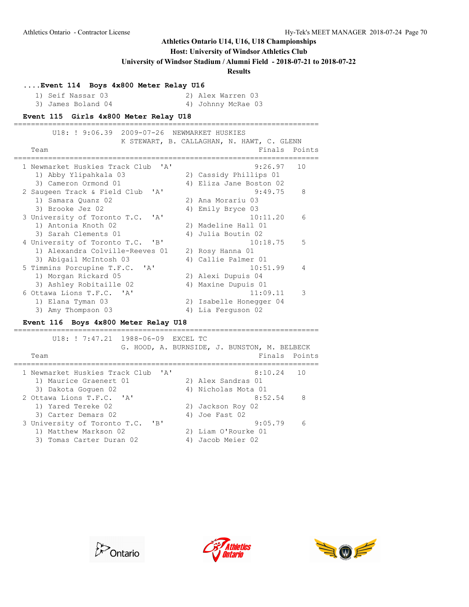### **Host: University of Windsor Athletics Club**

**University of Windsor Stadium / Alumni Field - 2018-07-21 to 2018-07-22**

**Results**

| Event 114 Boys 4x800 Meter Relay U16 |  |  |  |  |  |  |
|--------------------------------------|--|--|--|--|--|--|
|--------------------------------------|--|--|--|--|--|--|

| 1) Seif Nassar 03  | 2) Alex Warren 03  |  |
|--------------------|--------------------|--|
| 3) James Boland 04 | 4) Johnny McRae 03 |  |

#### **Event 115 Girls 4x800 Meter Relay U18**

| U18: ! 9:06.39 2009-07-26 NEWMARKET HUSKIES    | K STEWART, B. CALLAGHAN, N. HAWT, C. GLENN |
|------------------------------------------------|--------------------------------------------|
| Team                                           | Finals Points                              |
| 1 Newmarket Huskies Track Club<br>$\mathbf{A}$ | 9:26.97<br>10                              |
| 1) Abby Ylipahkala 03                          | 2) Cassidy Phillips 01                     |
| 3) Cameron Ormond 01                           | 4) Eliza Jane Boston 02                    |
| 2 Saugeen Track & Field Club<br>' A'           | 9:49.75<br>8                               |
| 1) Samara Quanz 02                             | 2) Ana Morariu 03                          |
| 3) Brooke Jez 02                               | 4) Emily Bryce 03                          |
| 3 University of Toronto T.C.<br>$\mathsf{A}$   | 10:11.20<br>6                              |
| 1) Antonia Knoth 02                            | 2) Madeline Hall 01                        |
| 3) Sarah Clements 01                           | 4) Julia Boutin 02                         |
| 4 University of Toronto T.C. 'B'               | 10:18.75<br>.5                             |
| 1) Alexandra Colville-Reeves 01                | 2) Rosy Hanna 01                           |
| 3) Abigail McIntosh 03                         | 4) Callie Palmer 01                        |
| 5 Timmins Porcupine T.F.C. 'A'                 | 10:51.99<br>$\overline{4}$                 |
| 1) Morgan Rickard 05                           | 2) Alexi Dupuis 04                         |
| 3) Ashley Robitaille 02                        | 4) Maxine Dupuis 01                        |
| 6 Ottawa Lions T.F.C. 'A'                      | 11:09.11<br>3                              |
| 1) Elana Tyman 03                              | 2) Isabelle Honegger 04                    |
| 3) Amy Thompson 03                             | Lia Ferguson 02<br>4)                      |

#### **Event 116 Boys 4x800 Meter Relay U18**

======================================================================= U18: ! 7:47.21 1988-06-09 EXCEL TC G. HOOD, A. BURNSIDE, J. BUNSTON, M. BELBECK Team **Finals** Points ======================================================================= 1 Newmarket Huskies Track Club 'A' 8:10.24 10 1) Maurice Graenert 01 2) Alex Sandras 01 3) Dakota Goguen 02 4) Nicholas Mota 01 2 Ottawa Lions T.F.C. 'A' 8:52.54 8 1) Yared Tereke 02 2) Jackson Roy 02 3) Carter Demars 02 (4) Joe Fast 02 3 University of Toronto T.C. 'B' 9:05.79 6 1) Matthew Markson 02 2) Liam O'Rourke 01 3) Tomas Carter Duran 02 (4) Jacob Meier 02





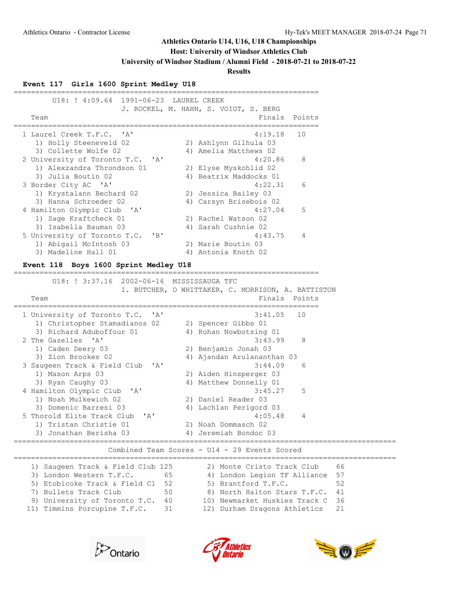#### **Host: University of Windsor Athletics Club**

**University of Windsor Stadium / Alumni Field - 2018-07-21 to 2018-07-22**

#### **Results**

#### **Event 117 Girls 1600 Sprint Medley U18**

| U18: ! 4:09.64 1991-06-23 LAUREL CREEK    |  | J. ROCKEL, M. HAHN, S. VOIGT, S. BERG |                |
|-------------------------------------------|--|---------------------------------------|----------------|
| Team                                      |  |                                       | Finals Points  |
| 1 Laurel Creek T.F.C. 'A'                 |  | 4:19.18                               | 10             |
| 1) Holly Steeneveld 02                    |  | 2) Ashlynn Gilhula 03                 |                |
| 3) Collette Wolfe 02                      |  | 4) Amelia Matthews 02                 |                |
| 2 University of Toronto T.C. 'A'          |  | 4:20.86                               | 8              |
| 1) Alexzandra Throndson 01                |  | 2) Elyse Myskohlid 02                 |                |
| 3) Julia Boutin 02                        |  | 4) Beatrix Maddocks 01                |                |
| 3 Border City AC 'A'                      |  | 4:22.31                               | 6              |
| 1) Krystalann Bechard 02                  |  | 2) Jessica Bailey 03                  |                |
| 3) Hanna Schroeder 02                     |  | 4) Carsyn Brisebois 02                |                |
| 4 Hamilton Olympic Club 'A'               |  | 4:27.04                               | -5             |
| 1) Sage Kraftcheck 01                     |  | 2) Rachel Watson 02                   |                |
| 3) Isabella Bauman 03                     |  | 4) Sarah Cushnie 02                   |                |
| 5 University of Toronto T.C.<br>$'$ B $'$ |  | 4:43.75                               | $\overline{4}$ |
| 1) Abigail McIntosh 03                    |  | 2) Marie Boutin 03                    |                |
| 3) Madeline Hall 01                       |  | 4) Antonia Knoth 02                   |                |

=======================================================================

#### **Event 118 Boys 1600 Sprint Medley U18**

 U18: ! 3:37.16 2002-06-16 MISSISSAUGA TFC I. BUTCHER, O WHITTAKER, C. MORRISON, A. BATTISTON Team Finals Points ======================================================================= 1 University of Toronto T.C. 'A' 3:41.05 10 1) Christopher Stamadianos 02 2) Spencer Gibbs 01 3) Richard Aduboffour 01 4) Rohan Nowbotsing 01 2 The Gazelles 'A' 3:43.99 8 1) Caden Deery 03 2) Benjamin Jonah 03 3) Zion Brookes 02 4) Ajandan Arulananthan 03 3 Saugeen Track & Field Club 'A' 3:44.09 6 1) Mason Arps 03 2) Aiden Hinsperger 03 3) Ryan Caughy 03 4) Matthew Donnelly 01 4 Hamilton Olympic Club 'A' 3:45.27 5 1) Noah Mulkewich 02 2) Daniel Reader 03 3) Domenic Barresi 03 4) Lachlan Perigord 03 5 Thorold Elite Track Club 'A' 4:05.48 4 1) Tristan Christie 01 2) Noah Dommasch 02 3) Jonathan Berisha 03 4) Jeremiah Bondoc 03 =========================================================================================

#### Combined Team Scores - U14 - 29 Events Scored

========================================================================================= 1) Saugeen Track & Field Club 125 2) Monte Cristo Track Club 66 3) London Western T.F.C. 65 4) London Legion TF Alliance 57 5) Etobicoke Track & Field Cl 52 5) Brantford T.F.C. 52 7) Bullets Track Club 50 8) North Halton Stars T.F.C. 41 9) University of Toronto T.C. 40 10) Newmarket Huskies Track C 36 11) Timmins Porcupine T.F.C. 31 12) Durham Dragons Athletics 21